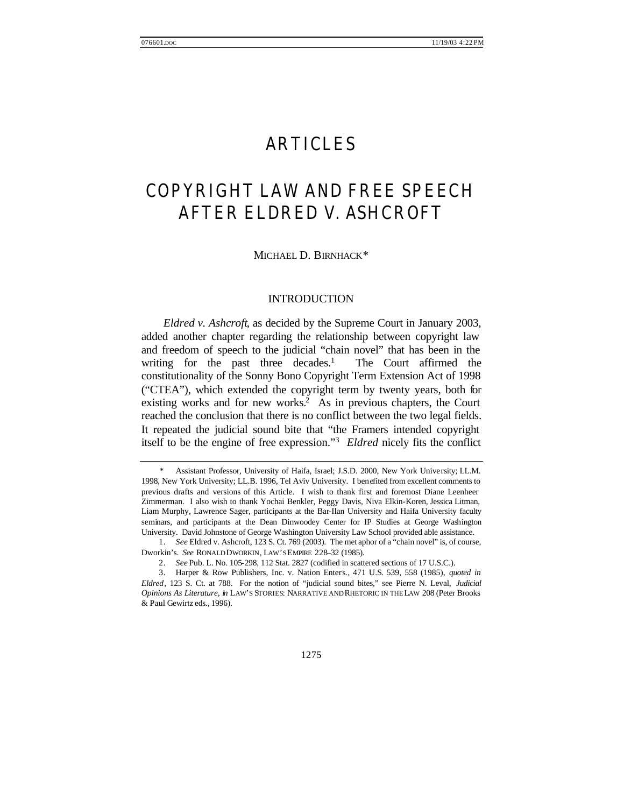# ARTICLES

# COPYRIGHT LAW AND FREE SPEECH AFTER *ELDRED V. ASHCROFT*

MICHAEL D. BIRNHACK<sup>\*</sup>

#### INTRODUCTION

*Eldred v. Ashcroft*, as decided by the Supreme Court in January 2003, added another chapter regarding the relationship between copyright law and freedom of speech to the judicial "chain novel" that has been in the writing for the past three decades. $<sup>1</sup>$ </sup> The Court affirmed the constitutionality of the Sonny Bono Copyright Term Extension Act of 1998 ("CTEA"), which extended the copyright term by twenty years, both for existing works and for new works.<sup>2</sup> As in previous chapters, the Court reached the conclusion that there is no conflict between the two legal fields. It repeated the judicial sound bite that "the Framers intended copyright itself to be the engine of free expression."<sup>3</sup> *Eldred* nicely fits the conflict

 <sup>\*</sup> Assistant Professor, University of Haifa, Israel; J.S.D. 2000, New York University; LL.M. 1998, New York University; LL.B. 1996, Tel Aviv University. I benefited from excellent comments to previous drafts and versions of this Article. I wish to thank first and foremost Diane Leenheer Zimmerman. I also wish to thank Yochai Benkler, Peggy Davis, Niva Elkin-Koren, Jessica Litman, Liam Murphy, Lawrence Sager, participants at the Bar-Ilan University and Haifa University faculty seminars, and participants at the Dean Dinwoodey Center for IP Studies at George Washington University. David Johnstone of George Washington University Law School provided able assistance.

<sup>1.</sup> *See* Eldred v. Ashcroft, 123 S. Ct. 769 (2003). The met aphor of a "chain novel" is, of course, Dworkin's. *See* RONALD DWORKIN, LAW'S EMPIRE 228–32 (1985).

<sup>2.</sup> *See* Pub. L. No. 105-298, 112 Stat. 2827 (codified in scattered sections of 17 U.S.C.).

<sup>3.</sup> Harper & Row Publishers, Inc. v. Nation Enters., 471 U.S. 539, 558 (1985), *quoted in Eldred*, 123 S. Ct. at 788. For the notion of "judicial sound bites," see Pierre N. Leval, *Judicial Opinions As Literature*, *in* LAW'S STORIES: NARRATIVE AND RHETORIC IN THE LAW 208 (Peter Brooks & Paul Gewirtz eds., 1996).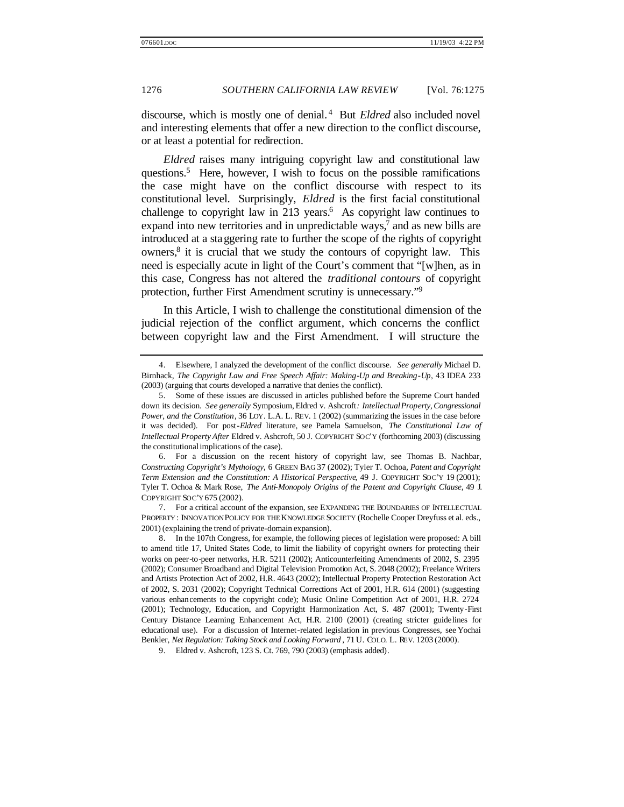discourse, which is mostly one of denial. <sup>4</sup> But *Eldred* also included novel and interesting elements that offer a new direction to the conflict discourse, or at least a potential for redirection.

*Eldred* raises many intriguing copyright law and constitutional law questions.<sup>5</sup> Here, however, I wish to focus on the possible ramifications the case might have on the conflict discourse with respect to its constitutional level. Surprisingly, *Eldred* is the first facial constitutional challenge to copyright law in 213 years.<sup>6</sup> As copyright law continues to expand into new territories and in unpredictable ways,<sup>7</sup> and as new bills are introduced at a staggering rate to further the scope of the rights of copyright owners,<sup>8</sup> it is crucial that we study the contours of copyright law. This need is especially acute in light of the Court's comment that "[w]hen, as in this case, Congress has not altered the *traditional contours* of copyright protection, further First Amendment scrutiny is unnecessary."<sup>9</sup>

In this Article, I wish to challenge the constitutional dimension of the judicial rejection of the conflict argument, which concerns the conflict between copyright law and the First Amendment. I will structure the

7. For a critical account of the expansion, see EXPANDING THE BOUNDARIES OF INTELLECTUAL PROPERTY : INNOVATION POLICY FOR THE KNOWLEDGE SOCIETY (Rochelle Cooper Dreyfuss et al. eds., 2001) (explaining the trend of private-domain expansion).

<sup>4.</sup> Elsewhere, I analyzed the development of the conflict discourse. *See generally* Michael D. Birnhack, *The Copyright Law and Free Speech Affair: Making-Up and Breaking-Up*, 43 IDEA 233 (2003) (arguing that courts developed a narrative that denies the conflict).

<sup>5.</sup> Some of these issues are discussed in articles published before the Supreme Court handed down its decision. *See generally* Symposium, Eldred v. Ashcroft*: Intellectual Property, Congressional Power, and the Constitution*, 36 LOY. L.A. L. REV. 1 (2002) (summarizing the issues in the case before it was decided). For post-*Eldred* literature, see Pamela Samuelson, *The Constitutional Law of Intellectual Property After* Eldred v. Ashcroft, 50 J. COPYRIGHT SOC'Y (forthcoming 2003) (discussing the constitutional implications of the case).

<sup>6.</sup> For a discussion on the recent history of copyright law, see Thomas B. Nachbar, *Constructing Copyright's Mythology*, 6 GREEN BAG 37 (2002); Tyler T. Ochoa, *Patent and Copyright Term Extension and the Constitution: A Historical Perspective*, 49 J. COPYRIGHT SOC'Y 19 (2001); Tyler T. Ochoa & Mark Rose, *The Anti-Monopoly Origins of the Patent and Copyright Clause*, 49 J. COPYRIGHT SOC'Y 675 (2002).

<sup>8.</sup> In the 107th Congress, for example, the following pieces of legislation were proposed: A bill to amend title 17, United States Code, to limit the liability of copyright owners for protecting their works on peer-to-peer networks, H.R. 5211 (2002); Anticounterfeiting Amendments of 2002, S. 2395 (2002); Consumer Broadband and Digital Television Promotion Act, S. 2048 (2002); Freelance Writers and Artists Protection Act of 2002, H.R. 4643 (2002); Intellectual Property Protection Restoration Act of 2002, S. 2031 (2002); Copyright Technical Corrections Act of 2001, H.R. 614 (2001) (suggesting various enhancements to the copyright code); Music Online Competition Act of 2001, H.R. 2724 (2001); Technology, Education, and Copyright Harmonization Act, S. 487 (2001); Twenty-First Century Distance Learning Enhancement Act, H.R. 2100 (2001) (creating stricter guidelines for educational use). For a discussion of Internet-related legislation in previous Congresses, see Yochai Benkler, *Net Regulation: Taking Stock and Looking Forward* , 71 U. COLO. L. REV. 1203 (2000).

<sup>9.</sup> Eldred v. Ashcroft, 123 S. Ct. 769, 790 (2003) (emphasis added).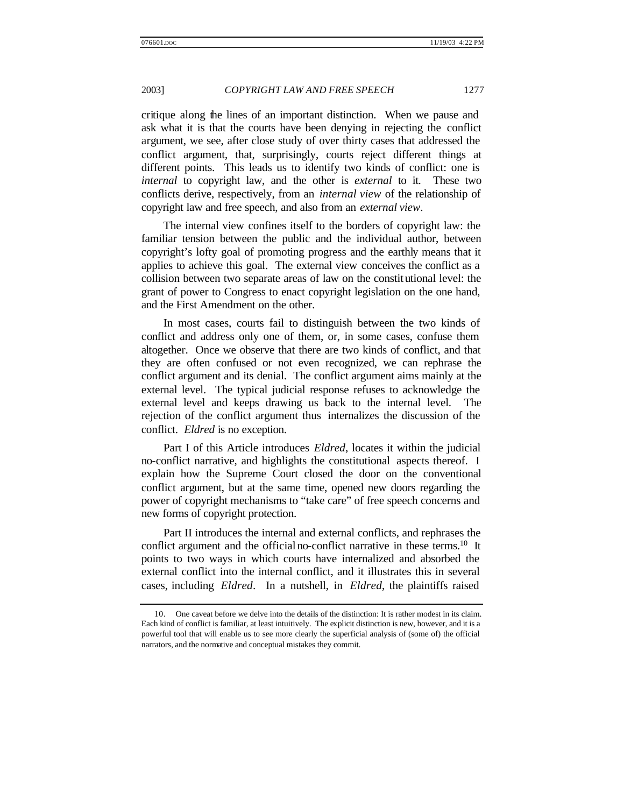critique along the lines of an important distinction. When we pause and ask what it is that the courts have been denying in rejecting the conflict argument, we see, after close study of over thirty cases that addressed the conflict argument, that, surprisingly, courts reject different things at different points. This leads us to identify two kinds of conflict: one is *internal* to copyright law, and the other is *external* to it. These two conflicts derive, respectively, from an *internal view* of the relationship of copyright law and free speech, and also from an *external view*.

The internal view confines itself to the borders of copyright law: the familiar tension between the public and the individual author, between copyright's lofty goal of promoting progress and the earthly means that it applies to achieve this goal. The external view conceives the conflict as a collision between two separate areas of law on the constitutional level: the grant of power to Congress to enact copyright legislation on the one hand, and the First Amendment on the other.

In most cases, courts fail to distinguish between the two kinds of conflict and address only one of them, or, in some cases, confuse them altogether. Once we observe that there are two kinds of conflict, and that they are often confused or not even recognized, we can rephrase the conflict argument and its denial. The conflict argument aims mainly at the external level. The typical judicial response refuses to acknowledge the external level and keeps drawing us back to the internal level. The rejection of the conflict argument thus internalizes the discussion of the conflict. *Eldred* is no exception.

Part I of this Article introduces *Eldred*, locates it within the judicial no-conflict narrative, and highlights the constitutional aspects thereof. I explain how the Supreme Court closed the door on the conventional conflict argument, but at the same time, opened new doors regarding the power of copyright mechanisms to "take care" of free speech concerns and new forms of copyright protection.

Part II introduces the internal and external conflicts, and rephrases the conflict argument and the official no-conflict narrative in these terms.<sup>10</sup> It points to two ways in which courts have internalized and absorbed the external conflict into the internal conflict, and it illustrates this in several cases, including *Eldred*. In a nutshell, in *Eldred*, the plaintiffs raised

<sup>10.</sup> One caveat before we delve into the details of the distinction: It is rather modest in its claim. Each kind of conflict is familiar, at least intuitively. The explicit distinction is new, however, and it is a powerful tool that will enable us to see more clearly the superficial analysis of (some of) the official narrators, and the normative and conceptual mistakes they commit.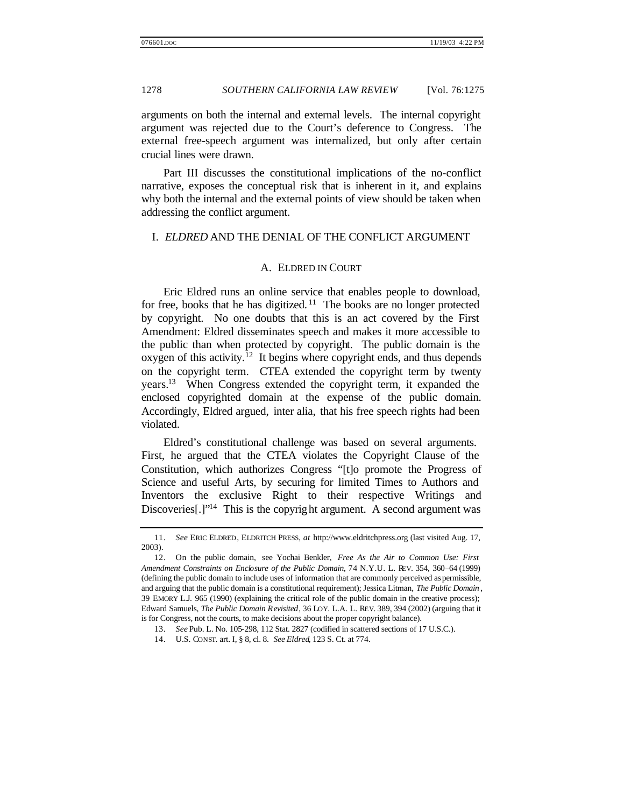arguments on both the internal and external levels. The internal copyright argument was rejected due to the Court's deference to Congress. The external free-speech argument was internalized, but only after certain crucial lines were drawn.

Part III discusses the constitutional implications of the no-conflict narrative, exposes the conceptual risk that is inherent in it, and explains why both the internal and the external points of view should be taken when addressing the conflict argument.

#### I. *ELDRED* AND THE DENIAL OF THE CONFLICT ARGUMENT

#### A. ELDRED IN COURT

Eric Eldred runs an online service that enables people to download, for free, books that he has digitized.  $11$  The books are no longer protected by copyright. No one doubts that this is an act covered by the First Amendment: Eldred disseminates speech and makes it more accessible to the public than when protected by copyright. The public domain is the oxygen of this activity.<sup>12</sup> It begins where copyright ends, and thus depends on the copyright term. CTEA extended the copyright term by twenty years.<sup>13</sup> When Congress extended the copyright term, it expanded the enclosed copyrighted domain at the expense of the public domain. Accordingly, Eldred argued, inter alia, that his free speech rights had been violated.

Eldred's constitutional challenge was based on several arguments. First, he argued that the CTEA violates the Copyright Clause of the Constitution, which authorizes Congress "[t]o promote the Progress of Science and useful Arts, by securing for limited Times to Authors and Inventors the exclusive Right to their respective Writings and Discoveries[.]"<sup>14</sup> This is the copyright argument. A second argument was

<sup>11.</sup> *See* ERIC ELDRED, ELDRITCH PRESS, *at* http://www.eldritchpress.org (last visited Aug. 17, 2003).

<sup>12.</sup> On the public domain, see Yochai Benkler, *Free As the Air to Common Use: First Amendment Constraints on Enclosure of the Public Domain*, 74 N.Y.U. L. REV. 354, 360–64 (1999) (defining the public domain to include uses of information that are commonly perceived as permissible, and arguing that the public domain is a constitutional requirement); Jessica Litman, *The Public Domain* , 39 EMORY L.J. 965 (1990) (explaining the critical role of the public domain in the creative process); Edward Samuels, *The Public Domain Revisited*, 36 LOY. L.A. L. REV. 389, 394 (2002) (arguing that it is for Congress, not the courts, to make decisions about the proper copyright balance).

<sup>13.</sup> *See* Pub. L. No. 105-298, 112 Stat. 2827 (codified in scattered sections of 17 U.S.C.).

<sup>14.</sup> U.S. CONST. art. I, § 8, cl. 8. *See Eldred*, 123 S. Ct. at 774.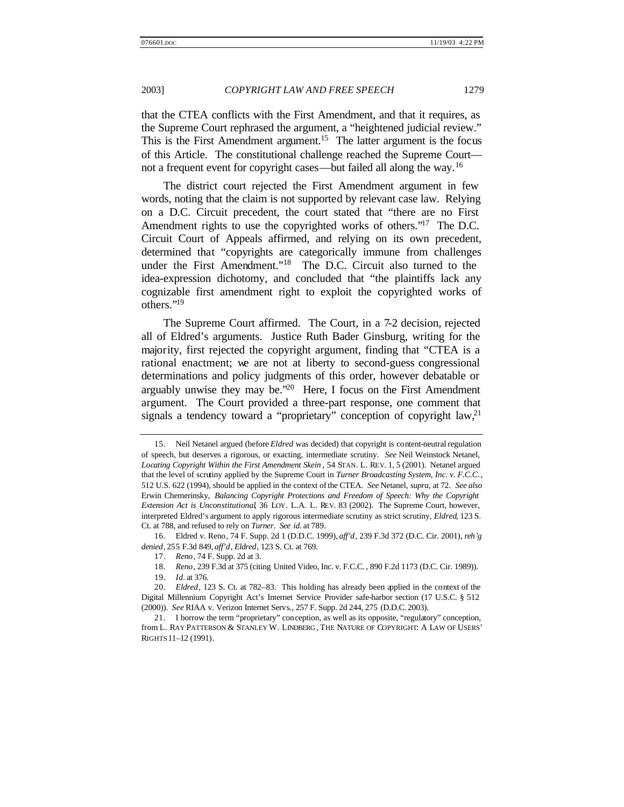that the CTEA conflicts with the First Amendment, and that it requires, as the Supreme Court rephrased the argument, a "heightened judicial review." This is the First Amendment argument.<sup>15</sup> The latter argument is the focus of this Article. The constitutional challenge reached the Supreme Court not a frequent event for copyright cases—but failed all along the way.<sup>16</sup>

The district court rejected the First Amendment argument in few words, noting that the claim is not supported by relevant case law. Relying on a D.C. Circuit precedent, the court stated that "there are no First Amendment rights to use the copyrighted works of others."<sup>17</sup> The D.C. Circuit Court of Appeals affirmed, and relying on its own precedent, determined that "copyrights are categorically immune from challenges under the First Amendment."<sup>18</sup> The D.C. Circuit also turned to the idea-expression dichotomy, and concluded that "the plaintiffs lack any cognizable first amendment right to exploit the copyrighted works of others."<sup>19</sup>

The Supreme Court affirmed. The Court, in a 7-2 decision, rejected all of Eldred's arguments. Justice Ruth Bader Ginsburg, writing for the majority, first rejected the copyright argument, finding that "CTEA is a rational enactment; we are not at liberty to second-guess congressional determinations and policy judgments of this order, however debatable or arguably unwise they may be." $20$  Here, I focus on the First Amendment argument. The Court provided a three-part response, one comment that signals a tendency toward a "proprietary" conception of copyright  $law<sub>1</sub><sup>21</sup>$ 

16. Eldred v. Reno, 74 F. Supp. 2d 1 (D.D.C. 1999), *aff'd*, 239 F.3d 372 (D.C. Cir. 2001), *reh'g denied*, 255 F.3d 849, *aff'd*, *Eldred*, 123 S. Ct. at 769.

18. *Reno*, 239 F.3d at 375 (citing United Video, Inc. v. F.C.C. , 890 F.2d 1173 (D.C. Cir. 1989)).

<sup>15.</sup> Neil Netanel argued (before *Eldred* was decided) that copyright is content-neutral regulation of speech, but deserves a rigorous, or exacting, intermediate scrutiny. *See* Neil Weinstock Netanel, *Locating Copyright Within the First Amendment Skein* , 54 STAN. L. REV. 1, 5 (2001). Netanel argued that the level of scrutiny applied by the Supreme Court in *Turner Broadcasting System, Inc. v. F.C.C.*, 512 U.S. 622 (1994), should be applied in the context of the CTEA. *See* Netanel, *supra*, at 72. *See also* Erwin Chemerinsky, *Balancing Copyright Protections and Freedom of Speech: Why the Copyright Extension Act is Unconstitutional*, 36 LOY. L.A. L. REV. 83 (2002). The Supreme Court, however, interpreted Eldred's argument to apply rigorous intermediate scrutiny as strict scrutiny, *Eldred*, 123 S. Ct. at 788, and refused to rely on *Turner*. *See id.* at 789.

<sup>17.</sup> *Reno*, 74 F. Supp. 2d at 3.

<sup>19.</sup> *Id.* at 376.

<sup>20.</sup> *Eldred*, 123 S. Ct. at 782–83. This holding has already been applied in the context of the Digital Millennium Copyright Act's Internet Service Provider safe-harbor section (17 U.S.C. § 512 (2000)). *See* RIAA v. Verizon Internet Servs., 257 F. Supp. 2d 244, 275 (D.D.C. 2003).

<sup>21.</sup> I borrow the term "proprietary" conception, as well as its opposite, "regulatory" conception, from L. RAY PATTERSON & STANLEY W. LINDBERG , THE NATURE OF COPYRIGHT: A LAW OF USERS' RIGHTS 11–12 (1991).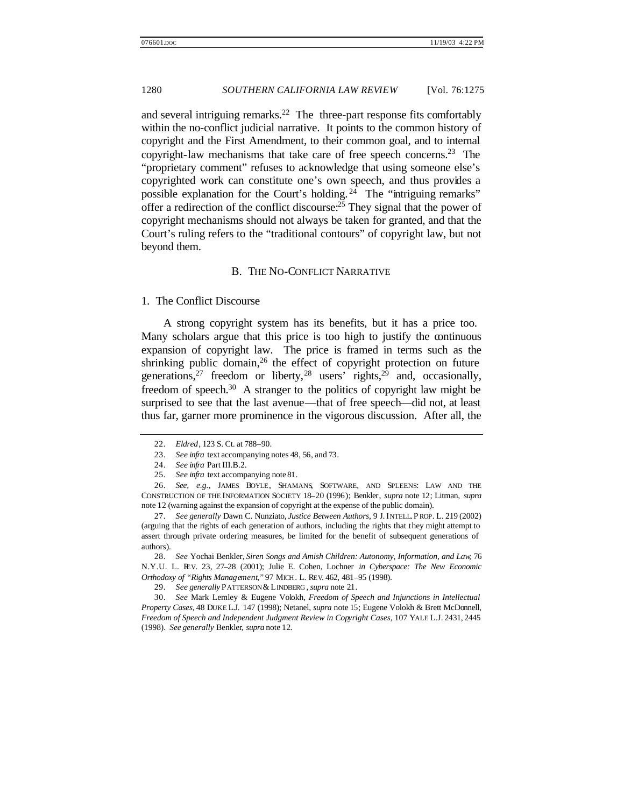and several intriguing remarks.<sup>22</sup> The three-part response fits comfortably within the no-conflict judicial narrative. It points to the common history of copyright and the First Amendment, to their common goal, and to internal copyright-law mechanisms that take care of free speech concerns.<sup>23</sup> The "proprietary comment" refuses to acknowledge that using someone else's copyrighted work can constitute one's own speech, and thus provides a possible explanation for the Court's holding. <sup>24</sup> The "intriguing remarks" offer a redirection of the conflict discourse:<sup>25</sup> They signal that the power of copyright mechanisms should not always be taken for granted, and that the Court's ruling refers to the "traditional contours" of copyright law, but not beyond them.

#### B. THE NO-CONFLICT NARRATIVE

#### 1. The Conflict Discourse

A strong copyright system has its benefits, but it has a price too. Many scholars argue that this price is too high to justify the continuous expansion of copyright law. The price is framed in terms such as the shrinking public domain,  $2<sup>6</sup>$  the effect of copyright protection on future generations,<sup>27</sup> freedom or liberty,<sup>28</sup> users' rights,<sup>29</sup> and, occasionally, freedom of speech.<sup>30</sup> A stranger to the politics of copyright law might be surprised to see that the last avenue—that of free speech—did not, at least thus far, garner more prominence in the vigorous discussion. After all, the

28. *See* Yochai Benkler, *Siren Songs and Amish Children: Autonomy, Information, and Law*, 76 N.Y.U. L. REV. 23, 27–28 (2001); Julie E. Cohen, Lochner *in Cyberspace: The New Economic Orthodoxy of "Rights Management*,*"* 97 MICH. L. REV. 462, 481–95 (1998).

29. *See generally* PATTERSON & LINDBERG , *supra* note 21.

30. *See* Mark Lemley & Eugene Volokh, *Freedom of Speech and Injunctions in Intellectual Property Cases*, 48 DUKE L.J. 147 (1998); Netanel, *supra* note 15; Eugene Volokh & Brett McDonnell, *Freedom of Speech and Independent Judgment Review in Copyright Cases*, 107 YALE L.J. 2431, 2445 (1998). *See generally* Benkler, *supra* note 12.

<sup>22.</sup> *Eldred*, 123 S. Ct. at 788–90.

<sup>23.</sup> *See infra* text accompanying notes 48, 56, and 73.

<sup>24.</sup> *See infra* Part III.B.2.

<sup>25.</sup> *See infra* text accompanying note 81.

<sup>26.</sup> *See, e.g.*, JAMES BOYLE, SHAMANS, SOFTWARE, AND SPLEENS: LAW AND THE CONSTRUCTION OF THE INFORMATION SOCIETY 18–20 (1996); Benkler, *supra* note 12; Litman, *supra*  note 12 (warning against the expansion of copyright at the expense of the public domain).

<sup>27.</sup> *See generally* Dawn C. Nunziato, *Justice Between Authors*, 9 J. INTELL. P ROP. L. 219 (2002) (arguing that the rights of each generation of authors, including the rights that they might attempt to assert through private ordering measures, be limited for the benefit of subsequent generations of authors).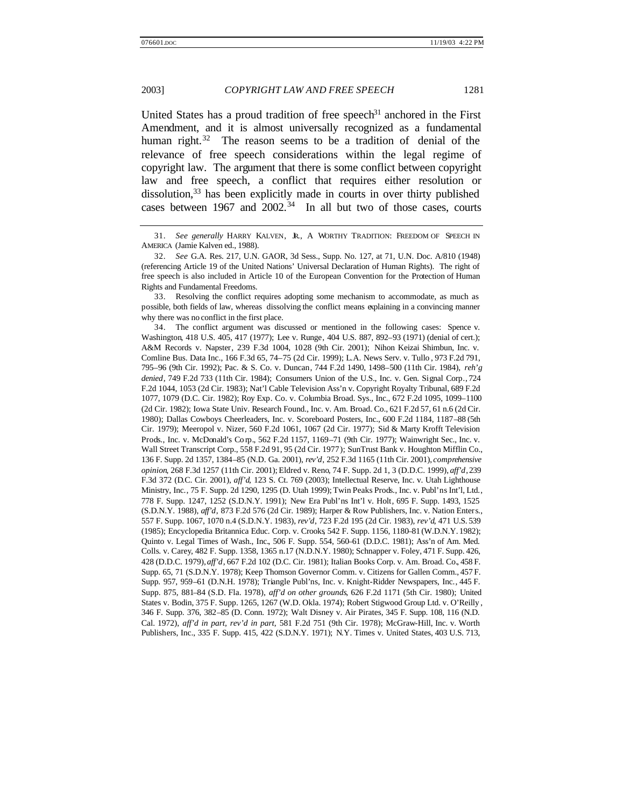United States has a proud tradition of free speech<sup>31</sup> anchored in the First Amendment, and it is almost universally recognized as a fundamental human right.<sup>32</sup> The reason seems to be a tradition of denial of the relevance of free speech considerations within the legal regime of copyright law. The argument that there is some conflict between copyright law and free speech, a conflict that requires either resolution or dissolution,<sup>33</sup> has been explicitly made in courts in over thirty published cases between  $1967$  and  $2002<sup>34</sup>$  In all but two of those cases, courts

33. Resolving the conflict requires adopting some mechanism to accommodate, as much as possible, both fields of law, whereas dissolving the conflict means explaining in a convincing manner why there was no conflict in the first place.

34. The conflict argument was discussed or mentioned in the following cases: Spence v. Washington, 418 U.S. 405, 417 (1977); Lee v. Runge, 404 U.S. 887, 892–93 (1971) (denial of cert.); A&M Records v. Napster, 239 F.3d 1004, 1028 (9th Cir. 2001); Nihon Keizai Shimbun, Inc. v. Comline Bus. Data Inc., 166 F.3d 65, 74–75 (2d Cir. 1999); L.A. News Serv. v. Tullo , 973 F.2d 791, 795–96 (9th Cir. 1992); Pac. & S. Co. v. Duncan, 744 F.2d 1490, 1498–500 (11th Cir. 1984), *reh'g denied*, 749 F.2d 733 (11th Cir. 1984); Consumers Union of the U.S., Inc. v. Gen. Signal Corp*.*, 724 F.2d 1044, 1053 (2d Cir. 1983); Nat'l Cable Television Ass'n v. Copyright Royalty Tribunal, 689 F.2d 1077, 1079 (D.C. Cir. 1982); Roy Exp. Co. v. Columbia Broad. Sys., Inc., 672 F.2d 1095, 1099–1100 (2d Cir. 1982); Iowa State Univ. Research Found., Inc. v. Am. Broad. Co., 621 F.2d 57, 61 n.6 (2d Cir. 1980); Dallas Cowboys Cheerleaders, Inc. v. Scoreboard Posters, Inc., 600 F.2d 1184, 1187–88 (5th Cir. 1979); Meeropol v. Nizer, 560 F.2d 1061, 1067 (2d Cir. 1977); Sid & Marty Krofft Television Prods., Inc. v. McDonald's Co rp., 562 F.2d 1157, 1169–71 (9th Cir. 1977); Wainwright Sec., Inc. v. Wall Street Transcript Corp., 558 F.2d 91, 95 (2d Cir. 1977); SunTrust Bank v. Houghton Mifflin Co., 136 F. Supp. 2d 1357, 1384–85 (N.D. Ga. 2001), *rev'd*, 252 F.3d 1165 (11th Cir. 2001), *comprehensive opinion*, 268 F.3d 1257 (11th Cir. 2001); Eldred v. Reno, 74 F. Supp. 2d 1, 3 (D.D.C. 1999), *aff'd*, 239 F.3d 372 (D.C. Cir. 2001), *aff'd*, 123 S. Ct. 769 (2003); Intellectual Reserve, Inc. v. Utah Lighthouse Ministry, Inc., 75 F. Supp. 2d 1290, 1295 (D. Utah 1999); Twin Peaks Prods., Inc. v. Publ'ns Int'l, Ltd., 778 F. Supp. 1247, 1252 (S.D.N.Y. 1991); New Era Publ'ns Int'l v. Holt, 695 F. Supp. 1493, 1525 (S.D.N.Y. 1988), *aff'd*, 873 F.2d 576 (2d Cir. 1989); Harper & Row Publishers, Inc. v. Nation Enters., 557 F. Supp. 1067, 1070 n.4 (S.D.N.Y. 1983), *rev'd*, 723 F.2d 195 (2d Cir. 1983), *rev'd*, 471 U.S. 539 (1985); Encyclopedia Britannica Educ. Corp. v. Crooks, 542 F. Supp. 1156, 1180–81 (W.D.N.Y. 1982); Quinto v. Legal Times of Wash., Inc., 506 F. Supp. 554, 560–61 (D.D.C. 1981); Ass'n of Am. Med. Colls. v. Carey, 482 F. Supp. 1358, 1365 n.17 (N.D.N.Y. 1980); Schnapper v. Foley, 471 F. Supp. 426, 428 (D.D.C. 1979), *aff'd*, 667 F.2d 102 (D.C. Cir. 1981); Italian Books Corp. v. Am. Broad. Co., 458 F. Supp. 65, 71 (S.D.N.Y. 1978); Keep Thomson Governor Comm. v. Citizens for Gallen Comm., 457 F. Supp. 957, 959–61 (D.N.H. 1978); Triangle Publ'ns, Inc. v. Knight-Ridder Newspapers, Inc., 445 F. Supp. 875, 881–84 (S.D. Fla. 1978), *aff'd on other grounds*, 626 F.2d 1171 (5th Cir. 1980); United States v. Bodin, 375 F. Supp. 1265, 1267 (W.D. Okla. 1974); Robert Stigwood Group Ltd. v. O'Reilly , 346 F. Supp. 376, 382–85 (D. Conn. 1972); Walt Disney v. Air Pirates, 345 F. Supp. 108, 116 (N.D. Cal. 1972), *aff'd in part, rev'd in part*, 581 F.2d 751 (9th Cir. 1978); McGraw-Hill, Inc. v. Worth Publishers, Inc., 335 F. Supp. 415, 422 (S.D.N.Y. 1971); N.Y. Times v. United States, 403 U.S. 713,

<sup>31.</sup> *See generally* HARRY KALVEN, JR., A WORTHY TRADITION: FREEDOM OF SPEECH IN AMERICA (Jamie Kalven ed., 1988).

<sup>32.</sup> *See* G.A. Res. 217, U.N. GAOR, 3d Sess., Supp. No. 127, at 71, U.N. Doc. A/810 (1948) (referencing Article 19 of the United Nations' Universal Declaration of Human Rights). The right of free speech is also included in Article 10 of the European Convention for the Protection of Human Rights and Fundamental Freedoms.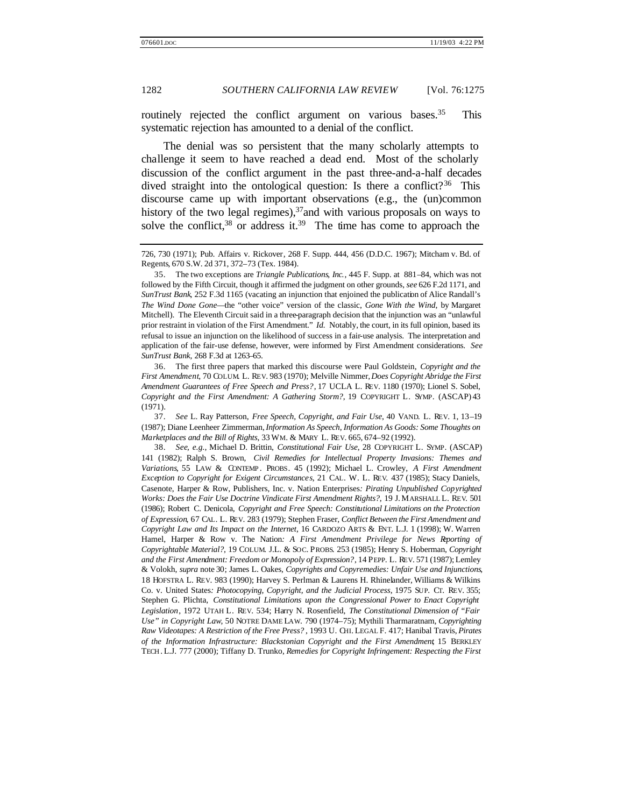routinely rejected the conflict argument on various bases.<sup>35</sup> This systematic rejection has amounted to a denial of the conflict.

The denial was so persistent that the many scholarly attempts to challenge it seem to have reached a dead end. Most of the scholarly discussion of the conflict argument in the past three-and-a-half decades dived straight into the ontological question: Is there a conflict?<sup>36</sup> This discourse came up with important observations (e.g., the (un)common history of the two legal regimes), $37$  and with various proposals on ways to solve the conflict,  $38$  or address it.  $39$  The time has come to approach the

36. The first three papers that marked this discourse were Paul Goldstein, *Copyright and the First Amendment*, 70 COLUM. L. REV. 983 (1970); Melville Nimmer, *Does Copyright Abridge the First Amendment Guarantees of Free Speech and Press?*, 17 UCLA L. REV. 1180 (1970); Lionel S. Sobel, *Copyright and the First Amendment: A Gathering Storm?*, 19 COPYRIGHT L. SYMP. (ASCAP) 43 (1971).

37. *See* L. Ray Patterson, *Free Speech, Copyright, and Fair Use*, 40 VAND. L. REV. 1, 13–19 (1987); Diane Leenheer Zimmerman, *Information As Speech, Information As Goods: Some Thoughts on Marketplaces and the Bill of Rights*, 33 WM. & MARY L. REV. 665, 674–92 (1992).

38. *See, e.g.*, Michael D. Brittin, *Constitutional Fair Use*, 28 COPYRIGHT L. SYMP. (ASCAP) 141 (1982); Ralph S. Brown, *Civil Remedies for Intellectual Property Invasions: Themes and Variations*, 55 LAW & CONTEMP . PROBS. 45 (1992); Michael L. Crowley, *A First Amendment Exception to Copyright for Exigent Circumstances*, 21 CAL. W. L. REV. 437 (1985); Stacy Daniels, Casenote, Harper & Row, Publishers, Inc. v. Nation Enterprises*: Pirating Unpublished Copyrighted Works: Does the Fair Use Doctrine Vindicate First Amendment Rights?*, 19 J. MARSHALL L. REV. 501 (1986); Robert C. Denicola, *Copyright and Free Speech: Constitutional Limitations on the Protection of Expression*, 67 CAL. L. REV. 283 (1979); Stephen Fraser, *Conflict Between the First Amendment and Copyright Law and Its Impact on the Internet*, 16 CARDOZO ARTS & ENT. L.J. 1 (1998); W. Warren Hamel, Harper & Row v. The Nation*: A First Amendment Privilege for News Reporting of Copyrightable Material?*, 19 COLUM. J.L. & SOC. PROBS. 253 (1985); Henry S. Hoberman, *Copyright and the First Amendment: Freedom or Monopoly of Expression?*, 14 PEPP. L. REV. 571 (1987); Lemley & Volokh, *supra* note 30; James L. Oakes, *Copyrights and Copyremedies: Unfair Use and Injunctions*, 18 HOFSTRA L. REV. 983 (1990); Harvey S. Perlman & Laurens H. Rhinelander, Williams & Wilkins Co. v. United States*: Photocopying, Copyright, and the Judicial Process*, 1975 SUP. CT. REV. 355; Stephen G. Plichta, *Constitutional Limitations upon the Congressional Power to Enact Copyright Legislation*, 1972 UTAH L. REV. 534; Harry N. Rosenfield, *The Constitutional Dimension of "Fair Use" in Copyright Law*, 50 NOTRE DAME LAW. 790 (1974–75); Mythili Tharmaratnam, *Copyrighting Raw Videotapes: A Restriction of the Free Press?* , 1993 U. CHI. LEGAL F. 417; Hanibal Travis, *Pirates of the Information Infrastructure: Blackstonian Copyright and the First Amendment*, 15 BERKLEY TECH . L.J. 777 (2000); Tiffany D. Trunko, *Remedies for Copyright Infringement: Respecting the First* 

<sup>726, 730 (1971);</sup> Pub. Affairs v. Rickover, 268 F. Supp. 444, 456 (D.D.C. 1967); Mitcham v. Bd. of Regents, 670 S.W. 2d 371, 372–73 (Tex. 1984).

<sup>35.</sup> The two exceptions are *Triangle Publications, Inc.*, 445 F. Supp. at 881–84, which was not followed by the Fifth Circuit, though it affirmed the judgment on other grounds, *see* 626 F.2d 1171, and *SunTrust Bank*, 252 F.3d 1165 (vacating an injunction that enjoined the publication of Alice Randall's *The Wind Done Gone*—the "other voice" version of the classic, *Gone With the Wind*, by Margaret Mitchell). The Eleventh Circuit said in a three-paragraph decision that the injunction was an "unlawful prior restraint in violation of the First Amendment." *Id.* Notably, the court, in its full opinion, based its refusal to issue an injunction on the likelihood of success in a fair-use analysis. The interpretation and application of the fair-use defense, however, were informed by First Amendment considerations. *See SunTrust Bank*, 268 F.3d at 1263–65.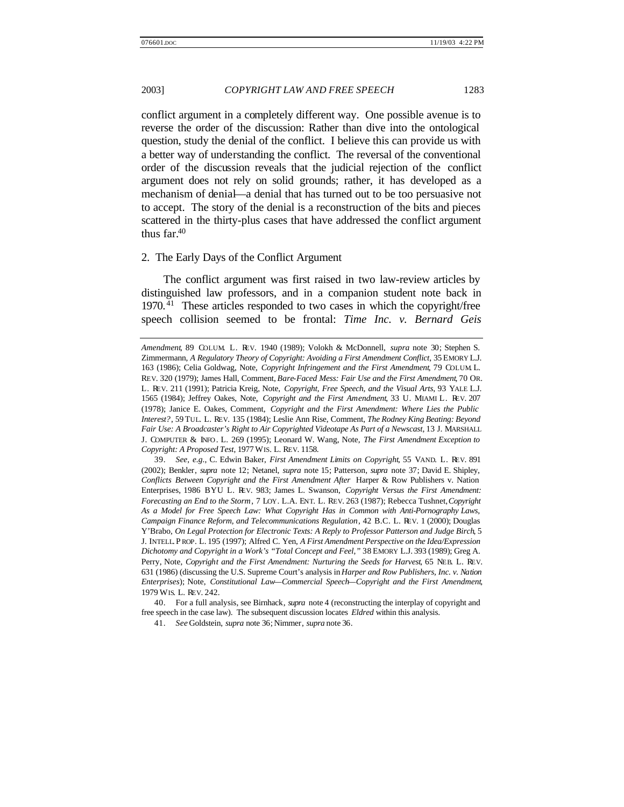conflict argument in a completely different way. One possible avenue is to reverse the order of the discussion: Rather than dive into the ontological question, study the denial of the conflict. I believe this can provide us with a better way of understanding the conflict. The reversal of the conventional order of the discussion reveals that the judicial rejection of the conflict argument does not rely on solid grounds; rather, it has developed as a mechanism of denial—a denial that has turned out to be too persuasive not to accept. The story of the denial is a reconstruction of the bits and pieces scattered in the thirty-plus cases that have addressed the conflict argument thus far. $40$ 

### 2. The Early Days of the Conflict Argument

The conflict argument was first raised in two law-review articles by distinguished law professors, and in a companion student note back in 1970.<sup>41</sup> These articles responded to two cases in which the copyright/free speech collision seemed to be frontal: *Time Inc. v. Bernard Geis*

41. *See* Goldstein, *supra* note 36; Nimmer, *supra* note 36.

*Amendment*, 89 COLUM. L. REV. 1940 (1989); Volokh & McDonnell, *supra* note 30; Stephen S. Zimmermann, *A Regulatory Theory of Copyright: Avoiding a First Amendment Conflict*, 35 EMORY L.J. 163 (1986); Celia Goldwag, Note, *Copyright Infringement and the First Amendment*, 79 COLUM. L. REV. 320 (1979); James Hall, Comment, *Bare-Faced Mess: Fair Use and the First Amendment*, 70 OR. L. REV. 211 (1991); Patricia Kreig, Note, *Copyright, Free Speech, and the Visual Arts*, 93 YALE L.J. 1565 (1984); Jeffrey Oakes, Note, *Copyright and the First Amendment*, 33 U. MIAMI L. REV. 207 (1978); Janice E. Oakes, Comment, *Copyright and the First Amendment: Where Lies the Public Interest?*, 59 TUL. L. REV. 135 (1984); Leslie Ann Rise, Comment, *The Rodney King Beating: Beyond Fair Use: A Broadcaster's Right to Air Copyrighted Videotape As Part of a Newscast*, 13 J. MARSHALL J. COMPUTER & INFO . L. 269 (1995); Leonard W. Wang, Note, *The First Amendment Exception to Copyright: A Proposed Test*, 1977 WIS. L. REV. 1158.

<sup>39.</sup> *See, e.g.*, C. Edwin Baker, *First Amendment Limits on Copyright*, 55 VAND. L. REV. 891 (2002); Benkler, *supra* note 12; Netanel, *supra* note 15; Patterson, *supra* note 37; David E. Shipley, *Conflicts Between Copyright and the First Amendment After* Harper & Row Publishers v. Nation Enterprises, 1986 BYU L. REV. 983; James L. Swanson, *Copyright Versus the First Amendment: Forecasting an End to the Storm*, 7 LOY. L.A. ENT. L. REV. 263 (1987); Rebecca Tushnet, *Copyright As a Model for Free Speech Law: What Copyright Has in Common with Anti-Pornography Laws, Campaign Finance Reform, and Telecommunications Regulation*, 42 B.C. L. REV. 1 (2000); Douglas Y'Brabo, *On Legal Protection for Electronic Texts: A Reply to Professor Patterson and Judge Birch*, 5 J. INTELL. P ROP. L. 195 (1997); Alfred C. Yen, *A First Amendment Perspective on the Idea/Expression Dichotomy and Copyright in a Work's "Total Concept and Feel*,*"* 38 EMORY L.J. 393 (1989); Greg A. Perry, Note, *Copyright and the First Amendment: Nurturing the Seeds for Harvest*, 65 NEB. L. REV. 631 (1986) (discussing the U.S. Supreme Court's analysis in *Harper and Row Publishers, Inc. v. Nation Enterprises*); Note, *Constitutional Law—Commercial Speech—Copyright and the First Amendment*, 1979 WIS. L. REV. 242.

<sup>40.</sup> For a full analysis, see Birnhack, *supra* note 4 (reconstructing the interplay of copyright and free speech in the case law). The subsequent discussion locates *Eldred* within this analysis.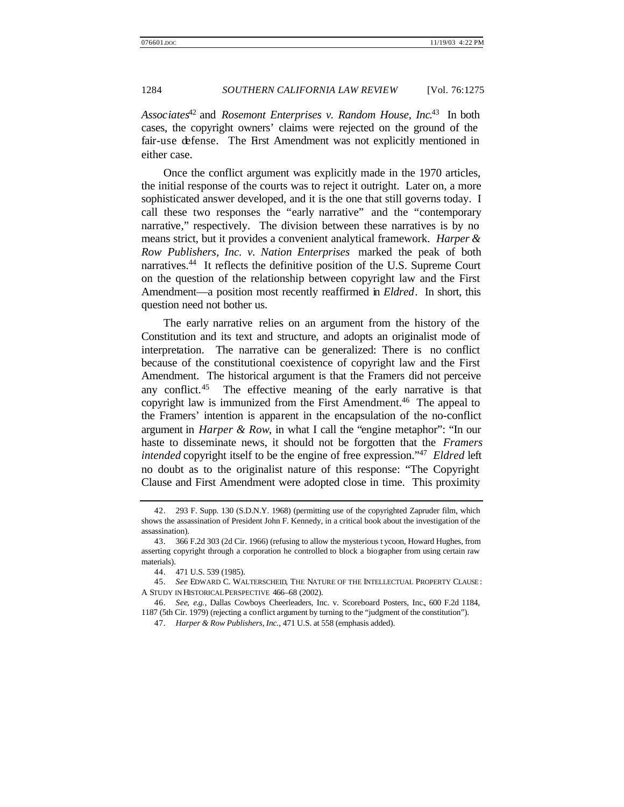*Associates*<sup>42</sup> and *Rosemont Enterprises v. Random House, Inc*. <sup>43</sup> In both cases, the copyright owners' claims were rejected on the ground of the fair-use defense. The First Amendment was not explicitly mentioned in either case.

Once the conflict argument was explicitly made in the 1970 articles, the initial response of the courts was to reject it outright. Later on, a more sophisticated answer developed, and it is the one that still governs today. I call these two responses the "early narrative" and the "contemporary narrative," respectively. The division between these narratives is by no means strict, but it provides a convenient analytical framework. *Harper & Row Publishers, Inc. v. Nation Enterprises* marked the peak of both narratives.<sup>44</sup> It reflects the definitive position of the U.S. Supreme Court on the question of the relationship between copyright law and the First Amendment—a position most recently reaffirmed in *Eldred*. In short, this question need not bother us.

The early narrative relies on an argument from the history of the Constitution and its text and structure, and adopts an originalist mode of interpretation. The narrative can be generalized: There is no conflict because of the constitutional coexistence of copyright law and the First Amendment. The historical argument is that the Framers did not perceive any conflict.<sup>45</sup> The effective meaning of the early narrative is that copyright law is immunized from the First Amendment.<sup>46</sup> The appeal to the Framers' intention is apparent in the encapsulation of the no-conflict argument in *Harper & Row*, in what I call the "engine metaphor": "In our haste to disseminate news, it should not be forgotten that the *Framers intended* copyright itself to be the engine of free expression."<sup>47</sup> *Eldred* left no doubt as to the originalist nature of this response: "The Copyright Clause and First Amendment were adopted close in time. This proximity

<sup>42.</sup> 293 F. Supp. 130 (S.D.N.Y. 1968) (permitting use of the copyrighted Zapruder film, which shows the assassination of President John F. Kennedy, in a critical book about the investigation of the assassination).

<sup>43.</sup> 366 F.2d 303 (2d Cir. 1966) (refusing to allow the mysterious t ycoon, Howard Hughes, from asserting copyright through a corporation he controlled to block a biographer from using certain raw materials).

<sup>44.</sup> 471 U.S. 539 (1985).

<sup>45.</sup> *See* EDWARD C. WALTERSCHEID, THE NATURE OF THE INTELLECTUAL PROPERTY CLAUSE : A STUDY IN HISTORICAL PERSPECTIVE 466–68 (2002).

<sup>46.</sup> *See, e.g.*, Dallas Cowboys Cheerleaders, Inc. v. Scoreboard Posters, Inc., 600 F.2d 1184, 1187 (5th Cir. 1979) (rejecting a conflict argument by turning to the "judgment of the constitution").

<sup>47.</sup> *Harper & Row Publishers, Inc.*, 471 U.S. at 558 (emphasis added).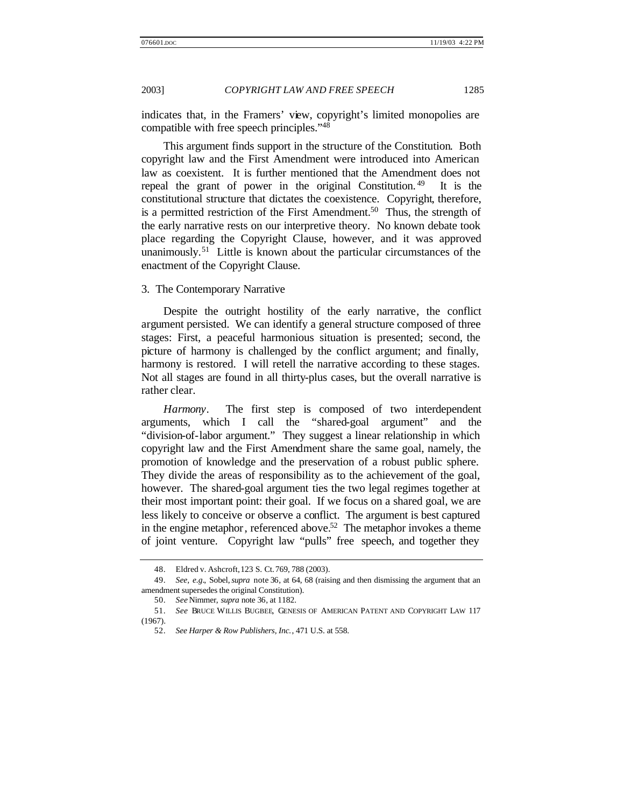indicates that, in the Framers' view, copyright's limited monopolies are compatible with free speech principles."<sup>48</sup>

This argument finds support in the structure of the Constitution. Both copyright law and the First Amendment were introduced into American law as coexistent. It is further mentioned that the Amendment does not repeal the grant of power in the original Constitution.<sup>49</sup> It is the constitutional structure that dictates the coexistence. Copyright, therefore, is a permitted restriction of the First Amendment.<sup>50</sup> Thus, the strength of the early narrative rests on our interpretive theory. No known debate took place regarding the Copyright Clause, however, and it was approved unanimously.<sup>51</sup> Little is known about the particular circumstances of the enactment of the Copyright Clause.

### 3. The Contemporary Narrative

Despite the outright hostility of the early narrative, the conflict argument persisted. We can identify a general structure composed of three stages: First, a peaceful harmonious situation is presented; second, the picture of harmony is challenged by the conflict argument; and finally, harmony is restored. I will retell the narrative according to these stages. Not all stages are found in all thirty-plus cases, but the overall narrative is rather clear.

*Harmony*. The first step is composed of two interdependent arguments, which I call the "shared-goal argument" and the "division-of-labor argument." They suggest a linear relationship in which copyright law and the First Amendment share the same goal, namely, the promotion of knowledge and the preservation of a robust public sphere. They divide the areas of responsibility as to the achievement of the goal, however. The shared-goal argument ties the two legal regimes together at their most important point: their goal. If we focus on a shared goal, we are less likely to conceive or observe a conflict. The argument is best captured in the engine metaphor, referenced above.<sup>52</sup> The metaphor invokes a theme of joint venture. Copyright law "pulls" free speech, and together they

<sup>48.</sup> Eldred v. Ashcroft, 123 S. Ct. 769, 788 (2003).

<sup>49.</sup> *See, e.g.*, Sobel, *supra* note 36, at 64, 68 (raising and then dismissing the argument that an amendment supersedes the original Constitution).

<sup>50.</sup> *See* Nimmer, *supra* note 36, at 1182.

<sup>51.</sup> *See* BRUCE WILLIS BUGBEE, GENESIS OF AMERICAN PATENT AND COPYRIGHT LAW 117 (1967).

<sup>52.</sup> *See Harper & Row Publishers, Inc.*, 471 U.S. at 558.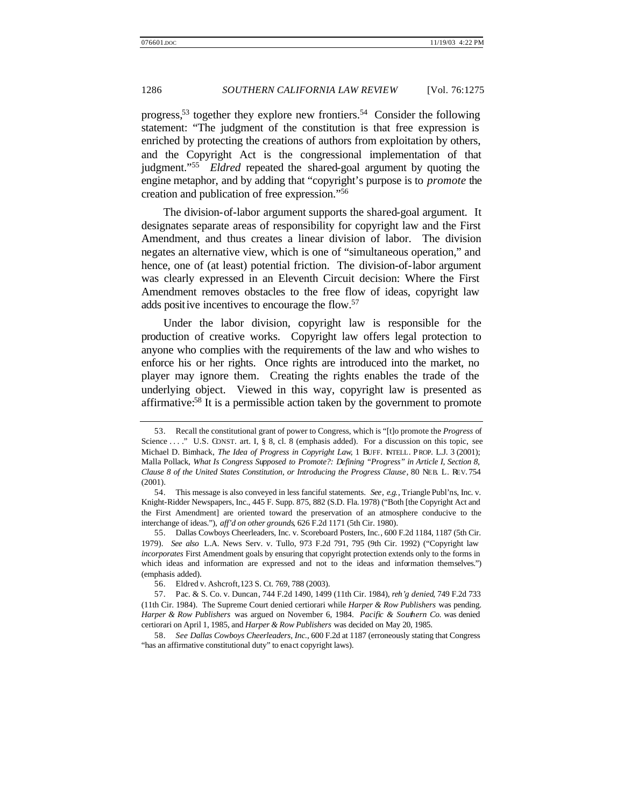progress,<sup>53</sup> together they explore new frontiers.<sup>54</sup> Consider the following statement: "The judgment of the constitution is that free expression is enriched by protecting the creations of authors from exploitation by others, and the Copyright Act is the congressional implementation of that judgment."<sup>55</sup> *Eldred* repeated the shared-goal argument by quoting the engine metaphor, and by adding that "copyright's purpose is to *promote* the creation and publication of free expression."<sup>56</sup>

The division-of-labor argument supports the shared-goal argument. It designates separate areas of responsibility for copyright law and the First Amendment, and thus creates a linear division of labor. The division negates an alternative view, which is one of "simultaneous operation," and hence, one of (at least) potential friction. The division-of-labor argument was clearly expressed in an Eleventh Circuit decision: Where the First Amendment removes obstacles to the free flow of ideas, copyright law adds positive incentives to encourage the flow.<sup>57</sup>

Under the labor division, copyright law is responsible for the production of creative works. Copyright law offers legal protection to anyone who complies with the requirements of the law and who wishes to enforce his or her rights. Once rights are introduced into the market, no player may ignore them. Creating the rights enables the trade of the underlying object. Viewed in this way, copyright law is presented as affirmative:<sup>58</sup> It is a permissible action taken by the government to promote

58. *See Dallas Cowboys Cheerleaders, Inc.*, 600 F.2d at 1187 (erroneously stating that Congress "has an affirmative constitutional duty" to enact copyright laws).

<sup>53.</sup> Recall the constitutional grant of power to Congress, which is "[t]o promote the *Progress* of Science ...." U.S. CONST. art. I, § 8, cl. 8 (emphasis added). For a discussion on this topic, see Michael D. Birnhack, *The Idea of Progress in Copyright Law*, 1 BUFF. INTELL. PROP. L.J. 3 (2001); Malla Pollack, *What Is Congress Supposed to Promote?: Defining "Progress" in Article I, Section 8, Clause 8 of the United States Constitution, or Introducing the Progress Clause*, 80 NEB. L. REV. 754 (2001).

<sup>54.</sup> This message is also conveyed in less fanciful statements. *See, e.g.*, Triangle Publ'ns, Inc. v. Knight-Ridder Newspapers, Inc., 445 F. Supp. 875, 882 (S.D. Fla. 1978) ("Both [the Copyright Act and the First Amendment] are oriented toward the preservation of an atmosphere conducive to the interchange of ideas."), *aff'd on other grounds*, 626 F.2d 1171 (5th Cir. 1980).

<sup>55.</sup> Dallas Cowboys Cheerleaders, Inc. v. Scoreboard Posters, Inc., 600 F.2d 1184, 1187 (5th Cir. 1979). *See also* L.A. News Serv. v. Tullo, 973 F.2d 791, 795 (9th Cir. 1992) ("Copyright law *incorporates* First Amendment goals by ensuring that copyright protection extends only to the forms in which ideas and information are expressed and not to the ideas and information themselves.") (emphasis added).

<sup>56.</sup> Eldred v. Ashcroft, 123 S. Ct. 769, 788 (2003).

<sup>57.</sup> Pac. & S. Co. v. Duncan, 744 F.2d 1490, 1499 (11th Cir. 1984), *reh'g denied*, 749 F.2d 733 (11th Cir. 1984). The Supreme Court denied certiorari while *Harper & Row Publishers* was pending. *Harper & Row Publishers* was argued on November 6, 1984. *Pacific & Southern Co.* was denied certiorari on April 1, 1985, and *Harper & Row Publishers* was decided on May 20, 1985.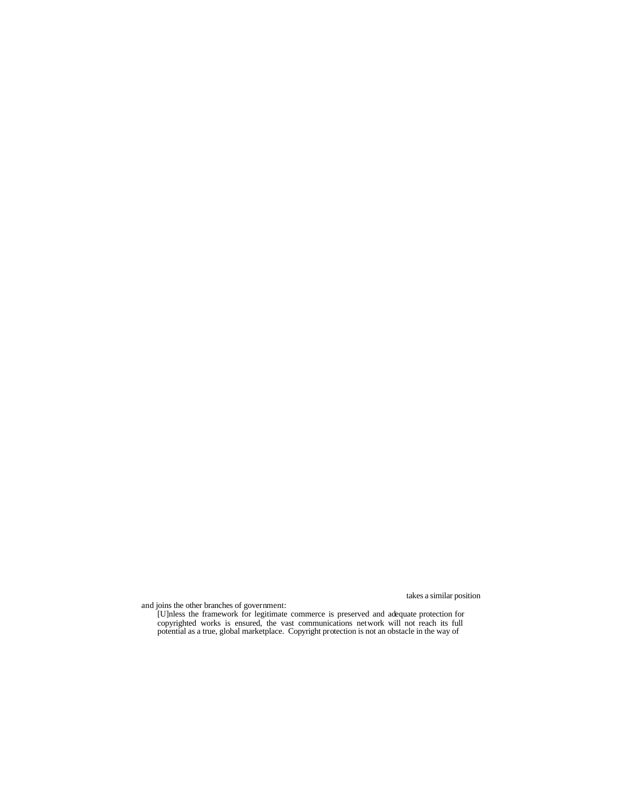recent and elaborate expression of the government's position on copyright law takes a similar position

and joins the other branches of government:

[U]nless the framework for legitimate commerce is preserved and adequate protection for copyrighted works is ensured, the vast communications network will not reach its full potential as a true, global marketplace. Copyright protection is not an obstacle in the way of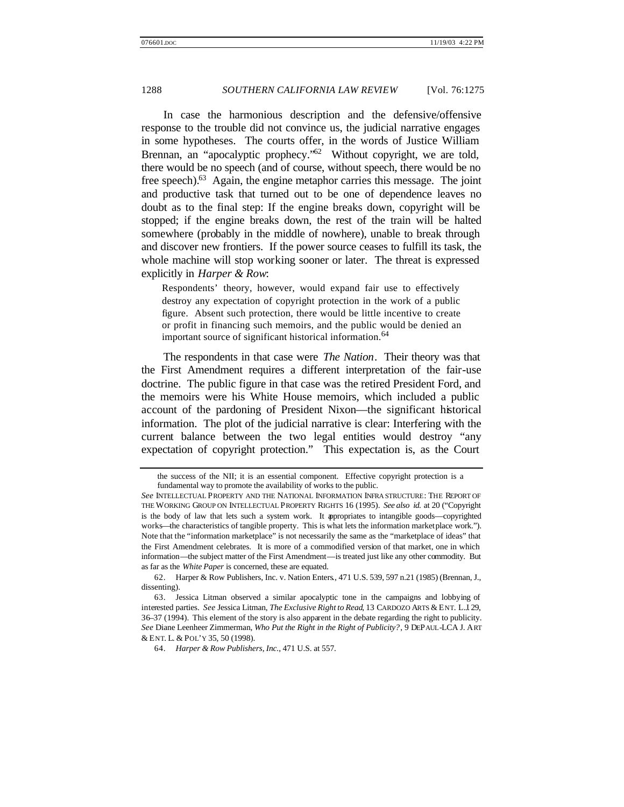In case the harmonious description and the defensive/offensive response to the trouble did not convince us, the judicial narrative engages in some hypotheses. The courts offer, in the words of Justice William Brennan, an "apocalyptic prophecy."<sup>62</sup> Without copyright, we are told, there would be no speech (and of course, without speech, there would be no free speech).<sup>63</sup> Again, the engine metaphor carries this message. The joint and productive task that turned out to be one of dependence leaves no doubt as to the final step: If the engine breaks down, copyright will be stopped; if the engine breaks down, the rest of the train will be halted somewhere (probably in the middle of nowhere), unable to break through and discover new frontiers. If the power source ceases to fulfill its task, the whole machine will stop working sooner or later. The threat is expressed explicitly in *Harper & Row*:

Respondents' theory, however, would expand fair use to effectively destroy any expectation of copyright protection in the work of a public figure. Absent such protection, there would be little incentive to create or profit in financing such memoirs, and the public would be denied an important source of significant historical information.<sup>64</sup>

The respondents in that case were *The Nation*. Their theory was that the First Amendment requires a different interpretation of the fair-use doctrine. The public figure in that case was the retired President Ford, and the memoirs were his White House memoirs, which included a public account of the pardoning of President Nixon—the significant historical information. The plot of the judicial narrative is clear: Interfering with the current balance between the two legal entities would destroy "any expectation of copyright protection." This expectation is, as the Court

the success of the NII; it is an essential component. Effective copyright protection is a fundamental way to promote the availability of works to the public.

*See* INTELLECTUAL PROPERTY AND THE NATIONAL INFORMATION INFRA STRUCTURE: THE REPORT OF THE WORKING GROUP ON INTELLECTUAL PROPERTY RIGHTS 16 (1995). *See also id.* at 20 ("Copyright is the body of law that lets such a system work. It appropriates to intangible goods—copyrighted works—the characteristics of tangible property. This is what lets the information marketplace work."). Note that the "information marketplace" is not necessarily the same as the "marketplace of ideas" that the First Amendment celebrates. It is more of a commodified version of that market, one in which information—the subject matter of the First Amendment—is treated just like any other commodity. But as far as the *White Paper* is concerned, these are equated.

<sup>62.</sup> Harper & Row Publishers, Inc. v. Nation Enters., 471 U.S. 539, 597 n.21 (1985) (Brennan, J., dissenting).

<sup>63.</sup> Jessica Litman observed a similar apocalyptic tone in the campaigns and lobbying of interested parties. *See* Jessica Litman, *The Exclusive Right to Read*, 13 CARDOZO ARTS & ENT. L.J. 29, 36–37 (1994). This element of the story is also apparent in the debate regarding the right to publicity. *See* Diane Leenheer Zimmerman, *Who Put the Right in the Right of Publicity?*, 9 DEPAUL-LCA J. ART & ENT. L. & POL'Y 35, 50 (1998).

<sup>64.</sup> *Harper & Row Publishers, Inc.*, 471 U.S. at 557.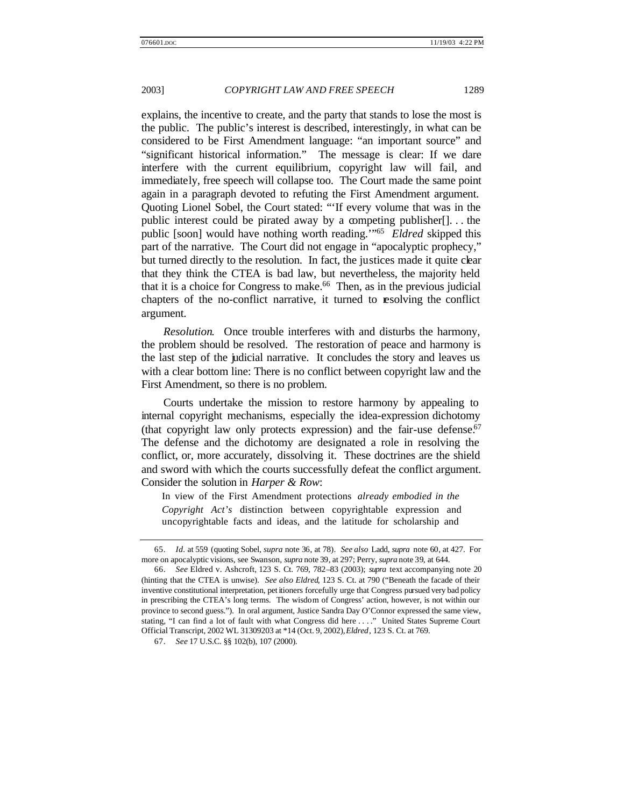explains, the incentive to create, and the party that stands to lose the most is the public. The public's interest is described, interestingly, in what can be considered to be First Amendment language: "an important source" and "significant historical information." The message is clear: If we dare interfere with the current equilibrium, copyright law will fail, and immediately, free speech will collapse too. The Court made the same point again in a paragraph devoted to refuting the First Amendment argument. Quoting Lionel Sobel, the Court stated: "'If every volume that was in the public interest could be pirated away by a competing publisher[]. . . the public [soon] would have nothing worth reading.'"<sup>65</sup> *Eldred* skipped this part of the narrative. The Court did not engage in "apocalyptic prophecy," but turned directly to the resolution. In fact, the justices made it quite clear that they think the CTEA is bad law, but nevertheless, the majority held that it is a choice for Congress to make.<sup>66</sup> Then, as in the previous judicial chapters of the no-conflict narrative, it turned to resolving the conflict argument.

*Resolution*. Once trouble interferes with and disturbs the harmony, the problem should be resolved. The restoration of peace and harmony is the last step of the judicial narrative. It concludes the story and leaves us with a clear bottom line: There is no conflict between copyright law and the First Amendment, so there is no problem.

Courts undertake the mission to restore harmony by appealing to internal copyright mechanisms, especially the idea-expression dichotomy (that copyright law only protects expression) and the fair-use defense.<sup>67</sup> The defense and the dichotomy are designated a role in resolving the conflict, or, more accurately, dissolving it. These doctrines are the shield and sword with which the courts successfully defeat the conflict argument. Consider the solution in *Harper & Row*:

In view of the First Amendment protections *already embodied in the Copyright Act's* distinction between copyrightable expression and uncopyrightable facts and ideas, and the latitude for scholarship and

<sup>65.</sup> *Id.* at 559 (quoting Sobel, *supra* note 36, at 78). *See also* Ladd, *supra* note 60, at 427. For more on apocalyptic visions, see Swanson, *supra* note 39, at 297; Perry, *supra* note 39, at 644.

<sup>66.</sup> *See* Eldred v. Ashcroft, 123 S. Ct. 769, 782–83 (2003); *supra* text accompanying note 20 (hinting that the CTEA is unwise). *See also Eldred*, 123 S. Ct. at 790 ("Beneath the facade of their inventive constitutional interpretation, pet itioners forcefully urge that Congress pursued very bad policy in prescribing the CTEA's long terms. The wisdom of Congress' action, however, is not within our province to second guess."). In oral argument, Justice Sandra Day O'Connor expressed the same view, stating, "I can find a lot of fault with what Congress did here . . . ." United States Supreme Court Official Transcript, 2002 WL 31309203 at \*14 (Oct. 9, 2002), *Eldred*, 123 S. Ct. at 769.

<sup>67.</sup> *See* 17 U.S.C. §§ 102(b), 107 (2000).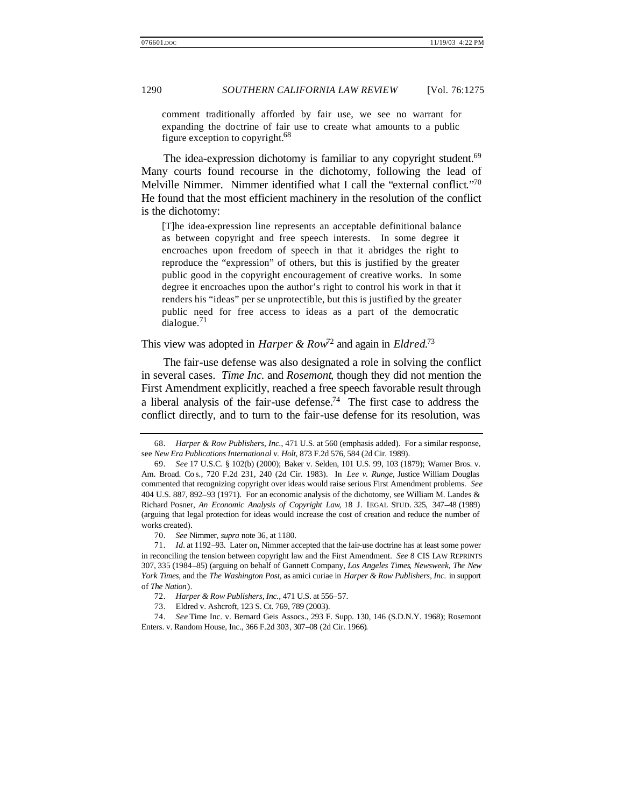comment traditionally afforded by fair use, we see no warrant for expanding the doctrine of fair use to create what amounts to a public figure exception to copyright.<sup>68</sup>

The idea-expression dichotomy is familiar to any copyright student.<sup>69</sup> Many courts found recourse in the dichotomy, following the lead of Melville Nimmer. Nimmer identified what I call the "external conflict."70 He found that the most efficient machinery in the resolution of the conflict is the dichotomy:

[T]he idea-expression line represents an acceptable definitional balance as between copyright and free speech interests. In some degree it encroaches upon freedom of speech in that it abridges the right to reproduce the "expression" of others, but this is justified by the greater public good in the copyright encouragement of creative works. In some degree it encroaches upon the author's right to control his work in that it renders his "ideas" per se unprotectible, but this is justified by the greater public need for free access to ideas as a part of the democratic  $dialogue.<sup>71</sup>$ 

# This view was adopted in *Harper & Row*<sup>72</sup> and again in *Eldred*. 73

The fair-use defense was also designated a role in solving the conflict in several cases. *Time Inc.* and *Rosemont*, though they did not mention the First Amendment explicitly, reached a free speech favorable result through a liberal analysis of the fair-use defense.<sup>74</sup> The first case to address the conflict directly, and to turn to the fair-use defense for its resolution, was

<sup>68.</sup> *Harper & Row Publishers, Inc.*, 471 U.S. at 560 (emphasis added). For a similar response, see *New Era Publications International v. Holt*, 873 F.2d 576, 584 (2d Cir. 1989).

<sup>69.</sup> *See* 17 U.S.C. § 102(b) (2000); Baker v. Selden, 101 U.S. 99, 103 (1879); Warner Bros. v. Am. Broad. Co s., 720 F.2d 231, 240 (2d Cir. 1983). In *Lee v. Runge*, Justice William Douglas commented that recognizing copyright over ideas would raise serious First Amendment problems. *See* 404 U.S. 887, 892–93 (1971). For an economic analysis of the dichotomy, see William M. Landes & Richard Posner, *An Economic Analysis of Copyright Law*, 18 J. LEGAL STUD. 325, 347–48 (1989) (arguing that legal protection for ideas would increase the cost of creation and reduce the number of works created).

<sup>70.</sup> *See* Nimmer, *supra* note 36, at 1180.

<sup>71.</sup> *Id.* at 1192–93. Later on, Nimmer accepted that the fair-use doctrine has at least some power in reconciling the tension between copyright law and the First Amendment. *See* 8 CIS LAW REPRINTS 307, 335 (1984–85) (arguing on behalf of Gannett Company, *Los Angeles Times*, *Newsweek*, *The New York Times*, and the *The Washington Post*, as amici curiae in *Harper & Row Publishers, Inc.* in support of *The Nation*).

<sup>72.</sup> *Harper & Row Publishers, Inc.*, 471 U.S. at 556–57.

<sup>73.</sup> Eldred v. Ashcroft, 123 S. Ct. 769, 789 (2003).

<sup>74.</sup> *See* Time Inc. v. Bernard Geis Assocs., 293 F. Supp. 130, 146 (S.D.N.Y. 1968); Rosemont Enters. v. Random House, Inc., 366 F.2d 303, 307–08 (2d Cir. 1966).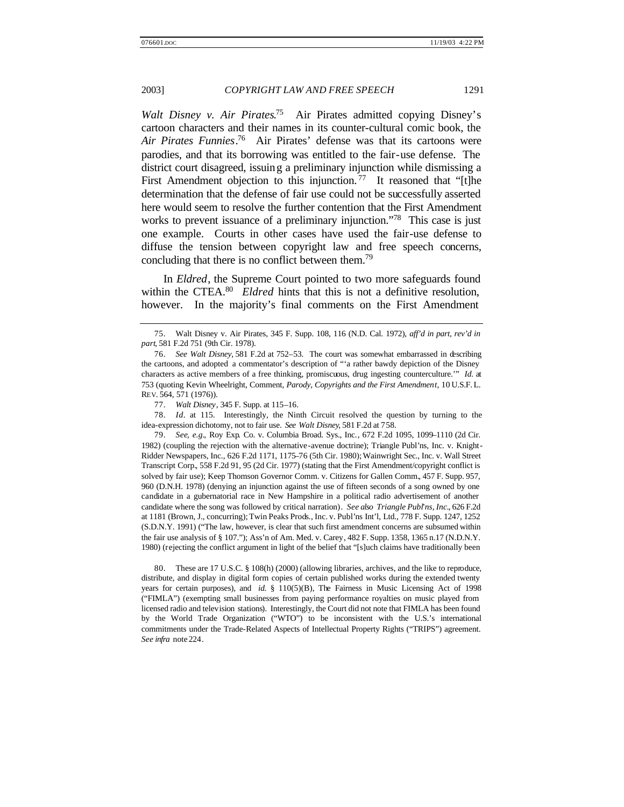Walt Disney v. Air Pirates.<sup>75</sup> Air Pirates admitted copying Disney's cartoon characters and their names in its counter-cultural comic book, the *Air Pirates Funnies*. <sup>76</sup> Air Pirates' defense was that its cartoons were parodies, and that its borrowing was entitled to the fair-use defense. The district court disagreed, issuing a preliminary injunction while dismissing a First Amendment objection to this injunction.<sup>77</sup> It reasoned that "[t]he determination that the defense of fair use could not be successfully asserted here would seem to resolve the further contention that the First Amendment works to prevent issuance of a preliminary injunction."<sup>78</sup> This case is just one example. Courts in other cases have used the fair-use defense to diffuse the tension between copyright law and free speech concerns, concluding that there is no conflict between them.<sup>79</sup>

In *Eldred*, the Supreme Court pointed to two more safeguards found within the CTEA.<sup>80</sup> *Eldred* hints that this is not a definitive resolution, however. In the majority's final comments on the First Amendment

78. *Id*. at 115. Interestingly, the Ninth Circuit resolved the question by turning to the idea-expression dichotomy, not to fair use. *See Walt Disney*, 581 F.2d at 758.

79. *See, e.g.*, Roy Exp. Co. v. Columbia Broad. Sys., Inc., 672 F.2d 1095, 1099–1110 (2d Cir. 1982) (coupling the rejection with the alternative-avenue doctrine); Triangle Publ'ns, Inc. v. Knight-Ridder Newspapers, Inc., 626 F.2d 1171, 1175–76 (5th Cir. 1980); Wainwright Sec., Inc. v. Wall Street Transcript Corp., 558 F.2d 91, 95 (2d Cir. 1977) (stating that the First Amendment/copyright conflict is solved by fair use); Keep Thomson Governor Comm. v. Citizens for Gallen Comm., 457 F. Supp. 957, 960 (D.N.H. 1978) (denying an injunction against the use of fifteen seconds of a song owned by one candidate in a gubernatorial race in New Hampshire in a political radio advertisement of another candidate where the song was followed by critical narration). *See also Triangle Publ'ns, Inc.*, 626 F.2d at 1181 (Brown, J., concurring); Twin Peaks Prods., Inc. v. Publ'ns Int'l, Ltd., 778 F. Supp. 1247, 1252 (S.D.N.Y. 1991) ("The law, however, is clear that such first amendment concerns are subsumed within the fair use analysis of § 107."); Ass'n of Am. Med. v. Carey, 482 F. Supp. 1358, 1365 n.17 (N.D.N.Y. 1980) (rejecting the conflict argument in light of the belief that "[s]uch claims have traditionally been

80. These are 17 U.S.C. § 108(h) (2000) (allowing libraries, archives, and the like to reproduce, distribute, and display in digital form copies of certain published works during the extended twenty years for certain purposes), and *id.* § 110(5)(B), The Fairness in Music Licensing Act of 1998 ("FIMLA") (exempting small businesses from paying performance royalties on music played from licensed radio and television stations). Interestingly, the Court did not note that FIMLA has been found by the World Trade Organization ("WTO") to be inconsistent with the U.S.'s international commitments under the Trade-Related Aspects of Intellectual Property Rights ("TRIPS") agreement. *See infra* note 224.

<sup>75.</sup> Walt Disney v. Air Pirates, 345 F. Supp. 108, 116 (N.D. Cal. 1972), *aff'd in part, rev'd in part*, 581 F.2d 751 (9th Cir. 1978).

<sup>76.</sup> *See Walt Disney*, 581 F.2d at 752–53. The court was somewhat embarrassed in describing the cartoons, and adopted a commentator's description of "'a rather bawdy depiction of the Disney characters as active members of a free thinking, promiscuous, drug ingesting counterculture.'" *Id.* at 753 (quoting Kevin Wheelright, Comment, *Parody, Copyrights and the First Amendment*, 10 U.S.F. L. REV. 564, 571 (1976)).

<sup>77.</sup> *Walt Disney*, 345 F. Supp. at 115–16.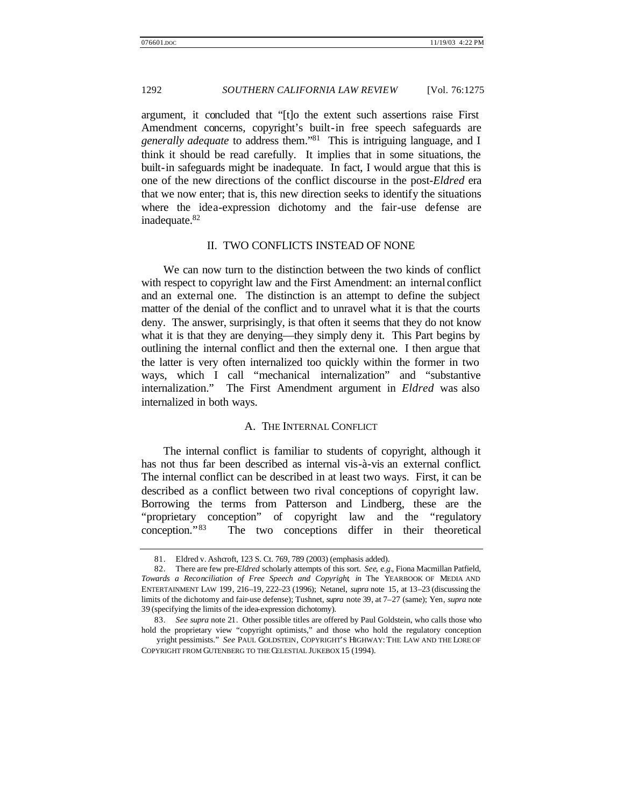argument, it concluded that "[t]o the extent such assertions raise First Amendment concerns, copyright's built-in free speech safeguards are *generally adequate* to address them."<sup>81</sup> This is intriguing language, and I think it should be read carefully. It implies that in some situations, the built-in safeguards might be inadequate. In fact, I would argue that this is one of the new directions of the conflict discourse in the post-*Eldred* era that we now enter; that is, this new direction seeks to identify the situations where the idea-expression dichotomy and the fair-use defense are inadequate.<sup>82</sup>

#### II. TWO CONFLICTS INSTEAD OF NONE

We can now turn to the distinction between the two kinds of conflict with respect to copyright law and the First Amendment: an internal conflict and an external one. The distinction is an attempt to define the subject matter of the denial of the conflict and to unravel what it is that the courts deny. The answer, surprisingly, is that often it seems that they do not know what it is that they are denying—they simply deny it. This Part begins by outlining the internal conflict and then the external one. I then argue that the latter is very often internalized too quickly within the former in two ways, which I call "mechanical internalization" and "substantive internalization." The First Amendment argument in *Eldred* was also internalized in both ways.

#### A. THE INTERNAL CONFLICT

The internal conflict is familiar to students of copyright, although it has not thus far been described as internal vis-à-vis an external conflict. The internal conflict can be described in at least two ways. First, it can be described as a conflict between two rival conceptions of copyright law. Borrowing the terms from Patterson and Lindberg, these are the "proprietary conception" of copyright law and the "regulatory conception."<sup>83</sup> The two conceptions differ in their theoretical

<sup>81.</sup> Eldred v. Ashcroft, 123 S. Ct. 769, 789 (2003) (emphasis added).

<sup>82.</sup> There are few pre-*Eldred* scholarly attempts of this sort. *See, e.g.*, Fiona Macmillan Patfield, *Towards a Reconciliation of Free Speech and Copyright*, *in* The YEARBOOK OF MEDIA AND ENTERTAINMENT LAW 199, 216–19, 222–23 (1996); Netanel, *supra* note 15, at 13–23 (discussing the limits of the dichotomy and fair-use defense); Tushnet, *supra* note 39, at 7–27 (same); Yen, *supra* note 39 (specifying the limits of the idea-expression dichotomy).

<sup>83.</sup> *See supra* note 21. Other possible titles are offered by Paul Goldstein, who calls those who hold the proprietary view "copyright optimists," and those who hold the regulatory conception

yright pessimists." See PAUL GOLDSTEIN, COPYRIGHT'S HIGHWAY: THE LAW AND THE LORE OF COPYRIGHT FROM GUTENBERG TO THE CELESTIAL JUKEBOX 15 (1994).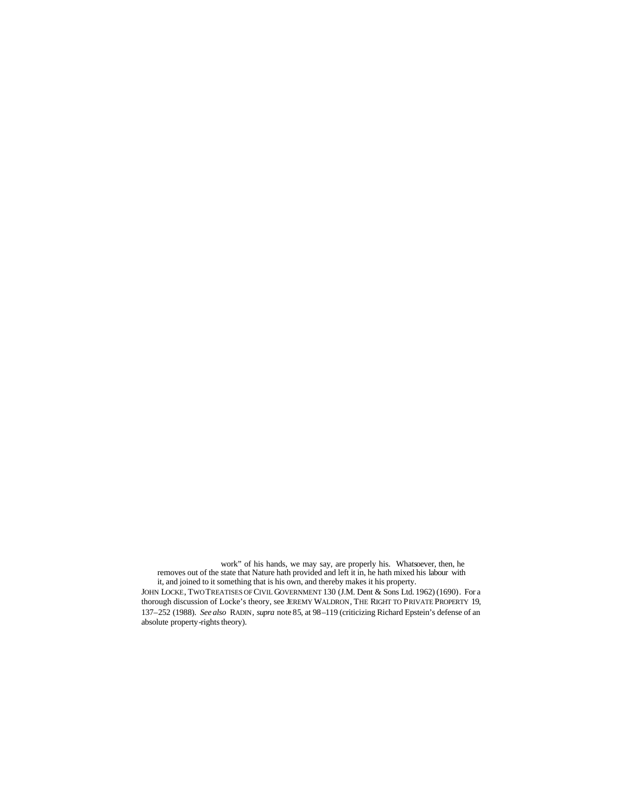work" of his hands, we may say, are properly his. Whatsoever, then, he removes out of the state that Nature hath provided and left it in, he hath mixed his labour with it, and joined to it something that is his own, and thereby makes it his property. JOHN LOCKE, TWO TREATISES OF CIVIL GOVERNMENT 130 (J.M. Dent & Sons Ltd. 1962) (1690). For a thorough discussion of Locke's theory, see JEREMY WALDRON, THE RIGHT TO PRIVATE PROPERTY 19, 137–252 (1988). *See also* RADIN, *supra* note 85, at 98–119 (criticizing Richard Epstein's defense of an absolute property-rights theory).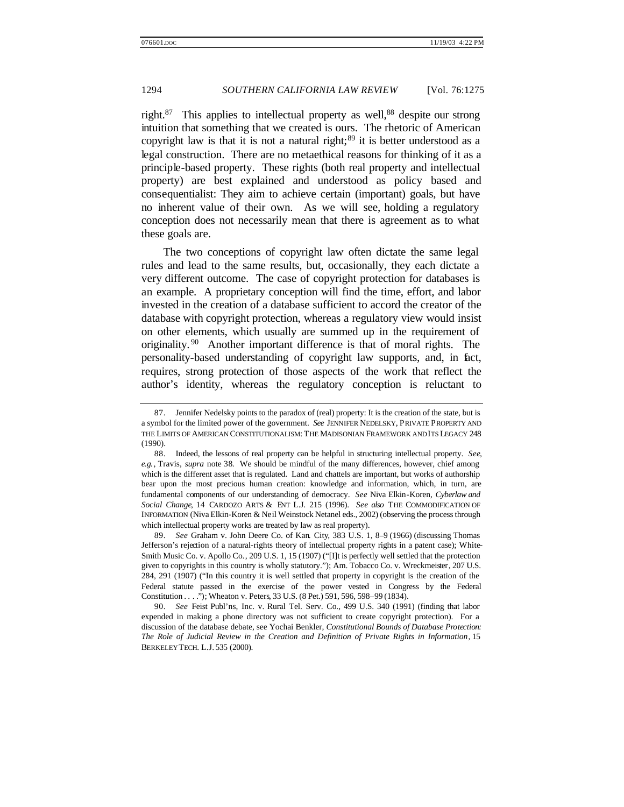right. $87$  This applies to intellectual property as well,  $88$  despite our strong intuition that something that we created is ours. The rhetoric of American copyright law is that it is not a natural right; $89$  it is better understood as a legal construction. There are no metaethical reasons for thinking of it as a principle-based property. These rights (both real property and intellectual property) are best explained and understood as policy based and consequentialist: They aim to achieve certain (important) goals, but have no inherent value of their own. As we will see, holding a regulatory conception does not necessarily mean that there is agreement as to what these goals are.

The two conceptions of copyright law often dictate the same legal rules and lead to the same results, but, occasionally, they each dictate a very different outcome. The case of copyright protection for databases is an example. A proprietary conception will find the time, effort, and labor invested in the creation of a database sufficient to accord the creator of the database with copyright protection, whereas a regulatory view would insist on other elements, which usually are summed up in the requirement of originality. <sup>90</sup> Another important difference is that of moral rights. The personality-based understanding of copyright law supports, and, in fact, requires, strong protection of those aspects of the work that reflect the author's identity, whereas the regulatory conception is reluctant to

89. *See* Graham v. John Deere Co. of Kan. City, 383 U.S. 1, 8–9 (1966) (discussing Thomas Jefferson's rejection of a natural-rights theory of intellectual property rights in a patent case); White-Smith Music Co. v. Apollo Co., 209 U.S. 1, 15 (1907) ("[I]t is perfectly well settled that the protection given to copyrights in this country is wholly statutory."); Am. Tobacco Co. v. Wreckmeister, 207 U.S. 284, 291 (1907) ("In this country it is well settled that property in copyright is the creation of the Federal statute passed in the exercise of the power vested in Congress by the Federal Constitution . . . ."); Wheaton v. Peters, 33 U.S. (8 Pet.) 591, 596, 598–99 (1834).

90. *See* Feist Publ'ns, Inc. v. Rural Tel. Serv. Co., 499 U.S. 340 (1991) (finding that labor expended in making a phone directory was not sufficient to create copyright protection). For a discussion of the database debate, see Yochai Benkler, *Constitutional Bounds of Database Protection: The Role of Judicial Review in the Creation and Definition of Private Rights in Information*, 15 BERKELEY TECH. L.J. 535 (2000).

<sup>87.</sup> Jennifer Nedelsky points to the paradox of (real) property: It is the creation of the state, but is a symbol for the limited power of the government. *See* JENNIFER NEDELSKY, PRIVATE PROPERTY AND THE LIMITS OF AMERICAN CONSTITUTIONALISM: THE MADISONIAN FRAMEWORK AND ITS LEGACY 248 (1990).

<sup>88.</sup> Indeed, the lessons of real property can be helpful in structuring intellectual property. *See, e.g.*, Travis, *supra* note 38. We should be mindful of the many differences, however, chief among which is the different asset that is regulated. Land and chattels are important, but works of authorship bear upon the most precious human creation: knowledge and information, which, in turn, are fundamental components of our understanding of democracy. *See* Niva Elkin-Koren, *Cyberlaw and Social Change*, 14 CARDOZO ARTS & ENT L.J. 215 (1996). *See also* THE COMMODIFICATION OF INFORMATION (Niva Elkin-Koren & Neil Weinstock Netanel eds., 2002) (observing the process through which intellectual property works are treated by law as real property).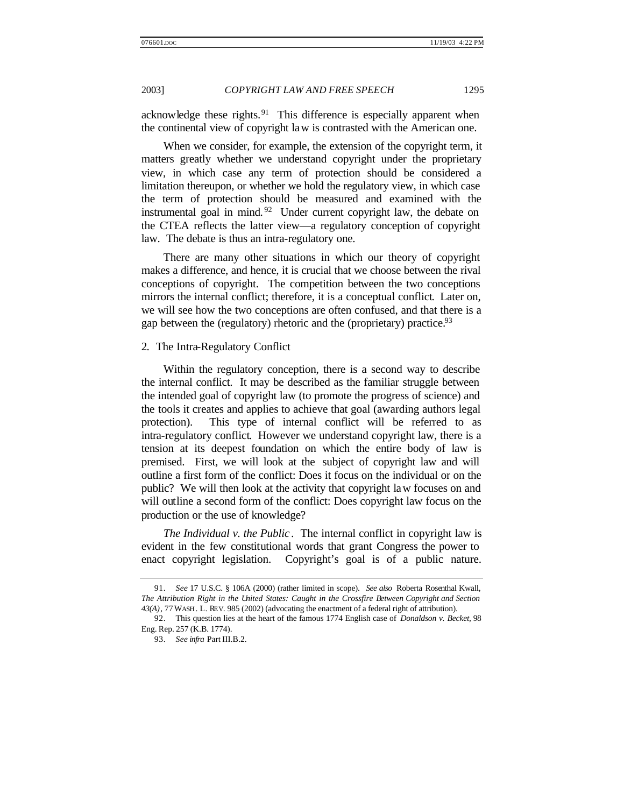acknowledge these rights. $91$  This difference is especially apparent when the continental view of copyright law is contrasted with the American one.

When we consider, for example, the extension of the copyright term, it matters greatly whether we understand copyright under the proprietary view, in which case any term of protection should be considered a limitation thereupon, or whether we hold the regulatory view, in which case the term of protection should be measured and examined with the instrumental goal in mind.  $92$  Under current copyright law, the debate on the CTEA reflects the latter view—a regulatory conception of copyright law. The debate is thus an intra-regulatory one.

There are many other situations in which our theory of copyright makes a difference, and hence, it is crucial that we choose between the rival conceptions of copyright. The competition between the two conceptions mirrors the internal conflict; therefore, it is a conceptual conflict. Later on, we will see how the two conceptions are often confused, and that there is a gap between the (regulatory) rhetoric and the (proprietary) practice.<sup>93</sup>

### 2. The Intra-Regulatory Conflict

Within the regulatory conception, there is a second way to describe the internal conflict. It may be described as the familiar struggle between the intended goal of copyright law (to promote the progress of science) and the tools it creates and applies to achieve that goal (awarding authors legal protection). This type of internal conflict will be referred to as intra-regulatory conflict. However we understand copyright law, there is a tension at its deepest foundation on which the entire body of law is premised. First, we will look at the subject of copyright law and will outline a first form of the conflict: Does it focus on the individual or on the public? We will then look at the activity that copyright law focuses on and will outline a second form of the conflict: Does copyright law focus on the production or the use of knowledge?

*The Individual v. the Public* . The internal conflict in copyright law is evident in the few constitutional words that grant Congress the power to enact copyright legislation. Copyright's goal is of a public nature.

<sup>91.</sup> *See* 17 U.S.C. § 106A (2000) (rather limited in scope). *See also* Roberta Rosenthal Kwall, *The Attribution Right in the United States: Caught in the Crossfire Between Copyright and Section 43(A)*, 77 WASH . L. REV. 985 (2002) (advocating the enactment of a federal right of attribution).

<sup>92.</sup> This question lies at the heart of the famous 1774 English case of *Donaldson v. Becket*, 98 Eng. Rep. 257 (K.B. 1774).

<sup>93.</sup> *See infra* Part III.B.2.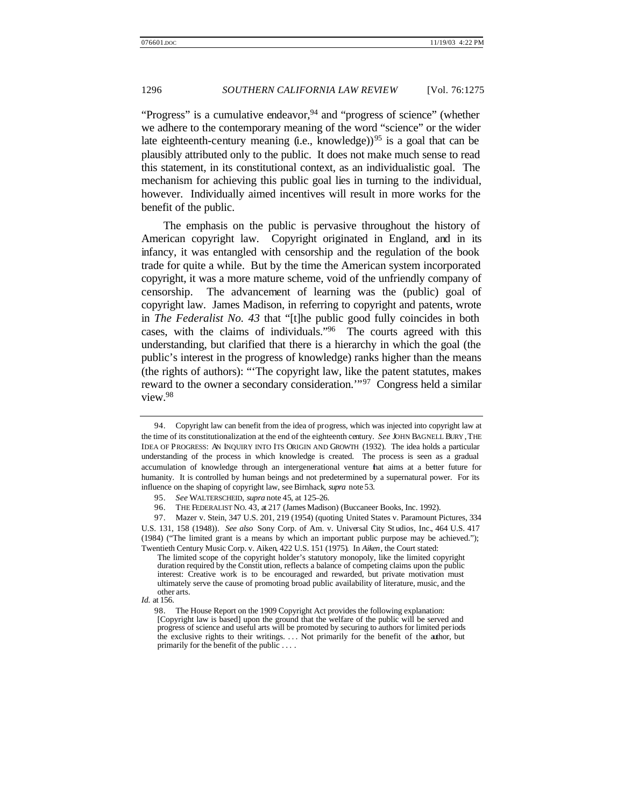"Progress" is a cumulative endeavor,  $94$  and "progress of science" (whether we adhere to the contemporary meaning of the word "science" or the wider late eighteenth-century meaning (i.e., knowledge))<sup>95</sup> is a goal that can be plausibly attributed only to the public. It does not make much sense to read this statement, in its constitutional context, as an individualistic goal. The mechanism for achieving this public goal lies in turning to the individual, however. Individually aimed incentives will result in more works for the benefit of the public.

The emphasis on the public is pervasive throughout the history of American copyright law. Copyright originated in England, and in its infancy, it was entangled with censorship and the regulation of the book trade for quite a while. But by the time the American system incorporated copyright, it was a more mature scheme, void of the unfriendly company of censorship. The advancement of learning was the (public) goal of copyright law. James Madison, in referring to copyright and patents, wrote in *The Federalist No. 43* that "[t]he public good fully coincides in both cases, with the claims of individuals."<sup>96</sup> The courts agreed with this understanding, but clarified that there is a hierarchy in which the goal (the public's interest in the progress of knowledge) ranks higher than the means (the rights of authors): "'The copyright law, like the patent statutes, makes reward to the owner a secondary consideration.'"<sup>97</sup> Congress held a similar view.<sup>98</sup>

<sup>94.</sup> Copyright law can benefit from the idea of progress, which was injected into copyright law at the time of its constitutionalization at the end of the eighteenth century. *See* JOHN BAGNELL BURY , THE IDEA OF PROGRESS: AN INQUIRY INTO ITS ORIGIN AND GROWTH (1932). The idea holds a particular understanding of the process in which knowledge is created. The process is seen as a gradual accumulation of knowledge through an intergenerational venture that aims at a better future for humanity. It is controlled by human beings and not predetermined by a supernatural power. For its influence on the shaping of copyright law, see Birnhack, *supra* note 53.

<sup>95.</sup> *See* WALTERSCHEID, *supra* note 45, at 125–26.

<sup>96.</sup> THE FEDERALIST NO. 43, at 217 (James Madison) (Buccaneer Books, Inc. 1992).

<sup>97.</sup> Mazer v. Stein, 347 U.S. 201, 219 (1954) (quoting United States v. Paramount Pictures, 334 U.S. 131, 158 (1948)). *See also* Sony Corp. of Am. v. Universal City St udios, Inc., 464 U.S. 417 (1984) ("The limited grant is a means by which an important public purpose may be achieved."); Twentieth Century Music Corp. v. Aiken, 422 U.S. 151 (1975). In *Aiken*, the Court stated:

The limited scope of the copyright holder's statutory monopoly, like the limited copyright duration required by the Constit ution, reflects a balance of competing claims upon the public interest: Creative work is to be encouraged and rewarded, but private motivation must ultimately serve the cause of promoting broad public availability of literature, music, and the other arts.

*Id.* at 156.

<sup>98.</sup> The House Report on the 1909 Copyright Act provides the following explanation: [Copyright law is based] upon the ground that the welfare of the public will be served and progress of science and useful arts will be promoted by securing to authors for limited periods the exclusive rights to their writings. . . . Not primarily for the benefit of the author, but primarily for the benefit of the public . . . .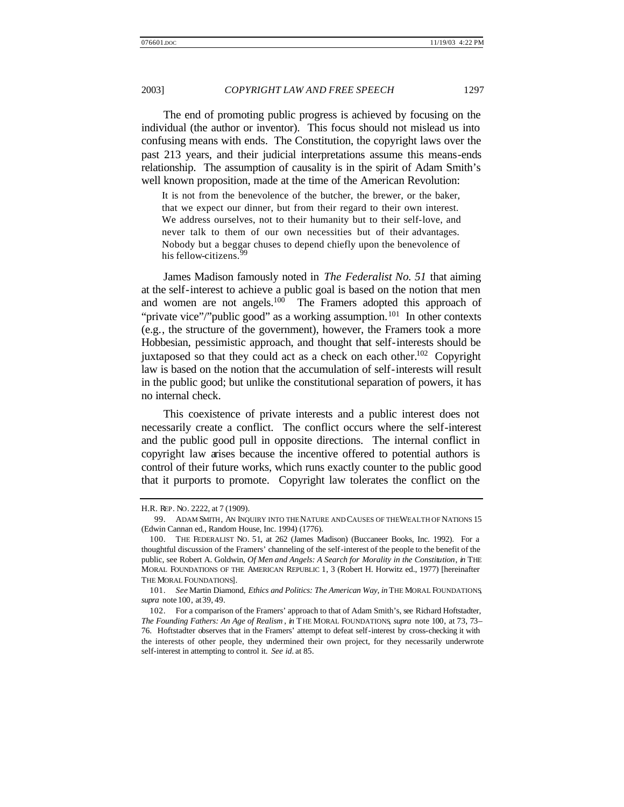The end of promoting public progress is achieved by focusing on the individual (the author or inventor). This focus should not mislead us into confusing means with ends. The Constitution, the copyright laws over the past 213 years, and their judicial interpretations assume this means-ends relationship. The assumption of causality is in the spirit of Adam Smith's well known proposition, made at the time of the American Revolution:

It is not from the benevolence of the butcher, the brewer, or the baker, that we expect our dinner, but from their regard to their own interest. We address ourselves, not to their humanity but to their self-love, and never talk to them of our own necessities but of their advantages. Nobody but a beggar chuses to depend chiefly upon the benevolence of his fellow-citizens.<sup>99</sup>

James Madison famously noted in *The Federalist No. 51* that aiming at the self-interest to achieve a public goal is based on the notion that men and women are not angels. $100$  The Framers adopted this approach of "private vice"/"public good" as a working assumption.<sup>101</sup> In other contexts (e.g., the structure of the government), however, the Framers took a more Hobbesian, pessimistic approach, and thought that self-interests should be juxtaposed so that they could act as a check on each other.<sup>102</sup> Copyright law is based on the notion that the accumulation of self-interests will result in the public good; but unlike the constitutional separation of powers, it has no internal check.

This coexistence of private interests and a public interest does not necessarily create a conflict. The conflict occurs where the self-interest and the public good pull in opposite directions. The internal conflict in copyright law arises because the incentive offered to potential authors is control of their future works, which runs exactly counter to the public good that it purports to promote. Copyright law tolerates the conflict on the

H.R. REP. NO. 2222, at 7 (1909).

<sup>99.</sup> ADAM SMITH, AN INQUIRY INTO THE NATURE AND CAUSES OF THE WEALTH OF NATIONS 15 (Edwin Cannan ed., Random House, Inc. 1994) (1776).

<sup>100.</sup> THE FEDERALIST NO. 51, at 262 (James Madison) (Buccaneer Books, Inc. 1992). For a thoughtful discussion of the Framers' channeling of the self-interest of the people to the benefit of the public, see Robert A. Goldwin, *Of Men and Angels: A Search for Morality in the Constitution*, *in* THE MORAL FOUNDATIONS OF THE AMERICAN REPUBLIC 1, 3 (Robert H. Horwitz ed., 1977) [hereinafter THE MORAL FOUNDATIONS].

<sup>101.</sup> *See* Martin Diamond, *Ethics and Politics: The American Way*, *in* THE MORAL FOUNDATIONS, *supra* note 100, at 39, 49.

<sup>102.</sup> For a comparison of the Framers' approach to that of Adam Smith's, see Richard Hoftstadter, *The Founding Fathers: An Age of Realism* , *in* THE MORAL FOUNDATIONS, *supra* note 100, at 73, 73– 76. Hoftstadter observes that in the Framers' attempt to defeat self-interest by cross-checking it with the interests of other people, they undermined their own project, for they necessarily underwrote self-interest in attempting to control it. *See id.* at 85.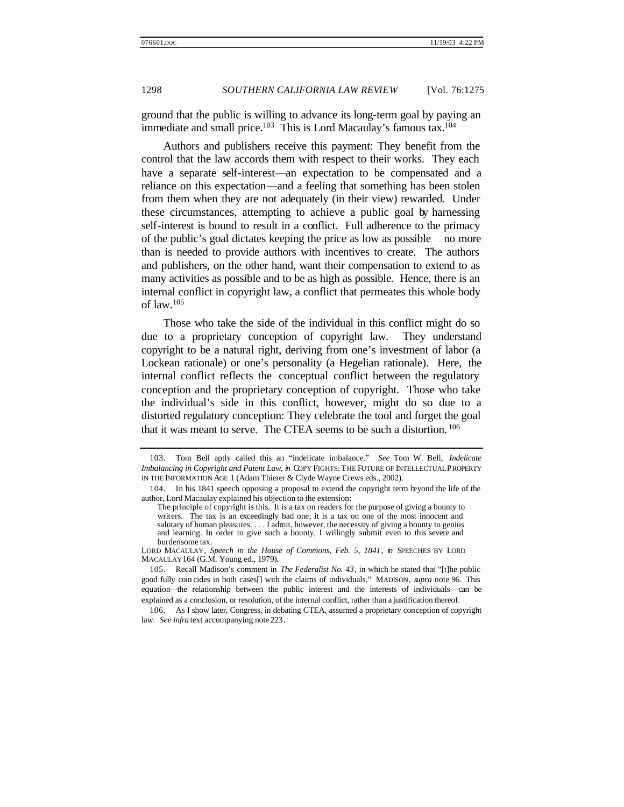ground that the public is willing to advance its long-term goal by paying an immediate and small price.<sup>103</sup> This is Lord Macaulay's famous  $tax.^{104}$ 

Authors and publishers receive this payment: They benefit from the control that the law accords them with respect to their works. They each have a separate self-interest—an expectation to be compensated and a reliance on this expectation—and a feeling that something has been stolen from them when they are not adequately (in their view) rewarded. Under these circumstances, attempting to achieve a public goal by harnessing self-interest is bound to result in a conflict. Full adherence to the primacy of the public's goal dictates keeping the price as low as possible no more than is needed to provide authors with incentives to create. The authors and publishers, on the other hand, want their compensation to extend to as many activities as possible and to be as high as possible. Hence, there is an internal conflict in copyright law, a conflict that permeates this whole body of law.<sup>105</sup>

Those who take the side of the individual in this conflict might do so due to a proprietary conception of copyright law. They understand copyright to be a natural right, deriving from one's investment of labor (a Lockean rationale) or one's personality (a Hegelian rationale). Here, the internal conflict reflects the conceptual conflict between the regulatory conception and the proprietary conception of copyright. Those who take the individual's side in this conflict, however, might do so due to a distorted regulatory conception: They celebrate the tool and forget the goal that it was meant to serve. The CTEA seems to be such a distortion. <sup>106</sup>

<sup>103.</sup> Tom Bell aptly called this an "indelicate imbalance." *See* Tom W. Bell, *Indelicate Imbalancing in Copyright and Patent Law*, *in* COPY FIGHTS: THE FUTURE OF INTELLECTUAL PROPERTY IN THE INFORMATION AGE 1 (Adam Thierer & Clyde Wayne Crews eds., 2002).

<sup>104.</sup> In his 1841 speech opposing a proposal to extend the copyright term beyond the life of the author, Lord Macaulay explained his objection to the extension:

The principle of copyright is this. It is a tax on readers for the purpose of giving a bounty to writers. The tax is an exceedingly bad one; it is a tax on one of the most innocent and salutary of human pleasures.  $\dots$  I admit, however, the necessity of giving a bounty to genius and learning. In order to give such a bounty, I willingly submit even to this severe and burdensome tax.

LORD MACAULAY, *Speech in the House of Commons, Feb. 5, 1841*, *in* SPEECHES BY LORD MACAULAY 164 (G.M. Young ed., 1979).

<sup>105.</sup> Recall Madison's comment in *The Federalist No. 43*, in which he stated that "[t]he public good fully coin cides in both cases[] with the claims of individuals." MADISON, *supra* note 96. This equation—the relationship between the public interest and the interests of individuals—can be explained as a conclusion, or resolution, of the internal conflict, rather than a justification thereof.

<sup>106.</sup> As I show later, Congress, in debating CTEA, assumed a proprietary conception of copyright law. *See infra* text accompanying note 223.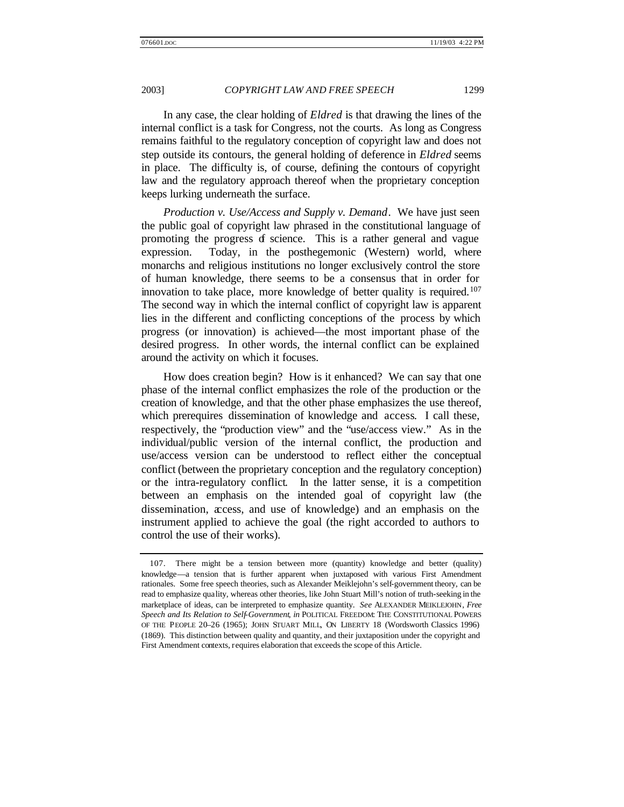In any case, the clear holding of *Eldred* is that drawing the lines of the internal conflict is a task for Congress, not the courts. As long as Congress remains faithful to the regulatory conception of copyright law and does not step outside its contours, the general holding of deference in *Eldred* seems in place. The difficulty is, of course, defining the contours of copyright law and the regulatory approach thereof when the proprietary conception keeps lurking underneath the surface.

*Production v. Use/Access and Supply v. Demand*. We have just seen the public goal of copyright law phrased in the constitutional language of promoting the progress of science. This is a rather general and vague expression. Today, in the posthegemonic (Western) world, where monarchs and religious institutions no longer exclusively control the store of human knowledge, there seems to be a consensus that in order for innovation to take place, more knowledge of better quality is required.<sup>107</sup> The second way in which the internal conflict of copyright law is apparent lies in the different and conflicting conceptions of the process by which progress (or innovation) is achieved—the most important phase of the desired progress. In other words, the internal conflict can be explained around the activity on which it focuses.

How does creation begin? How is it enhanced? We can say that one phase of the internal conflict emphasizes the role of the production or the creation of knowledge, and that the other phase emphasizes the use thereof, which prerequires dissemination of knowledge and access. I call these, respectively, the "production view" and the "use/access view." As in the individual/public version of the internal conflict, the production and use/access version can be understood to reflect either the conceptual conflict (between the proprietary conception and the regulatory conception) or the intra-regulatory conflict. In the latter sense, it is a competition between an emphasis on the intended goal of copyright law (the dissemination, access, and use of knowledge) and an emphasis on the instrument applied to achieve the goal (the right accorded to authors to control the use of their works).

<sup>107.</sup> There might be a tension between more (quantity) knowledge and better (quality) knowledge—a tension that is further apparent when juxtaposed with various First Amendment rationales. Some free speech theories, such as Alexander Meiklejohn's self-government theory, can be read to emphasize quality, whereas other theories, like John Stuart Mill's notion of truth-seeking in the marketplace of ideas, can be interpreted to emphasize quantity. *See* ALEXANDER MEIKLEJOHN, *Free Speech and Its Relation to Self-Government*, *in* POLITICAL FREEDOM: THE CONSTITUTIONAL POWERS OF THE PEOPLE 20–26 (1965); JOHN STUART MILL, ON LIBERTY 18 (Wordsworth Classics 1996) (1869). This distinction between quality and quantity, and their juxtaposition under the copyright and First Amendment contexts, requires elaboration that exceeds the scope of this Article.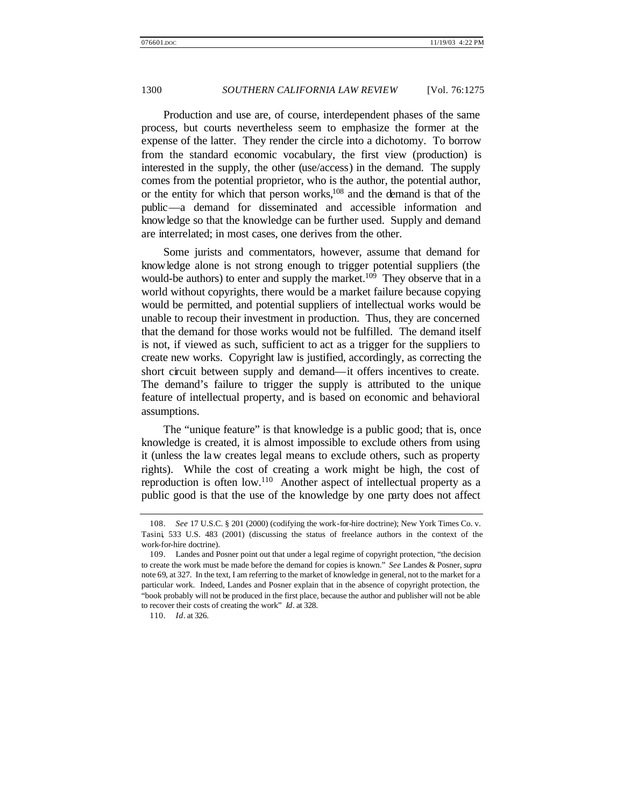Production and use are, of course, interdependent phases of the same process, but courts nevertheless seem to emphasize the former at the expense of the latter. They render the circle into a dichotomy. To borrow from the standard economic vocabulary, the first view (production) is interested in the supply, the other (use/access) in the demand. The supply comes from the potential proprietor, who is the author, the potential author, or the entity for which that person works, $108$  and the demand is that of the public—a demand for disseminated and accessible information and knowledge so that the knowledge can be further used. Supply and demand are interrelated; in most cases, one derives from the other.

Some jurists and commentators, however, assume that demand for knowledge alone is not strong enough to trigger potential suppliers (the would-be authors) to enter and supply the market.<sup>109</sup> They observe that in a world without copyrights, there would be a market failure because copying would be permitted, and potential suppliers of intellectual works would be unable to recoup their investment in production. Thus, they are concerned that the demand for those works would not be fulfilled. The demand itself is not, if viewed as such, sufficient to act as a trigger for the suppliers to create new works. Copyright law is justified, accordingly, as correcting the short circuit between supply and demand—it offers incentives to create. The demand's failure to trigger the supply is attributed to the unique feature of intellectual property, and is based on economic and behavioral assumptions.

The "unique feature" is that knowledge is a public good; that is, once knowledge is created, it is almost impossible to exclude others from using it (unless the law creates legal means to exclude others, such as property rights). While the cost of creating a work might be high, the cost of reproduction is often low.<sup>110</sup> Another aspect of intellectual property as a public good is that the use of the knowledge by one party does not affect

<sup>108.</sup> *See* 17 U.S.C. § 201 (2000) (codifying the work-for-hire doctrine); New York Times Co. v. Tasini, 533 U.S. 483 (2001) (discussing the status of freelance authors in the context of the work-for-hire doctrine).

<sup>109.</sup> Landes and Posner point out that under a legal regime of copyright protection, "the decision to create the work must be made before the demand for copies is known." *See* Landes & Posner, *supra*  note 69, at 327. In the text, I am referring to the market of knowledge in general, not to the market for a particular work. Indeed, Landes and Posner explain that in the absence of copyright protection, the "book probably will not be produced in the first place, because the author and publisher will not be able to recover their costs of creating the work" *Id*. at 328.

<sup>110.</sup> *Id*. at 326.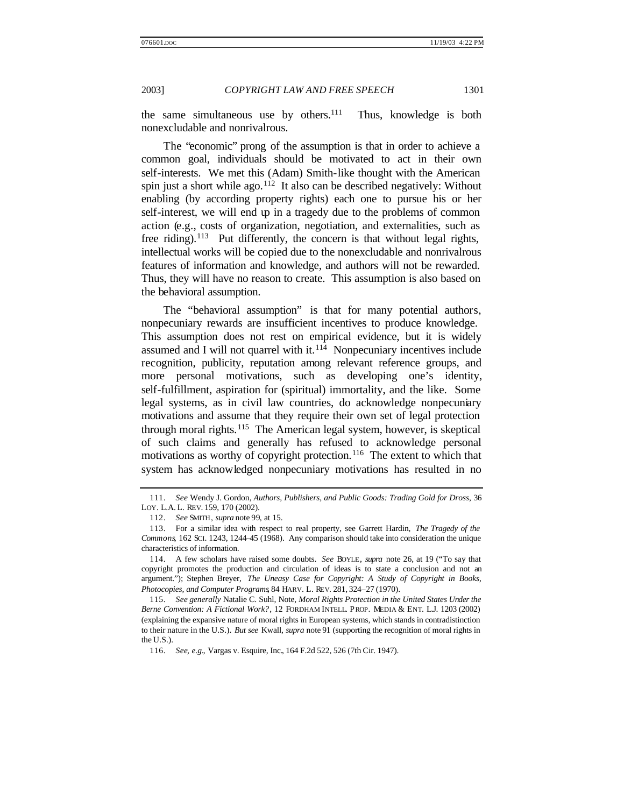the same simultaneous use by others. $111$  Thus, knowledge is both nonexcludable and nonrivalrous.

The "economic" prong of the assumption is that in order to achieve a common goal, individuals should be motivated to act in their own self-interests. We met this (Adam) Smith-like thought with the American spin just a short while ago.<sup>112</sup> It also can be described negatively: Without enabling (by according property rights) each one to pursue his or her self-interest, we will end up in a tragedy due to the problems of common action (e.g., costs of organization, negotiation, and externalities, such as free riding).<sup>113</sup> Put differently, the concern is that without legal rights, intellectual works will be copied due to the nonexcludable and nonrivalrous features of information and knowledge, and authors will not be rewarded. Thus, they will have no reason to create. This assumption is also based on the behavioral assumption.

The "behavioral assumption" is that for many potential authors, nonpecuniary rewards are insufficient incentives to produce knowledge. This assumption does not rest on empirical evidence, but it is widely assumed and I will not quarrel with it.<sup>114</sup> Nonpecuniary incentives include recognition, publicity, reputation among relevant reference groups, and more personal motivations, such as developing one's identity, self-fulfillment, aspiration for (spiritual) immortality, and the like. Some legal systems, as in civil law countries, do acknowledge nonpecuniary motivations and assume that they require their own set of legal protection through moral rights.<sup>115</sup> The American legal system, however, is skeptical of such claims and generally has refused to acknowledge personal motivations as worthy of copyright protection.<sup>116</sup> The extent to which that system has acknowledged nonpecuniary motivations has resulted in no

<sup>111.</sup> *See* Wendy J. Gordon, *Authors, Publishers, and Public Goods: Trading Gold for Dross*, 36 LOY. L.A. L. REV. 159, 170 (2002).

<sup>112.</sup> *See* SMITH, *supra* note 99, at 15.

<sup>113.</sup> For a similar idea with respect to real property, see Garrett Hardin, *The Tragedy of the Commons*, 162 SCI. 1243, 1244–45 (1968). Any comparison should take into consideration the unique characteristics of information.

<sup>114.</sup> A few scholars have raised some doubts. *See* BOYLE, *supra* note 26, at 19 ("To say that copyright promotes the production and circulation of ideas is to state a conclusion and not an argument."); Stephen Breyer, *The Uneasy Case for Copyright: A Study of Copyright in Books, Photocopies, and Computer Programs*, 84 HARV. L. REV. 281, 324–27 (1970).

<sup>115.</sup> *See generally* Natalie C. Suhl, Note, *Moral Rights Protection in the United States Under the Berne Convention: A Fictional Work?*, 12 FORDHAM INTELL. PROP. MEDIA & ENT. L.J. 1203 (2002) (explaining the expansive nature of moral rights in European systems, which stands in contradistinction to their nature in the U.S.). *But see* Kwall, *supra* note 91 (supporting the recognition of moral rights in the U.S.).

<sup>116.</sup> *See, e.g.*, Vargas v. Esquire, Inc., 164 F.2d 522, 526 (7th Cir. 1947).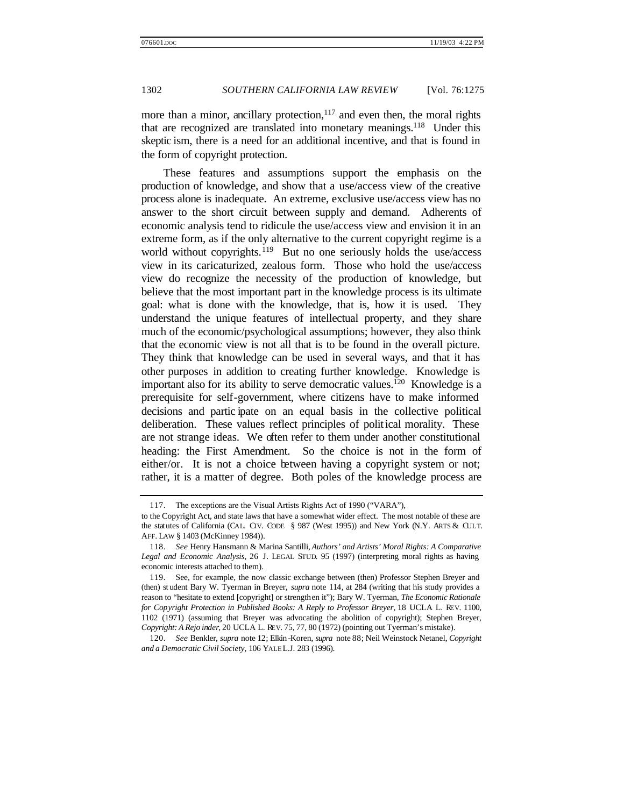more than a minor, ancillary protection,  $117$  and even then, the moral rights that are recognized are translated into monetary meanings.<sup>118</sup> Under this skeptic ism, there is a need for an additional incentive, and that is found in the form of copyright protection.

These features and assumptions support the emphasis on the production of knowledge, and show that a use/access view of the creative process alone is inadequate. An extreme, exclusive use/access view has no answer to the short circuit between supply and demand. Adherents of economic analysis tend to ridicule the use/access view and envision it in an extreme form, as if the only alternative to the current copyright regime is a world without copyrights.<sup>119</sup> But no one seriously holds the use/access view in its caricaturized, zealous form. Those who hold the use/access view do recognize the necessity of the production of knowledge, but believe that the most important part in the knowledge process is its ultimate goal: what is done with the knowledge, that is, how it is used. They understand the unique features of intellectual property, and they share much of the economic/psychological assumptions; however, they also think that the economic view is not all that is to be found in the overall picture. They think that knowledge can be used in several ways, and that it has other purposes in addition to creating further knowledge. Knowledge is important also for its ability to serve democratic values.<sup>120</sup> Knowledge is a prerequisite for self-government, where citizens have to make informed decisions and partic ipate on an equal basis in the collective political deliberation. These values reflect principles of political morality. These are not strange ideas. We often refer to them under another constitutional heading: the First Amendment. So the choice is not in the form of either/or. It is not a choice between having a copyright system or not; rather, it is a matter of degree. Both poles of the knowledge process are

<sup>117.</sup> The exceptions are the Visual Artists Rights Act of 1990 ("VARA"),

to the Copyright Act, and state laws that have a somewhat wider effect. The most notable of these are the statutes of California (CAL. CIV. CODE § 987 (West 1995)) and New York (N.Y. ARTS & CULT. AFF. LAW § 1403 (McKinney 1984)).

<sup>118.</sup> *See* Henry Hansmann & Marina Santilli, *Authors' and Artists' Moral Rights: A Comparative Legal and Economic Analysis*, 26 J. LEGAL STUD. 95 (1997) (interpreting moral rights as having economic interests attached to them).

<sup>119.</sup> See, for example, the now classic exchange between (then) Professor Stephen Breyer and (then) st udent Bary W. Tyerman in Breyer, *supra* note 114, at 284 (writing that his study provides a reason to "hesitate to extend [copyright] or strengthen it"); Bary W. Tyerman, *The Economic Rationale for Copyright Protection in Published Books: A Reply to Professor Breyer*, 18 UCLA L. REV. 1100, 1102 (1971) (assuming that Breyer was advocating the abolition of copyright); Stephen Breyer, *Copyright: A Rejo inder*, 20 UCLA L. REV. 75, 77, 80 (1972) (pointing out Tyerman's mistake).

<sup>120.</sup> *See* Benkler, *supra* note 12; Elkin -Koren, *supra* note 88; Neil Weinstock Netanel, *Copyright and a Democratic Civil Society*, 106 YALE L.J. 283 (1996).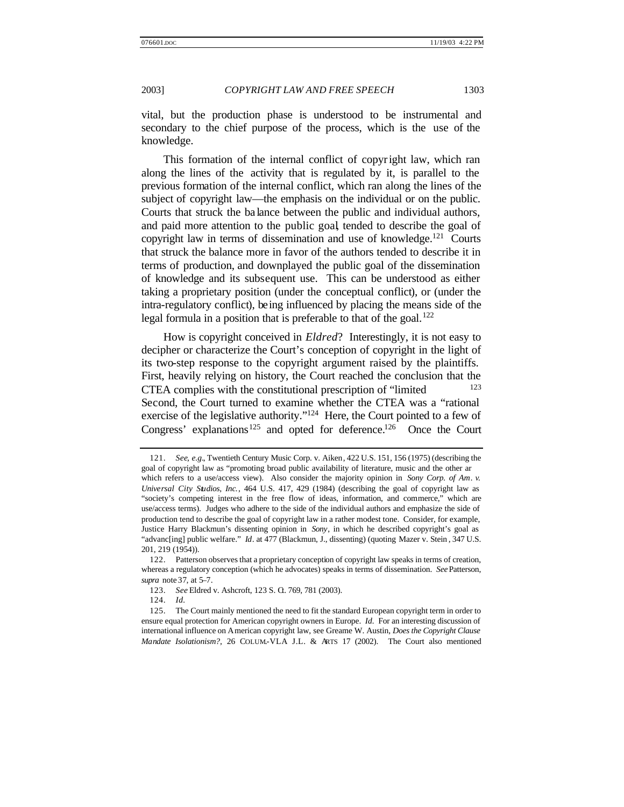vital, but the production phase is understood to be instrumental and secondary to the chief purpose of the process, which is the use of the knowledge.

This formation of the internal conflict of copyright law, which ran along the lines of the activity that is regulated by it, is parallel to the previous formation of the internal conflict, which ran along the lines of the subject of copyright law—the emphasis on the individual or on the public. Courts that struck the ba lance between the public and individual authors, and paid more attention to the public goal, tended to describe the goal of copyright law in terms of dissemination and use of knowledge.<sup>121</sup> Courts that struck the balance more in favor of the authors tended to describe it in terms of production, and downplayed the public goal of the dissemination of knowledge and its subsequent use. This can be understood as either taking a proprietary position (under the conceptual conflict), or (under the intra-regulatory conflict), being influenced by placing the means side of the legal formula in a position that is preferable to that of the goal. $122$ 

How is copyright conceived in *Eldred*? Interestingly, it is not easy to decipher or characterize the Court's conception of copyright in the light of its two-step response to the copyright argument raised by the plaintiffs. First, heavily relying on history, the Court reached the conclusion that the CTEA complies with the constitutional prescription of "limited" Second, the Court turned to examine whether the CTEA was a "rational exercise of the legislative authority."<sup>124</sup> Here, the Court pointed to a few of Congress' explanations<sup>125</sup> and opted for deference.<sup>126</sup> Once the Court

124. *Id.*

<sup>121.</sup> *See, e.g.*, Twentieth Century Music Corp. v. Aiken, 422 U.S. 151, 156 (1975) (describing the goal of copyright law as "promoting broad public availability of literature, music and the other ar which refers to a use/access view). Also consider the majority opinion in *Sony Corp. of Am. v. Universal City Studios, Inc.*, 464 U.S. 417, 429 (1984) (describing the goal of copyright law as "society's competing interest in the free flow of ideas, information, and commerce," which are use/access terms). Judges who adhere to the side of the individual authors and emphasize the side of production tend to describe the goal of copyright law in a rather modest tone. Consider, for example, Justice Harry Blackmun's dissenting opinion in *Sony*, in which he described copyright's goal as "advanc[ing] public welfare." *Id*. at 477 (Blackmun, J., dissenting) (quoting Mazer v. Stein , 347 U.S. 201, 219 (1954)).

<sup>122.</sup> Patterson observes that a proprietary conception of copyright law speaks in terms of creation, whereas a regulatory conception (which he advocates) speaks in terms of dissemination. *See* Patterson, *supra* note 37, at 5–7.

<sup>123.</sup> *See* Eldred v. Ashcroft, 123 S. G. 769, 781 (2003).

<sup>125.</sup> The Court mainly mentioned the need to fit the standard European copyright term in order to ensure equal protection for American copyright owners in Europe. *Id.* For an interesting discussion of international influence on American copyright law, see Greame W. Austin, *Does the Copyright Clause Mandate Isolationism?*, 26 COLUM.-VLA J.L. & ARTS 17 (2002).The Court also mentioned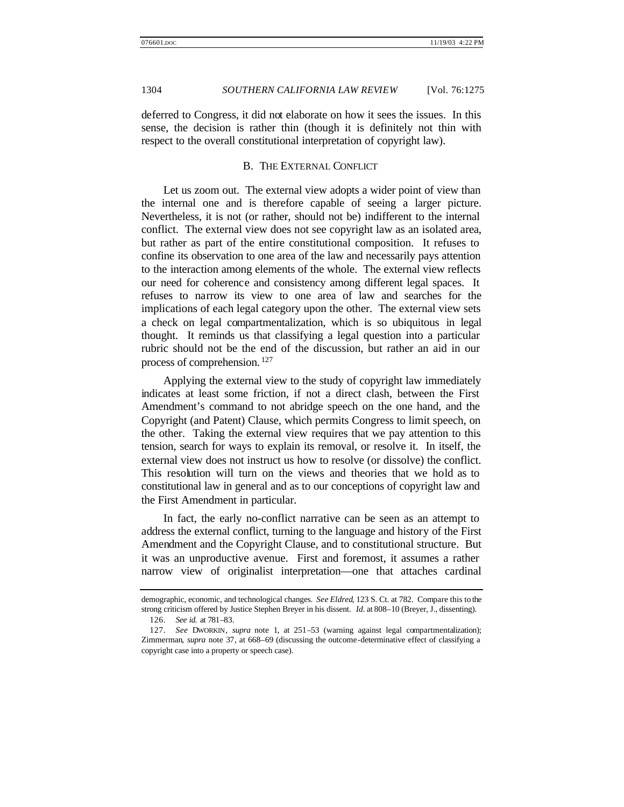deferred to Congress, it did not elaborate on how it sees the issues. In this sense, the decision is rather thin (though it is definitely not thin with respect to the overall constitutional interpretation of copyright law).

#### B. THE EXTERNAL CONFLICT

Let us zoom out. The external view adopts a wider point of view than the internal one and is therefore capable of seeing a larger picture. Nevertheless, it is not (or rather, should not be) indifferent to the internal conflict. The external view does not see copyright law as an isolated area, but rather as part of the entire constitutional composition. It refuses to confine its observation to one area of the law and necessarily pays attention to the interaction among elements of the whole. The external view reflects our need for coherence and consistency among different legal spaces. It refuses to narrow its view to one area of law and searches for the implications of each legal category upon the other. The external view sets a check on legal compartmentalization, which is so ubiquitous in legal thought. It reminds us that classifying a legal question into a particular rubric should not be the end of the discussion, but rather an aid in our process of comprehension. <sup>127</sup>

Applying the external view to the study of copyright law immediately indicates at least some friction, if not a direct clash, between the First Amendment's command to not abridge speech on the one hand, and the Copyright (and Patent) Clause, which permits Congress to limit speech, on the other. Taking the external view requires that we pay attention to this tension, search for ways to explain its removal, or resolve it. In itself, the external view does not instruct us how to resolve (or dissolve) the conflict. This resolution will turn on the views and theories that we hold as to constitutional law in general and as to our conceptions of copyright law and the First Amendment in particular.

In fact, the early no-conflict narrative can be seen as an attempt to address the external conflict, turning to the language and history of the First Amendment and the Copyright Clause, and to constitutional structure. But it was an unproductive avenue. First and foremost, it assumes a rather narrow view of originalist interpretation—one that attaches cardinal

demographic, economic, and technological changes. *See Eldred*, 123 S. Ct. at 782. Compare this to the strong criticism offered by Justice Stephen Breyer in his dissent. *Id.* at 808–10 (Breyer, J., dissenting).

<sup>126.</sup> *See id.* at 781–83.

<sup>127.</sup> *See* DWORKIN, *supra* note 1, at 251–53 (warning against legal compartmentalization); Zimmerman, *supra* note 37, at 668–69 (discussing the outcome-determinative effect of classifying a copyright case into a property or speech case).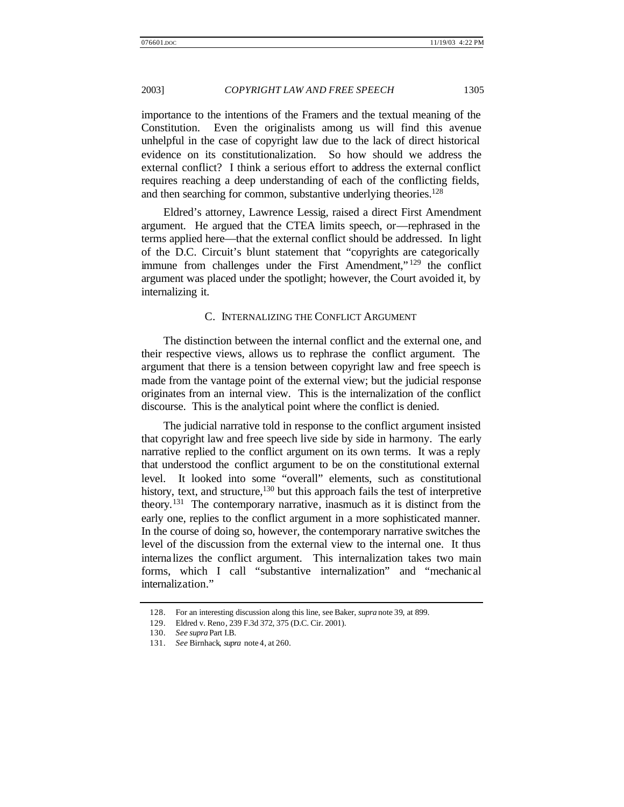importance to the intentions of the Framers and the textual meaning of the Constitution. Even the originalists among us will find this avenue unhelpful in the case of copyright law due to the lack of direct historical evidence on its constitutionalization. So how should we address the external conflict? I think a serious effort to address the external conflict requires reaching a deep understanding of each of the conflicting fields, and then searching for common, substantive underlying theories.<sup>128</sup>

Eldred's attorney, Lawrence Lessig, raised a direct First Amendment argument. He argued that the CTEA limits speech, or—rephrased in the terms applied here—that the external conflict should be addressed. In light of the D.C. Circuit's blunt statement that "copyrights are categorically immune from challenges under the First Amendment,"<sup>129</sup> the conflict argument was placed under the spotlight; however, the Court avoided it, by internalizing it.

#### C. INTERNALIZING THE CONFLICT ARGUMENT

The distinction between the internal conflict and the external one, and their respective views, allows us to rephrase the conflict argument. The argument that there is a tension between copyright law and free speech is made from the vantage point of the external view; but the judicial response originates from an internal view. This is the internalization of the conflict discourse. This is the analytical point where the conflict is denied.

The judicial narrative told in response to the conflict argument insisted that copyright law and free speech live side by side in harmony. The early narrative replied to the conflict argument on its own terms. It was a reply that understood the conflict argument to be on the constitutional external level. It looked into some "overall" elements, such as constitutional history, text, and structure,  $130$  but this approach fails the test of interpretive theory.<sup>131</sup> The contemporary narrative, inasmuch as it is distinct from the early one, replies to the conflict argument in a more sophisticated manner. In the course of doing so, however, the contemporary narrative switches the level of the discussion from the external view to the internal one. It thus internalizes the conflict argument. This internalization takes two main forms, which I call "substantive internalization" and "mechanical internalization."

<sup>128.</sup> For an interesting discussion along this line, see Baker, *supra* note 39, at 899.

<sup>129.</sup> Eldred v. Reno, 239 F.3d 372, 375 (D.C. Cir. 2001).

<sup>130.</sup> *See supra* Part I.B.

<sup>131.</sup> *See* Birnhack, *supra* note 4, at 260.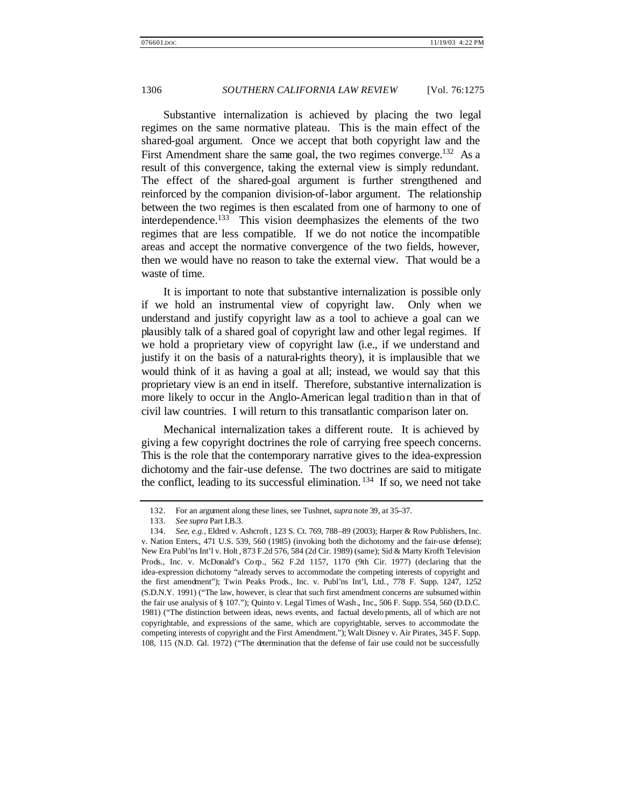Substantive internalization is achieved by placing the two legal regimes on the same normative plateau. This is the main effect of the shared-goal argument. Once we accept that both copyright law and the First Amendment share the same goal, the two regimes converge.<sup>132</sup> As a result of this convergence, taking the external view is simply redundant. The effect of the shared-goal argument is further strengthened and reinforced by the companion division-of-labor argument. The relationship between the two regimes is then escalated from one of harmony to one of interdependence.<sup>133</sup> This vision deemphasizes the elements of the two regimes that are less compatible. If we do not notice the incompatible areas and accept the normative convergence of the two fields, however, then we would have no reason to take the external view. That would be a waste of time.

It is important to note that substantive internalization is possible only if we hold an instrumental view of copyright law. Only when we understand and justify copyright law as a tool to achieve a goal can we plausibly talk of a shared goal of copyright law and other legal regimes. If we hold a proprietary view of copyright law (i.e., if we understand and justify it on the basis of a natural-rights theory), it is implausible that we would think of it as having a goal at all; instead, we would say that this proprietary view is an end in itself. Therefore, substantive internalization is more likely to occur in the Anglo-American legal tradition than in that of civil law countries. I will return to this transatlantic comparison later on.

Mechanical internalization takes a different route. It is achieved by giving a few copyright doctrines the role of carrying free speech concerns. This is the role that the contemporary narrative gives to the idea-expression dichotomy and the fair-use defense. The two doctrines are said to mitigate the conflict, leading to its successful elimination.<sup>134</sup> If so, we need not take

<sup>132.</sup> For an argument along these lines, see Tushnet, *supra* note 39, at 35–37.

<sup>133.</sup> *See supra* Part I.B.3.

<sup>134.</sup> *See, e.g.*, Eldred v. Ashcroft , 123 S. Ct. 769, 788–89 (2003); Harper & Row Publishers, Inc. v. Nation Enters., 471 U.S. 539, 560 (1985) (invoking both the dichotomy and the fair-use defense); New Era Publ'ns Int'l v. Holt , 873 F.2d 576, 584 (2d Cir. 1989) (same); Sid & Marty Krofft Television Prods., Inc. v. McDonald's Co rp., 562 F.2d 1157, 1170 (9th Cir. 1977) (declaring that the idea-expression dichotomy "already serves to accommodate the competing interests of copyright and the first amendment"); Twin Peaks Prods., Inc. v. Publ'ns Int'l, Ltd., 778 F. Supp. 1247, 1252 (S.D.N.Y. 1991) ("The law, however, is clear that such first amendment concerns are subsumed within the fair use analysis of § 107."); Quinto v. Legal Times of Wash., Inc., 506 F. Supp. 554, 560 (D.D.C. 1981) ("The distinction between ideas, news events, and factual develo pments, all of which are not copyrightable, and expressions of the same, which are copyrightable, serves to accommodate the competing interests of copyright and the First Amendment."); Walt Disney v. Air Pirates, 345 F. Supp. 108, 115 (N.D. Cal. 1972) ("The determination that the defense of fair use could not be successfully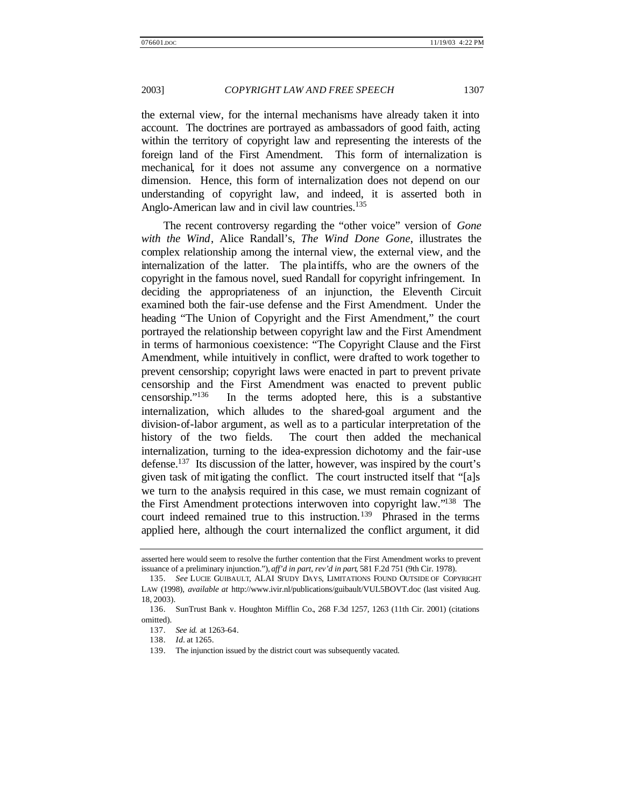the external view, for the internal mechanisms have already taken it into account. The doctrines are portrayed as ambassadors of good faith, acting within the territory of copyright law and representing the interests of the foreign land of the First Amendment. This form of internalization is mechanical, for it does not assume any convergence on a normative dimension. Hence, this form of internalization does not depend on our understanding of copyright law, and indeed, it is asserted both in Anglo-American law and in civil law countries.<sup>135</sup>

The recent controversy regarding the "other voice" version of *Gone with the Wind*, Alice Randall's, *The Wind Done Gone*, illustrates the complex relationship among the internal view, the external view, and the internalization of the latter. The pla intiffs, who are the owners of the copyright in the famous novel, sued Randall for copyright infringement. In deciding the appropriateness of an injunction, the Eleventh Circuit examined both the fair-use defense and the First Amendment. Under the heading "The Union of Copyright and the First Amendment," the court portrayed the relationship between copyright law and the First Amendment in terms of harmonious coexistence: "The Copyright Clause and the First Amendment, while intuitively in conflict, were drafted to work together to prevent censorship; copyright laws were enacted in part to prevent private censorship and the First Amendment was enacted to prevent public censorship."<sup>136</sup> In the terms adopted here, this is a substantive internalization, which alludes to the shared-goal argument and the division-of-labor argument, as well as to a particular interpretation of the history of the two fields. The court then added the mechanical internalization, turning to the idea-expression dichotomy and the fair-use defense.<sup>137</sup> Its discussion of the latter, however, was inspired by the court's given task of mitigating the conflict. The court instructed itself that "[a]s we turn to the analysis required in this case, we must remain cognizant of the First Amendment protections interwoven into copyright law."<sup>138</sup> The court indeed remained true to this instruction.<sup>139</sup> Phrased in the terms applied here, although the court internalized the conflict argument, it did

asserted here would seem to resolve the further contention that the First Amendment works to prevent issuance of a preliminary injunction."), *aff'd in part, rev'd in part*, 581 F.2d 751 (9th Cir. 1978).

<sup>135.</sup> *See* LUCIE GUIBAULT, ALAI STUDY DAYS, LIMITATIONS FOUND OUTSIDE OF COPYRIGHT LAW (1998), *available at* http://www.ivir.nl/publications/guibault/VUL5BOVT.doc (last visited Aug. 18, 2003).

<sup>136.</sup> SunTrust Bank v. Houghton Mifflin Co., 268 F.3d 1257, 1263 (11th Cir. 2001) (citations omitted).

<sup>137.</sup> *See id.* at 1263–64.

<sup>138.</sup> *Id.* at 1265.

<sup>139.</sup> The injunction issued by the district court was subsequently vacated.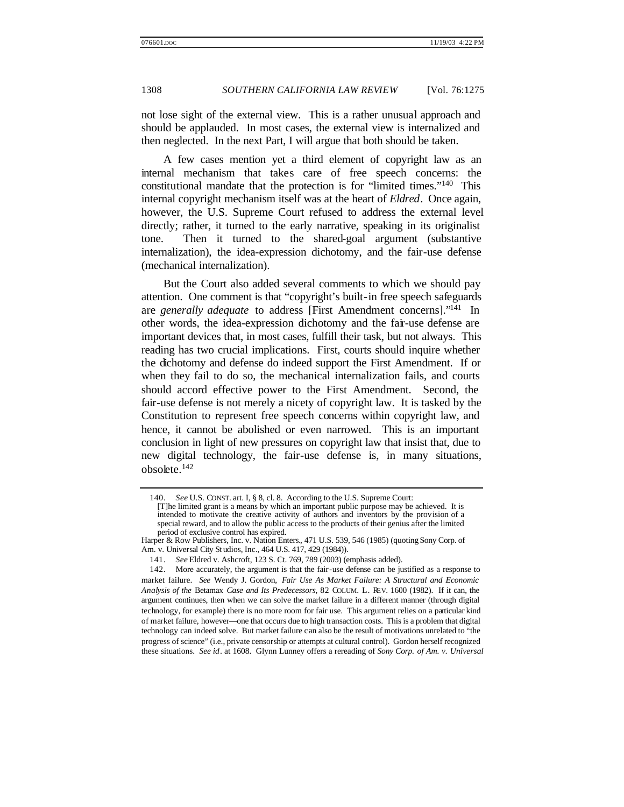not lose sight of the external view. This is a rather unusual approach and should be applauded. In most cases, the external view is internalized and then neglected. In the next Part, I will argue that both should be taken.

A few cases mention yet a third element of copyright law as an internal mechanism that takes care of free speech concerns: the constitutional mandate that the protection is for "limited times."<sup>140</sup> This internal copyright mechanism itself was at the heart of *Eldred*. Once again, however, the U.S. Supreme Court refused to address the external level directly; rather, it turned to the early narrative, speaking in its originalist tone. Then it turned to the shared-goal argument (substantive internalization), the idea-expression dichotomy, and the fair-use defense (mechanical internalization).

But the Court also added several comments to which we should pay attention. One comment is that "copyright's built-in free speech safeguards are *generally adequate* to address [First Amendment concerns]."<sup>141</sup> In other words, the idea-expression dichotomy and the fair-use defense are important devices that, in most cases, fulfill their task, but not always. This reading has two crucial implications. First, courts should inquire whether the dichotomy and defense do indeed support the First Amendment. If or when they fail to do so, the mechanical internalization fails, and courts should accord effective power to the First Amendment. Second, the fair-use defense is not merely a nicety of copyright law. It is tasked by the Constitution to represent free speech concerns within copyright law, and hence, it cannot be abolished or even narrowed. This is an important conclusion in light of new pressures on copyright law that insist that, due to new digital technology, the fair-use defense is, in many situations, obsolete.<sup>142</sup>

<sup>140.</sup> *See* U.S. CONST. art. I, § 8, cl. 8. According to the U.S. Supreme Court:

<sup>[</sup>T]he limited grant is a means by which an important public purpose may be achieved. It is intended to motivate the creative activity of authors and inventors by the provision of a special reward, and to allow the public access to the products of their genius after the limited period of exclusive control has expired.

Harper & Row Publishers, Inc. v. Nation Enters., 471 U.S. 539, 546 (1985) (quoting Sony Corp. of Am. v. Universal City St udios, Inc., 464 U.S. 417, 429 (1984)).

<sup>141.</sup> *See* Eldred v. Ashcroft, 123 S. Ct. 769, 789 (2003) (emphasis added).

<sup>142.</sup> More accurately, the argument is that the fair-use defense can be justified as a response to market failure. *See* Wendy J. Gordon, *Fair Use As Market Failure: A Structural and Economic Analysis of the* Betamax *Case and Its Predecessors*, 82 COLUM. L. REV. 1600 (1982). If it can, the argument continues, then when we can solve the market failure in a different manner (through digital technology, for example) there is no more room for fair use. This argument relies on a particular kind of market failure, however—one that occurs due to high transaction costs. This is a problem that digital technology can indeed solve. But market failure can also be the result of motivations unrelated to "the progress of science" (i.e., private censorship or attempts at cultural control). Gordon herself recognized these situations. *See id*. at 1608. Glynn Lunney offers a rereading of *Sony Corp. of Am. v. Universal*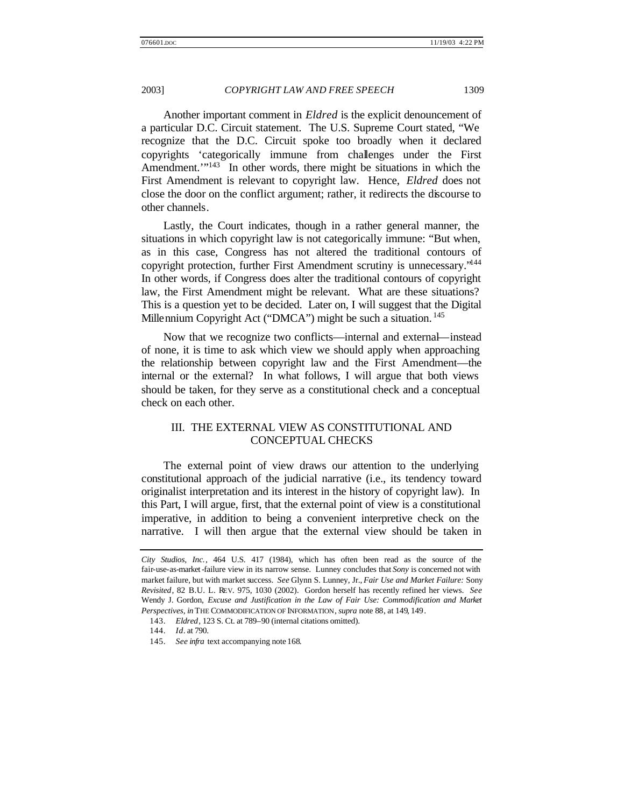Another important comment in *Eldred* is the explicit denouncement of a particular D.C. Circuit statement. The U.S. Supreme Court stated, "We recognize that the D.C. Circuit spoke too broadly when it declared copyrights 'categorically immune from challenges under the First Amendment."<sup>143</sup> In other words, there might be situations in which the First Amendment is relevant to copyright law. Hence, *Eldred* does not close the door on the conflict argument; rather, it redirects the discourse to other channels.

Lastly, the Court indicates, though in a rather general manner, the situations in which copyright law is not categorically immune: "But when, as in this case, Congress has not altered the traditional contours of copyright protection, further First Amendment scrutiny is unnecessary."<sup>144</sup> In other words, if Congress does alter the traditional contours of copyright law, the First Amendment might be relevant. What are these situations? This is a question yet to be decided. Later on, I will suggest that the Digital Millennium Copyright Act ("DMCA") might be such a situation.<sup>145</sup>

Now that we recognize two conflicts—internal and external—instead of none, it is time to ask which view we should apply when approaching the relationship between copyright law and the First Amendment—the internal or the external? In what follows, I will argue that both views should be taken, for they serve as a constitutional check and a conceptual check on each other.

# III. THE EXTERNAL VIEW AS CONSTITUTIONAL AND CONCEPTUAL CHECKS

The external point of view draws our attention to the underlying constitutional approach of the judicial narrative (i.e., its tendency toward originalist interpretation and its interest in the history of copyright law). In this Part, I will argue, first, that the external point of view is a constitutional imperative, in addition to being a convenient interpretive check on the narrative. I will then argue that the external view should be taken in

*City Studios, Inc.*, 464 U.S. 417 (1984), which has often been read as the source of the fair-use-as-market-failure view in its narrow sense. Lunney concludes that *Sony* is concerned not with market failure, but with market success. *See* Glynn S. Lunney, Jr., *Fair Use and Market Failure:* Sony *Revisited*, 82 B.U. L. REV. 975, 1030 (2002). Gordon herself has recently refined her views. *See* Wendy J. Gordon, *Excuse and Justification in the Law of Fair Use: Commodification and Market Perspectives*, *in* THE COMMODIFICATION OF INFORMATION, *supra* note 88, at 149, 149.

<sup>143.</sup> *Eldred*, 123 S. Ct. at 789–90 (internal citations omitted).

<sup>144.</sup> *Id*. at 790.

<sup>145.</sup> *See infra* text accompanying note 168.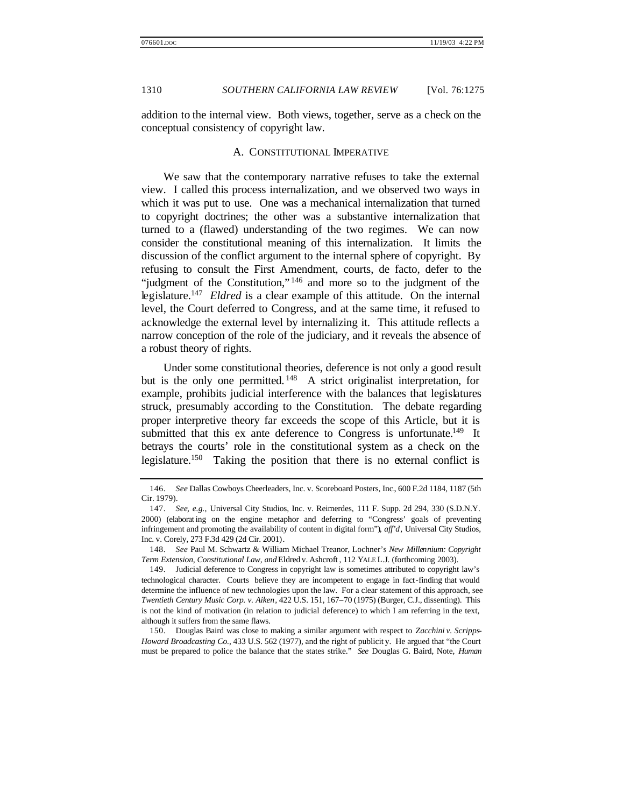addition to the internal view. Both views, together, serve as a check on the conceptual consistency of copyright law.

#### A. CONSTITUTIONAL IMPERATIVE

We saw that the contemporary narrative refuses to take the external view. I called this process internalization, and we observed two ways in which it was put to use. One was a mechanical internalization that turned to copyright doctrines; the other was a substantive internalization that turned to a (flawed) understanding of the two regimes. We can now consider the constitutional meaning of this internalization. It limits the discussion of the conflict argument to the internal sphere of copyright. By refusing to consult the First Amendment, courts, de facto, defer to the "judgment of the Constitution," <sup>146</sup> and more so to the judgment of the legislature.<sup>147</sup> *Eldred* is a clear example of this attitude. On the internal level, the Court deferred to Congress, and at the same time, it refused to acknowledge the external level by internalizing it. This attitude reflects a narrow conception of the role of the judiciary, and it reveals the absence of a robust theory of rights.

Under some constitutional theories, deference is not only a good result but is the only one permitted.<sup>148</sup> A strict originalist interpretation, for example, prohibits judicial interference with the balances that legislatures struck, presumably according to the Constitution. The debate regarding proper interpretive theory far exceeds the scope of this Article, but it is submitted that this ex ante deference to Congress is unfortunate.<sup>149</sup> It betrays the courts' role in the constitutional system as a check on the legislature.<sup>150</sup> Taking the position that there is no external conflict is

<sup>146.</sup> *See* Dallas Cowboys Cheerleaders, Inc. v. Scoreboard Posters, Inc., 600 F.2d 1184, 1187 (5th Cir. 1979).

<sup>147.</sup> *See, e.g.*, Universal City Studios, Inc. v. Reimerdes, 111 F. Supp. 2d 294, 330 (S.D.N.Y. 2000) (elaborat ing on the engine metaphor and deferring to "Congress' goals of preventing infringement and promoting the availability of content in digital form"), *aff'd*, Universal City Studios, Inc. v. Corely, 273 F.3d 429 (2d Cir. 2001).

<sup>148.</sup> *See* Paul M. Schwartz & William Michael Treanor, Lochner's *New Millennium: Copyright Term Extension, Constitutional Law, and* Eldred v. Ashcroft , 112 YALE L.J. (forthcoming 2003).

<sup>149.</sup> Judicial deference to Congress in copyright law is sometimes attributed to copyright law's technological character. Courts believe they are incompetent to engage in fact-finding that would determine the influence of new technologies upon the law. For a clear statement of this approach, see *Twentieth Century Music Corp. v. Aiken*, 422 U.S. 151, 167–70 (1975) (Burger, C.J., dissenting). This is not the kind of motivation (in relation to judicial deference) to which I am referring in the text, although it suffers from the same flaws.

<sup>150.</sup> Douglas Baird was close to making a similar argument with respect to *Zacchini v. Scripps-Howard Broadcasting Co.*, 433 U.S. 562 (1977), and the right of publicit y. He argued that "the Court must be prepared to police the balance that the states strike." *See* Douglas G. Baird, Note, *Human*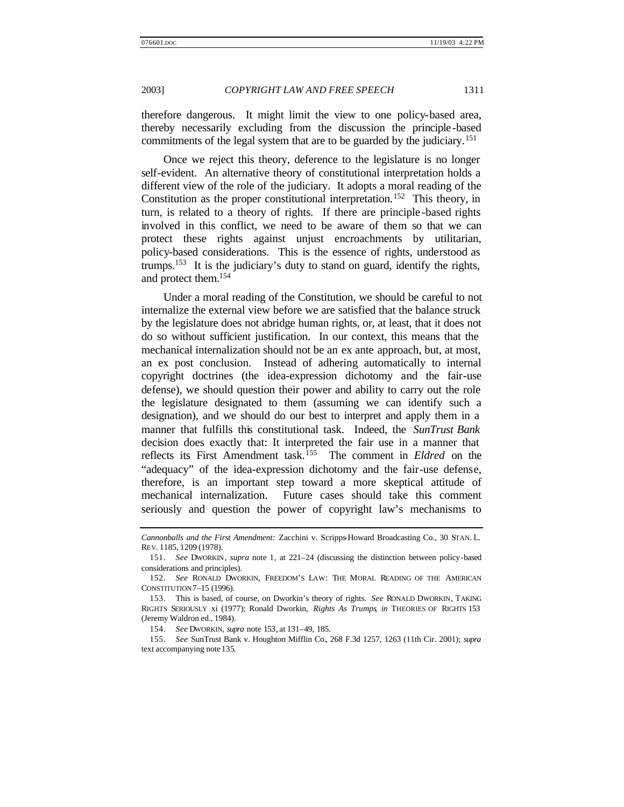therefore dangerous. It might limit the view to one policy-based area, thereby necessarily excluding from the discussion the principle-based commitments of the legal system that are to be guarded by the judiciary.<sup>151</sup>

Once we reject this theory, deference to the legislature is no longer self-evident. An alternative theory of constitutional interpretation holds a different view of the role of the judiciary. It adopts a moral reading of the Constitution as the proper constitutional interpretation.<sup>152</sup> This theory, in turn, is related to a theory of rights. If there are principle -based rights involved in this conflict, we need to be aware of them so that we can protect these rights against unjust encroachments by utilitarian, policy-based considerations. This is the essence of rights, understood as trumps.<sup>153</sup> It is the judiciary's duty to stand on guard, identify the rights, and protect them.<sup>154</sup>

Under a moral reading of the Constitution, we should be careful to not internalize the external view before we are satisfied that the balance struck by the legislature does not abridge human rights, or, at least, that it does not do so without sufficient justification. In our context, this means that the mechanical internalization should not be an ex ante approach, but, at most, an ex post conclusion. Instead of adhering automatically to internal copyright doctrines (the idea-expression dichotomy and the fair-use defense), we should question their power and ability to carry out the role the legislature designated to them (assuming we can identify such a designation), and we should do our best to interpret and apply them in a manner that fulfills this constitutional task. Indeed, the *SunTrust Bank*  decision does exactly that: It interpreted the fair use in a manner that reflects its First Amendment task.<sup>155</sup> The comment in *Eldred* on the "adequacy" of the idea-expression dichotomy and the fair-use defense, therefore, is an important step toward a more skeptical attitude of mechanical internalization. Future cases should take this comment seriously and question the power of copyright law's mechanisms to

154. *See* DWORKIN, *supra* note 153, at 131–49, 185.

155. *See* SunTrust Bank v. Houghton Mifflin Co., 268 F.3d 1257, 1263 (11th Cir. 2001); *supra* text accompanying note 135.

*Cannonballs and the First Amendment:* Zacchini v. Scripps-Howard Broadcasting Co., 30 STAN. L. REV. 1185, 1209 (1978).

<sup>151.</sup> *See* DWORKIN, *supra* note 1, at 221–24 (discussing the distinction between policy-based considerations and principles).

<sup>152.</sup> *See* RONALD DWORKIN, FREEDOM'S LAW: THE MORAL READING OF THE AMERICAN CONSTITUTION 7–15 (1996).

<sup>153.</sup> This is based, of course, on Dworkin's theory of rights. *See* RONALD DWORKIN, TAKING RIGHTS SERIOUSLY xi (1977); Ronald Dworkin, *Rights As Trumps*, *in* THEORIES OF RIGHTS 153 (Jeremy Waldron ed., 1984).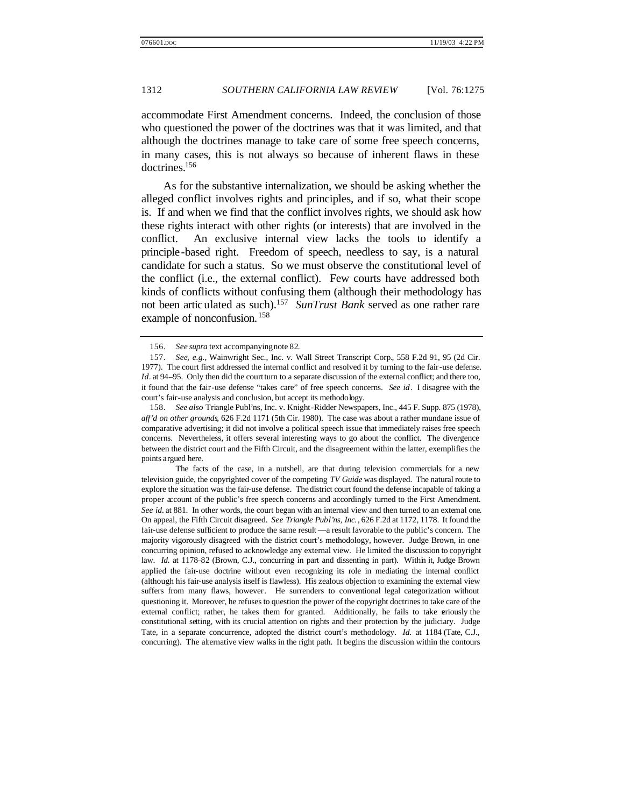accommodate First Amendment concerns. Indeed, the conclusion of those who questioned the power of the doctrines was that it was limited, and that although the doctrines manage to take care of some free speech concerns, in many cases, this is not always so because of inherent flaws in these doctrines.<sup>156</sup>

As for the substantive internalization, we should be asking whether the alleged conflict involves rights and principles, and if so, what their scope is. If and when we find that the conflict involves rights, we should ask how these rights interact with other rights (or interests) that are involved in the conflict. An exclusive internal view lacks the tools to identify a principle-based right. Freedom of speech, needless to say, is a natural candidate for such a status. So we must observe the constitutional level of the conflict (i.e., the external conflict). Few courts have addressed both kinds of conflicts without confusing them (although their methodology has not been articulated as such).<sup>157</sup> *SunTrust Bank* served as one rather rare example of nonconfusion. <sup>158</sup>

<sup>156.</sup> *See supra* text accompanyingnote 82.

<sup>157.</sup> *See, e.g.*, Wainwright Sec., Inc. v. Wall Street Transcript Corp., 558 F.2d 91, 95 (2d Cir. 1977). The court first addressed the internal conflict and resolved it by turning to the fair-use defense. *Id*. at 94–95. Only then did the court turn to a separate discussion of the external conflict; and there too, it found that the fair-use defense "takes care" of free speech concerns. *See id*. I disagree with the court's fair-use analysis and conclusion, but accept its methodology.

<sup>158.</sup> *See also* Triangle Publ'ns, Inc. v. Knight-Ridder Newspapers, Inc., 445 F. Supp. 875 (1978), *aff'd on other grounds*, 626 F.2d 1171 (5th Cir. 1980). The case was about a rather mundane issue of comparative advertising; it did not involve a political speech issue that immediately raises free speech concerns. Nevertheless, it offers several interesting ways to go about the conflict. The divergence between the district court and the Fifth Circuit, and the disagreement within the latter, exemplifies the points argued here.

The facts of the case, in a nutshell, are that during television commercials for a new television guide, the copyrighted cover of the competing *TV Guide* was displayed. The natural route to explore the situation was the fair-use defense. The district court found the defense incapable of taking a proper account of the public's free speech concerns and accordingly turned to the First Amendment. See id. at 881. In other words, the court began with an internal view and then turned to an external one. On appeal, the Fifth Circuit disagreed. *See Triangle Publ'ns, Inc.*, 626 F.2d at 1172, 1178. It found the fair-use defense sufficient to produce the same result —a result favorable to the public's concern. The majority vigorously disagreed with the district court's methodology, however. Judge Brown, in one concurring opinion, refused to acknowledge any external view. He limited the discussion to copyright law. *Id.* at 1178–82 (Brown, C.J., concurring in part and dissenting in part). Within it, Judge Brown applied the fair-use doctrine without even recognizing its role in mediating the internal conflict (although his fair-use analysis itself is flawless). His zealous objection to examining the external view suffers from many flaws, however. He surrenders to conventional legal categorization without questioning it. Moreover, he refuses to question the power of the copyright doctrines to take care of the external conflict; rather, he takes them for granted. Additionally, he fails to take seriously the constitutional setting, with its crucial attention on rights and their protection by the judiciary. Judge Tate, in a separate concurrence, adopted the district court's methodology. *Id.* at 1184 (Tate, C.J., concurring). The alternative view walks in the right path. It begins the discussion within the contours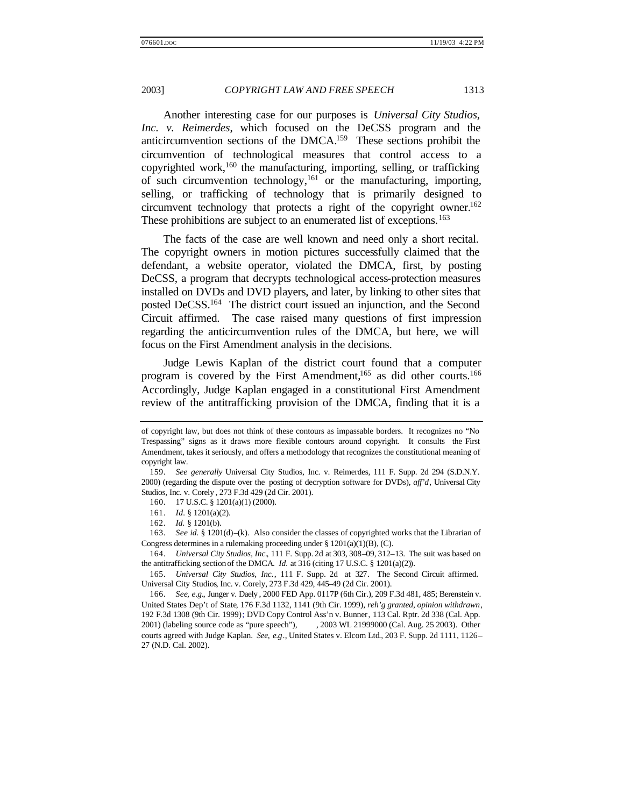Another interesting case for our purposes is *Universal City Studios, Inc. v. Reimerdes*, which focused on the DeCSS program and the anticircumvention sections of the DMCA.<sup>159</sup> These sections prohibit the circumvention of technological measures that control access to a copyrighted work,<sup>160</sup> the manufacturing, importing, selling, or trafficking of such circumvention technology,  $^{161}$  or the manufacturing, importing, selling, or trafficking of technology that is primarily designed to circumvent technology that protects a right of the copyright owner.<sup>162</sup> These prohibitions are subject to an enumerated list of exceptions.<sup>163</sup>

The facts of the case are well known and need only a short recital. The copyright owners in motion pictures successfully claimed that the defendant, a website operator, violated the DMCA, first, by posting DeCSS, a program that decrypts technological access-protection measures installed on DVDs and DVD players, and later, by linking to other sites that posted DeCSS.<sup>164</sup> The district court issued an injunction, and the Second Circuit affirmed. The case raised many questions of first impression regarding the anticircumvention rules of the DMCA, but here, we will focus on the First Amendment analysis in the decisions.

Judge Lewis Kaplan of the district court found that a computer program is covered by the First Amendment,<sup>165</sup> as did other courts.<sup>166</sup> Accordingly, Judge Kaplan engaged in a constitutional First Amendment review of the antitrafficking provision of the DMCA, finding that it is a

160. 17 U.S.C. § 1201(a)(1) (2000).

of copyright law, but does not think of these contours as impassable borders. It recognizes no "No Trespassing" signs as it draws more flexible contours around copyright. It consults the First Amendment, takes it seriously, and offers a methodology that recognizes the constitutional meaning of copyright law.

<sup>159.</sup> *See generally* Universal City Studios, Inc. v. Reimerdes, 111 F. Supp. 2d 294 (S.D.N.Y. 2000) (regarding the dispute over the posting of decryption software for DVDs), *aff'd*, Universal City Studios, Inc. v. Corely , 273 F.3d 429 (2d Cir. 2001).

<sup>161.</sup> *Id.* § 1201(a)(2).

<sup>162.</sup> *Id.* § 1201(b).

<sup>163.</sup> *See id.* § 1201(d)–(k). Also consider the classes of copyrighted works that the Librarian of Congress determines in a rulemaking proceeding under  $\S 1201(a)(1)(B)$ , (C).

<sup>164.</sup> *Universal City Studios, Inc.*, 111 F. Supp. 2d at 303, 308–09, 312–13. The suit was based on the antitrafficking section of the DMCA. *Id.* at 316 (citing 17 U.S.C. § 1201(a)(2)).

<sup>165.</sup> *Universal City Studios, Inc.*, 111 F. Supp. 2d at 327. The Second Circuit affirmed. Universal City Studios, Inc. v. Corely, 273 F.3d 429, 445–49 (2d Cir. 2001).

<sup>166.</sup> *See, e.g.*, Junger v. Daely , 2000 FED App. 0117P (6th Cir.), 209 F.3d 481, 485; Berenstein v. United States Dep't of State, 176 F.3d 1132, 1141 (9th Cir. 1999), *reh'g granted, opinion withdrawn*, 192 F.3d 1308 (9th Cir. 1999); DVD Copy Control Ass'n v. Bunner, 113 Cal. Rptr. 2d 338 (Cal. App. 2001) (labeling source code as "pure speech"), , 2003 WL 21999000 (Cal. Aug. 25 2003). Other courts agreed with Judge Kaplan. *See, e.g*., United States v. Elcom Ltd., 203 F. Supp. 2d 1111, 1126– 27 (N.D. Cal. 2002).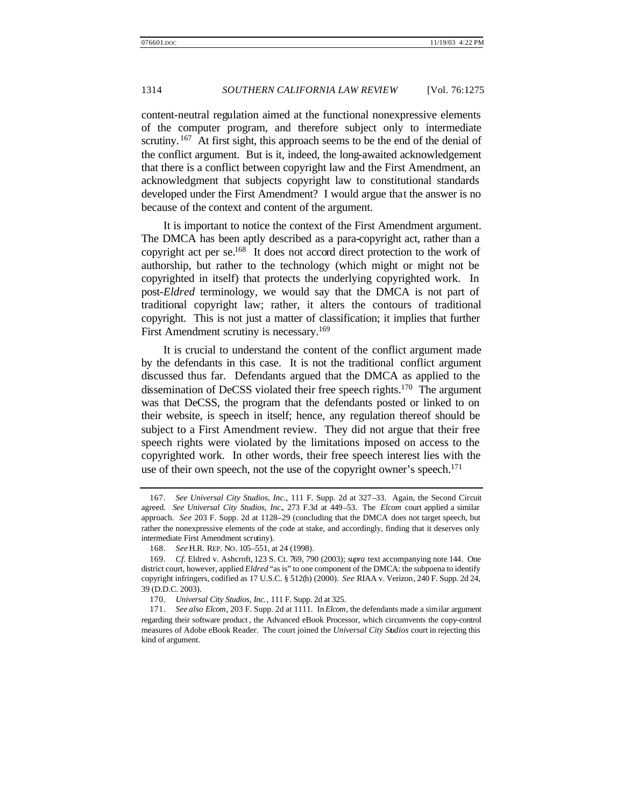content-neutral regulation aimed at the functional nonexpressive elements of the computer program, and therefore subject only to intermediate scrutiny.  $167$  At first sight, this approach seems to be the end of the denial of the conflict argument. But is it, indeed, the long-awaited acknowledgement that there is a conflict between copyright law and the First Amendment, an acknowledgment that subjects copyright law to constitutional standards developed under the First Amendment? I would argue that the answer is no because of the context and content of the argument.

It is important to notice the context of the First Amendment argument. The DMCA has been aptly described as a para-copyright act, rather than a copyright act per se. $168$  It does not accord direct protection to the work of authorship, but rather to the technology (which might or might not be copyrighted in itself) that protects the underlying copyrighted work. In post-*Eldred* terminology, we would say that the DMCA is not part of traditional copyright law; rather, it alters the contours of traditional copyright. This is not just a matter of classification; it implies that further First Amendment scrutiny is necessary.<sup>169</sup>

It is crucial to understand the content of the conflict argument made by the defendants in this case. It is not the traditional conflict argument discussed thus far. Defendants argued that the DMCA as applied to the dissemination of DeCSS violated their free speech rights.<sup>170</sup> The argument was that DeCSS, the program that the defendants posted or linked to on their website, is speech in itself; hence, any regulation thereof should be subject to a First Amendment review. They did not argue that their free speech rights were violated by the limitations imposed on access to the copyrighted work. In other words, their free speech interest lies with the use of their own speech, not the use of the copyright owner's speech.<sup>171</sup>

<sup>167.</sup> *See Universal City Studios, Inc.*, 111 F. Supp. 2d at 327–33. Again, the Second Circuit agreed. *See Universal City Studios, Inc.*, 273 F.3d at 449–53. The *Elcom* court applied a similar approach. *See* 203 F. Supp. 2d at 1128–29 (concluding that the DMCA does not target speech, but rather the nonexpressive elements of the code at stake, and accordingly, finding that it deserves only intermediate First Amendment scrutiny).

<sup>168.</sup> *See* H.R. REP. NO. 105–551, at 24 (1998).

<sup>169.</sup> *Cf.* Eldred v. Ashcroft, 123 S. Ct. 769, 790 (2003); *supra* text accompanying note 144. One district court, however, applied *Eldred* "as is" to one component of the DMCA: the subpoena to identify copyright infringers, codified as 17 U.S.C. § 512(h) (2000). *See* RIAA v. Verizon, 240 F. Supp. 2d 24, 39 (D.D.C. 2003).

<sup>170.</sup> *Universal City Studios, Inc.*, 111 F. Supp. 2d at 325.

<sup>171.</sup> *See also Elcom*, 203 F. Supp. 2d at 1111. In *Elcom*, the defendants made a similar argument regarding their software product , the Advanced eBook Processor, which circumvents the copy-control measures of Adobe eBook Reader. The court joined the *Universal City Studios* court in rejecting this kind of argument.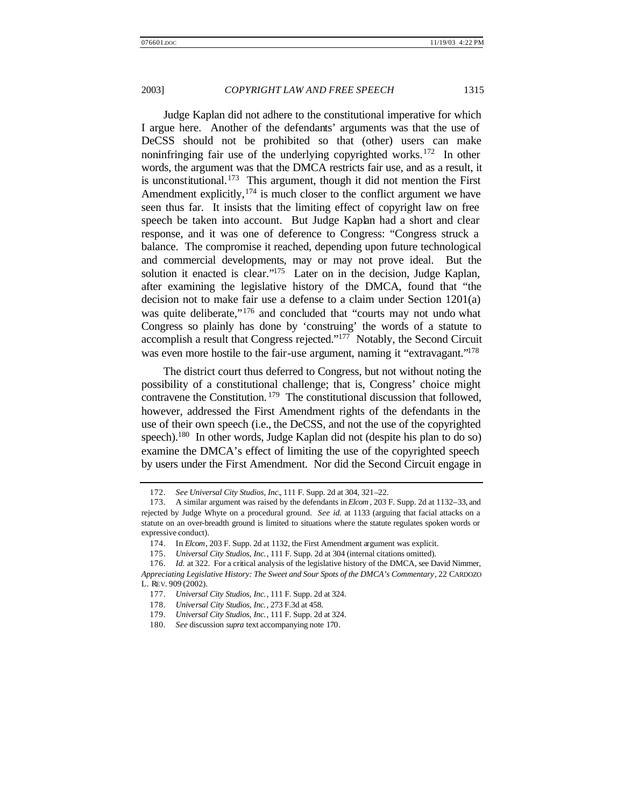Judge Kaplan did not adhere to the constitutional imperative for which I argue here. Another of the defendants' arguments was that the use of DeCSS should not be prohibited so that (other) users can make noninfringing fair use of the underlying copyrighted works.<sup>172</sup> In other words, the argument was that the DMCA restricts fair use, and as a result, it is unconstitutional.<sup>173</sup> This argument, though it did not mention the First Amendment explicitly,  $174$  is much closer to the conflict argument we have seen thus far. It insists that the limiting effect of copyright law on free speech be taken into account. But Judge Kaplan had a short and clear response, and it was one of deference to Congress: "Congress struck a balance. The compromise it reached, depending upon future technological and commercial developments, may or may not prove ideal. But the solution it enacted is clear."<sup>175</sup> Later on in the decision, Judge Kaplan, after examining the legislative history of the DMCA, found that "the decision not to make fair use a defense to a claim under Section 1201(a) was quite deliberate,"<sup>176</sup> and concluded that "courts may not undo what Congress so plainly has done by 'construing' the words of a statute to accomplish a result that Congress rejected." $177$  Notably, the Second Circuit was even more hostile to the fair-use argument, naming it "extravagant."<sup>178</sup>

The district court thus deferred to Congress, but not without noting the possibility of a constitutional challenge; that is, Congress' choice might contravene the Constitution. <sup>179</sup> The constitutional discussion that followed, however, addressed the First Amendment rights of the defendants in the use of their own speech (i.e., the DeCSS, and not the use of the copyrighted speech).<sup>180</sup> In other words, Judge Kaplan did not (despite his plan to do so) examine the DMCA's effect of limiting the use of the copyrighted speech by users under the First Amendment. Nor did the Second Circuit engage in

<sup>172.</sup> *See Universal City Studios, Inc.*, 111 F. Supp. 2d at 304, 321–22.

<sup>173.</sup> A similar argument was raised by the defendants in *Elcom*, 203 F. Supp. 2d at 1132–33, and rejected by Judge Whyte on a procedural ground. *See id.* at 1133 (arguing that facial attacks on a statute on an over-breadth ground is limited to situations where the statute regulates spoken words or expressive conduct).

<sup>174.</sup> In *Elcom*, 203 F. Supp. 2d at 1132, the First Amendment argument was explicit.

<sup>175.</sup> *Universal City Studios, Inc.*, 111 F. Supp. 2d at 304 (internal citations omitted).

<sup>176.</sup> *Id.* at 322. For a critical analysis of the legislative history of the DMCA, see David Nimmer, *Appreciating Legislative History: The Sweet and Sour Spots of the DMCA's Commentary*, 22 CARDOZO L. REV. 909 (2002).

<sup>177.</sup> *Universal City Studios, Inc.*, 111 F. Supp. 2d at 324.

<sup>178.</sup> *Universal City Studios, Inc.*, 273 F.3d at 458.

<sup>179.</sup> *Universal City Studios, Inc.*, 111 F. Supp. 2d at 324.

<sup>180.</sup> *See* discussion *supra* text accompanying note 170.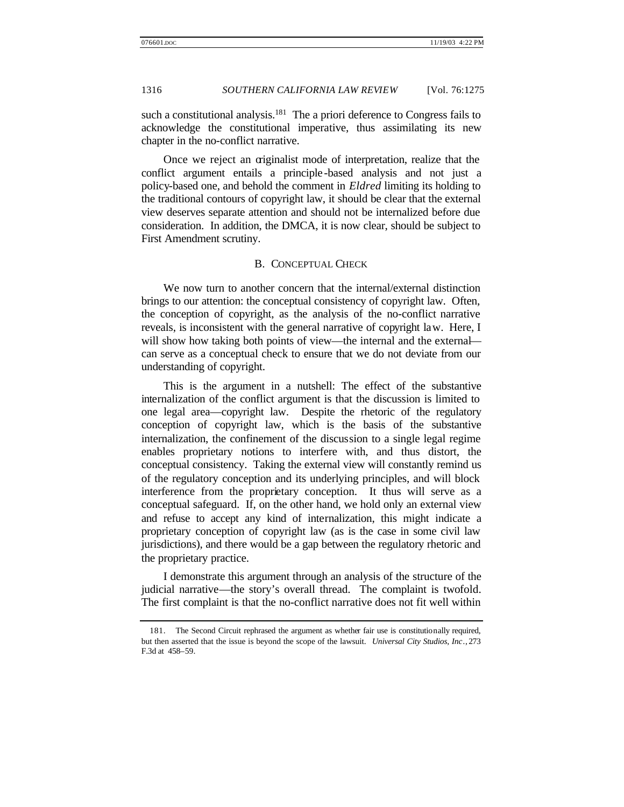such a constitutional analysis.<sup>181</sup> The a priori deference to Congress fails to acknowledge the constitutional imperative, thus assimilating its new chapter in the no-conflict narrative.

Once we reject an originalist mode of interpretation, realize that the conflict argument entails a principle -based analysis and not just a policy-based one, and behold the comment in *Eldred* limiting its holding to the traditional contours of copyright law, it should be clear that the external view deserves separate attention and should not be internalized before due consideration. In addition, the DMCA, it is now clear, should be subject to First Amendment scrutiny.

# B. CONCEPTUAL CHECK

We now turn to another concern that the internal/external distinction brings to our attention: the conceptual consistency of copyright law. Often, the conception of copyright, as the analysis of the no-conflict narrative reveals, is inconsistent with the general narrative of copyright law. Here, I will show how taking both points of view—the internal and the external can serve as a conceptual check to ensure that we do not deviate from our understanding of copyright.

This is the argument in a nutshell: The effect of the substantive internalization of the conflict argument is that the discussion is limited to one legal area—copyright law. Despite the rhetoric of the regulatory conception of copyright law, which is the basis of the substantive internalization, the confinement of the discussion to a single legal regime enables proprietary notions to interfere with, and thus distort, the conceptual consistency. Taking the external view will constantly remind us of the regulatory conception and its underlying principles, and will block interference from the proprietary conception. It thus will serve as a conceptual safeguard. If, on the other hand, we hold only an external view and refuse to accept any kind of internalization, this might indicate a proprietary conception of copyright law (as is the case in some civil law jurisdictions), and there would be a gap between the regulatory rhetoric and the proprietary practice.

I demonstrate this argument through an analysis of the structure of the judicial narrative—the story's overall thread. The complaint is twofold. The first complaint is that the no-conflict narrative does not fit well within

<sup>181.</sup> The Second Circuit rephrased the argument as whether fair use is constitutionally required, but then asserted that the issue is beyond the scope of the lawsuit. *Universal City Studios, Inc.*, 273 F.3d at 458–59.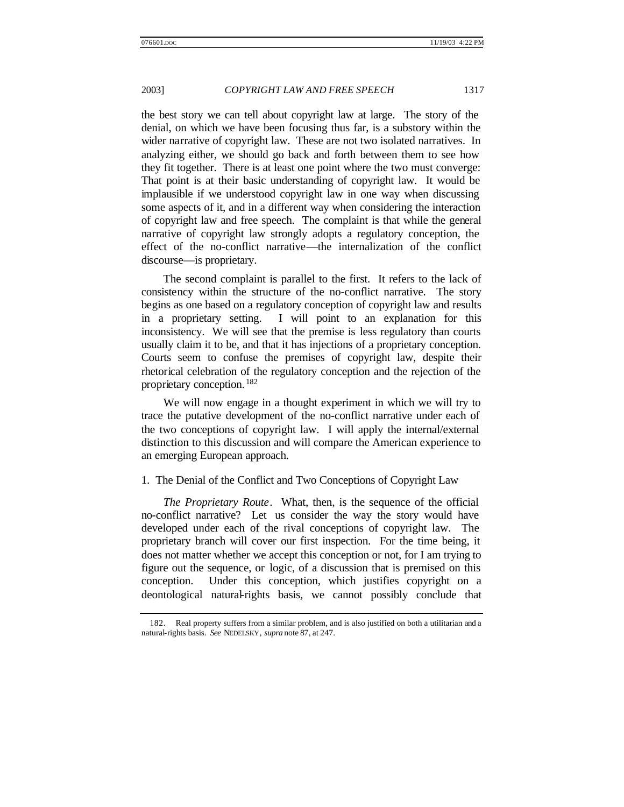the best story we can tell about copyright law at large. The story of the denial, on which we have been focusing thus far, is a substory within the wider narrative of copyright law. These are not two isolated narratives. In analyzing either, we should go back and forth between them to see how they fit together. There is at least one point where the two must converge: That point is at their basic understanding of copyright law. It would be implausible if we understood copyright law in one way when discussing some aspects of it, and in a different way when considering the interaction of copyright law and free speech. The complaint is that while the general narrative of copyright law strongly adopts a regulatory conception, the effect of the no-conflict narrative—the internalization of the conflict discourse—is proprietary.

The second complaint is parallel to the first. It refers to the lack of consistency within the structure of the no-conflict narrative. The story begins as one based on a regulatory conception of copyright law and results in a proprietary setting. I will point to an explanation for this inconsistency. We will see that the premise is less regulatory than courts usually claim it to be, and that it has injections of a proprietary conception. Courts seem to confuse the premises of copyright law, despite their rhetorical celebration of the regulatory conception and the rejection of the proprietary conception. <sup>182</sup>

We will now engage in a thought experiment in which we will try to trace the putative development of the no-conflict narrative under each of the two conceptions of copyright law. I will apply the internal/external distinction to this discussion and will compare the American experience to an emerging European approach.

#### 1. The Denial of the Conflict and Two Conceptions of Copyright Law

*The Proprietary Route*. What, then, is the sequence of the official no-conflict narrative? Let us consider the way the story would have developed under each of the rival conceptions of copyright law. The proprietary branch will cover our first inspection. For the time being, it does not matter whether we accept this conception or not, for I am trying to figure out the sequence, or logic, of a discussion that is premised on this conception. Under this conception, which justifies copyright on a deontological natural-rights basis, we cannot possibly conclude that

<sup>182.</sup> Real property suffers from a similar problem, and is also justified on both a utilitarian and a natural-rights basis. *See* NEDELSKY, *supra* note 87, at 247.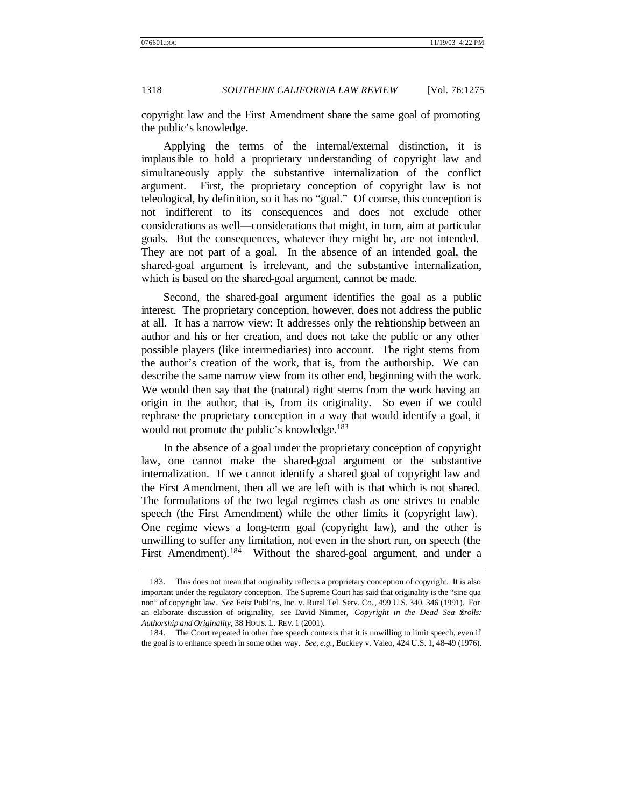copyright law and the First Amendment share the same goal of promoting the public's knowledge.

Applying the terms of the internal/external distinction, it is implausible to hold a proprietary understanding of copyright law and simultaneously apply the substantive internalization of the conflict argument. First, the proprietary conception of copyright law is not teleological, by definition, so it has no "goal." Of course, this conception is not indifferent to its consequences and does not exclude other considerations as well—considerations that might, in turn, aim at particular goals. But the consequences, whatever they might be, are not intended. They are not part of a goal. In the absence of an intended goal, the shared-goal argument is irrelevant, and the substantive internalization, which is based on the shared-goal argument, cannot be made.

Second, the shared-goal argument identifies the goal as a public interest. The proprietary conception, however, does not address the public at all. It has a narrow view: It addresses only the relationship between an author and his or her creation, and does not take the public or any other possible players (like intermediaries) into account. The right stems from the author's creation of the work, that is, from the authorship. We can describe the same narrow view from its other end, beginning with the work. We would then say that the (natural) right stems from the work having an origin in the author, that is, from its originality. So even if we could rephrase the proprietary conception in a way that would identify a goal, it would not promote the public's knowledge.<sup>183</sup>

In the absence of a goal under the proprietary conception of copyright law, one cannot make the shared-goal argument or the substantive internalization. If we cannot identify a shared goal of copyright law and the First Amendment, then all we are left with is that which is not shared. The formulations of the two legal regimes clash as one strives to enable speech (the First Amendment) while the other limits it (copyright law). One regime views a long-term goal (copyright law), and the other is unwilling to suffer any limitation, not even in the short run, on speech (the First Amendment).<sup>184</sup> Without the shared-goal argument, and under a

<sup>183.</sup> This does not mean that originality reflects a proprietary conception of copyright. It is also important under the regulatory conception. The Supreme Court has said that originality is the "sine qua non" of copyright law. *See* Feist Publ'ns, Inc. v. Rural Tel. Serv. Co., 499 U.S. 340, 346 (1991). For an elaborate discussion of originality, see David Nimmer, *Copyright in the Dead Sea Scrolls: Authorship and Originality*, 38 HOUS. L. REV. 1 (2001).

<sup>184.</sup> The Court repeated in other free speech contexts that it is unwilling to limit speech, even if the goal is to enhance speech in some other way. *See, e.g.*, Buckley v. Valeo, 424 U.S. 1, 48–49 (1976).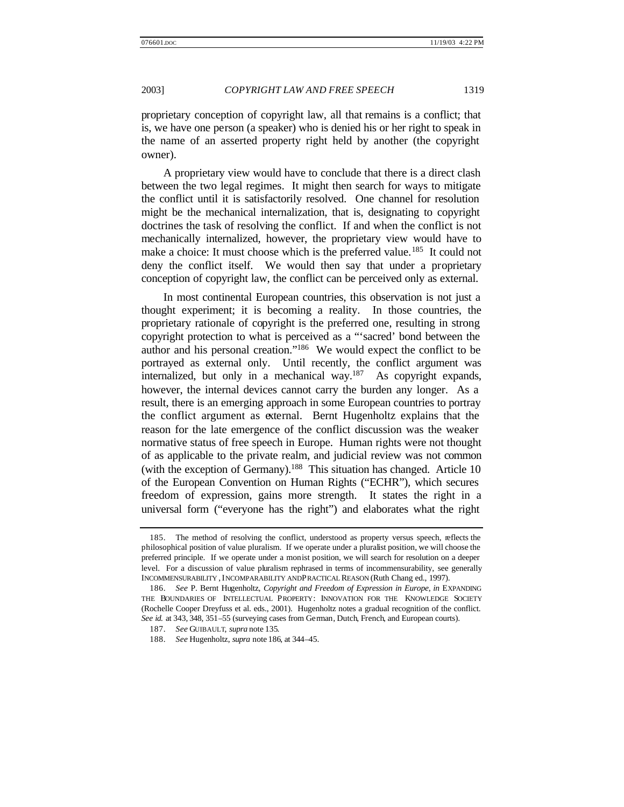proprietary conception of copyright law, all that remains is a conflict; that is, we have one person (a speaker) who is denied his or her right to speak in the name of an asserted property right held by another (the copyright owner).

A proprietary view would have to conclude that there is a direct clash between the two legal regimes. It might then search for ways to mitigate the conflict until it is satisfactorily resolved. One channel for resolution might be the mechanical internalization, that is, designating to copyright doctrines the task of resolving the conflict. If and when the conflict is not mechanically internalized, however, the proprietary view would have to make a choice: It must choose which is the preferred value.<sup>185</sup> It could not deny the conflict itself. We would then say that under a proprietary conception of copyright law, the conflict can be perceived only as external.

In most continental European countries, this observation is not just a thought experiment; it is becoming a reality. In those countries, the proprietary rationale of copyright is the preferred one, resulting in strong copyright protection to what is perceived as a "'sacred' bond between the author and his personal creation."<sup>186</sup> We would expect the conflict to be portrayed as external only. Until recently, the conflict argument was internalized, but only in a mechanical way. $187$  As copyright expands, however, the internal devices cannot carry the burden any longer. As a result, there is an emerging approach in some European countries to portray the conflict argument as external. Bernt Hugenholtz explains that the reason for the late emergence of the conflict discussion was the weaker normative status of free speech in Europe. Human rights were not thought of as applicable to the private realm, and judicial review was not common (with the exception of Germany).<sup>188</sup> This situation has changed. Article 10 of the European Convention on Human Rights ("ECHR"), which secures freedom of expression, gains more strength. It states the right in a universal form ("everyone has the right") and elaborates what the right

<sup>185.</sup> The method of resolving the conflict, understood as property versus speech, reflects the philosophical position of value pluralism. If we operate under a pluralist position, we will choose the preferred principle. If we operate under a monist position, we will search for resolution on a deeper level. For a discussion of value pluralism rephrased in terms of incommensurability, see generally INCOMMENSURABILITY , INCOMPARABILITY AND PRACTICAL REASON (Ruth Chang ed., 1997).

<sup>186.</sup> *See* P. Bernt Hugenholtz, *Copyright and Freedom of Expression in Europe*, *in* EXPANDING THE BOUNDARIES OF INTELLECTUAL PROPERTY: INNOVATION FOR THE KNOWLEDGE SOCIETY (Rochelle Cooper Dreyfuss et al. eds., 2001). Hugenholtz notes a gradual recognition of the conflict. *See id.* at 343, 348, 351–55 (surveying cases from German, Dutch, French, and European courts).

<sup>187.</sup> *See* GUIBAULT, *supra* note 135.

<sup>188.</sup> *See* Hugenholtz, *supra* note 186, at 344–45.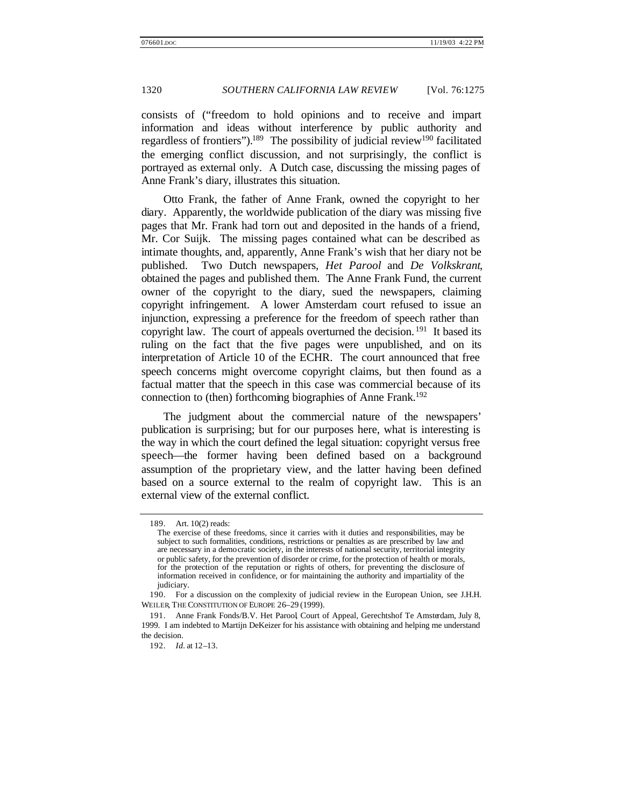consists of ("freedom to hold opinions and to receive and impart information and ideas without interference by public authority and regardless of frontiers").<sup>189</sup> The possibility of judicial review<sup>190</sup> facilitated the emerging conflict discussion, and not surprisingly, the conflict is portrayed as external only. A Dutch case, discussing the missing pages of Anne Frank's diary, illustrates this situation.

Otto Frank, the father of Anne Frank, owned the copyright to her diary. Apparently, the worldwide publication of the diary was missing five pages that Mr. Frank had torn out and deposited in the hands of a friend, Mr. Cor Suijk. The missing pages contained what can be described as intimate thoughts, and, apparently, Anne Frank's wish that her diary not be published. Two Dutch newspapers, *Het Parool* and *De Volkskrant*, obtained the pages and published them. The Anne Frank Fund, the current owner of the copyright to the diary, sued the newspapers, claiming copyright infringement. A lower Amsterdam court refused to issue an injunction, expressing a preference for the freedom of speech rather than copyright law. The court of appeals overturned the decision.<sup>191</sup> It based its ruling on the fact that the five pages were unpublished, and on its interpretation of Article 10 of the ECHR. The court announced that free speech concerns might overcome copyright claims, but then found as a factual matter that the speech in this case was commercial because of its connection to (then) forthcoming biographies of Anne Frank.<sup>192</sup>

The judgment about the commercial nature of the newspapers' publication is surprising; but for our purposes here, what is interesting is the way in which the court defined the legal situation: copyright versus free speech—the former having been defined based on a background assumption of the proprietary view, and the latter having been defined based on a source external to the realm of copyright law. This is an external view of the external conflict.

<sup>189.</sup> Art. 10(2) reads:

The exercise of these freedoms, since it carries with it duties and responsibilities, may be subject to such formalities, conditions, restrictions or penalties as are prescribed by law and are necessary in a democratic society, in the interests of national security, territorial integrity or public safety, for the prevention of disorder or crime, for the protection of health or morals, for the protection of the reputation or rights of others, for preventing the disclosure of information received in confidence, or for maintaining the authority and impartiality of the judiciary.

<sup>190.</sup> For a discussion on the complexity of judicial review in the European Union, see J.H.H. WEILER, THE CONSTITUTION OF EUROPE 26–29 (1999).

<sup>191.</sup> Anne Frank Fonds/B.V. Het Parool, Court of Appeal, Gerechtshof Te Amsterdam, July 8, 1999. I am indebted to Martijn DeKeizer for his assistance with obtaining and helping me understand the decision.

<sup>192.</sup> *Id.* at 12–13.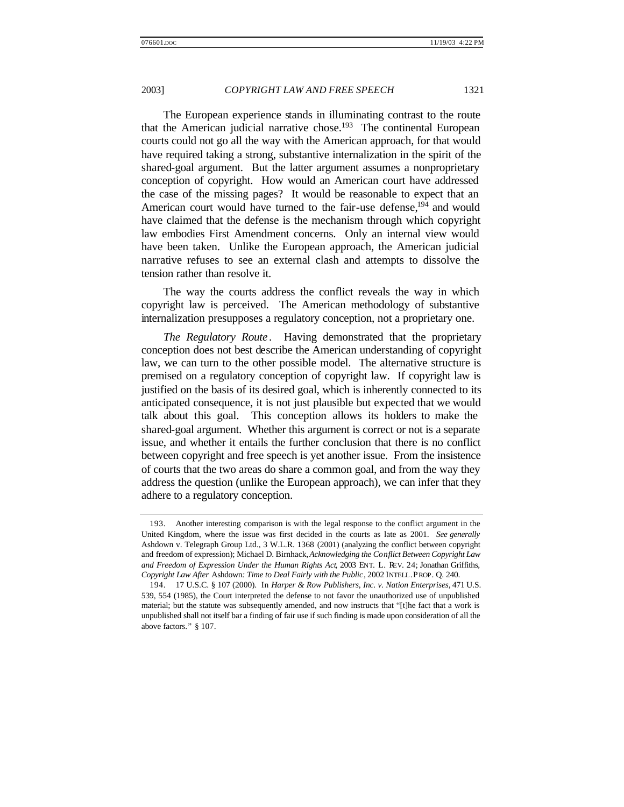The European experience stands in illuminating contrast to the route that the American judicial narrative chose.<sup>193</sup> The continental European courts could not go all the way with the American approach, for that would have required taking a strong, substantive internalization in the spirit of the shared-goal argument. But the latter argument assumes a nonproprietary conception of copyright. How would an American court have addressed the case of the missing pages? It would be reasonable to expect that an American court would have turned to the fair-use defense,<sup>194</sup> and would have claimed that the defense is the mechanism through which copyright law embodies First Amendment concerns. Only an internal view would have been taken. Unlike the European approach, the American judicial narrative refuses to see an external clash and attempts to dissolve the tension rather than resolve it.

The way the courts address the conflict reveals the way in which copyright law is perceived. The American methodology of substantive internalization presupposes a regulatory conception, not a proprietary one.

*The Regulatory Route* . Having demonstrated that the proprietary conception does not best describe the American understanding of copyright law, we can turn to the other possible model. The alternative structure is premised on a regulatory conception of copyright law. If copyright law is justified on the basis of its desired goal, which is inherently connected to its anticipated consequence, it is not just plausible but expected that we would talk about this goal. This conception allows its holders to make the shared-goal argument. Whether this argument is correct or not is a separate issue, and whether it entails the further conclusion that there is no conflict between copyright and free speech is yet another issue. From the insistence of courts that the two areas do share a common goal, and from the way they address the question (unlike the European approach), we can infer that they adhere to a regulatory conception.

<sup>193.</sup> Another interesting comparison is with the legal response to the conflict argument in the United Kingdom, where the issue was first decided in the courts as late as 2001. *See generally*  Ashdown v. Telegraph Group Ltd., 3 W.L.R. 1368 (2001) (analyzing the conflict between copyright and freedom of expression); Michael D. Birnhack, *Acknowledging the Conflict Between Copyright Law and Freedom of Expression Under the Human Rights Act*, 2003 ENT. L. REV. 24; Jonathan Griffiths, *Copyright Law After* Ashdown*: Time to Deal Fairly with the Public*, 2002 INTELL. PROP. Q. 240.

<sup>194.</sup> 17 U.S.C. § 107 (2000). In *Harper & Row Publishers, Inc. v. Nation Enterprises*, 471 U.S. 539, 554 (1985), the Court interpreted the defense to not favor the unauthorized use of unpublished material; but the statute was subsequently amended, and now instructs that "[t]he fact that a work is unpublished shall not itself bar a finding of fair use if such finding is made upon consideration of all the above factors." § 107.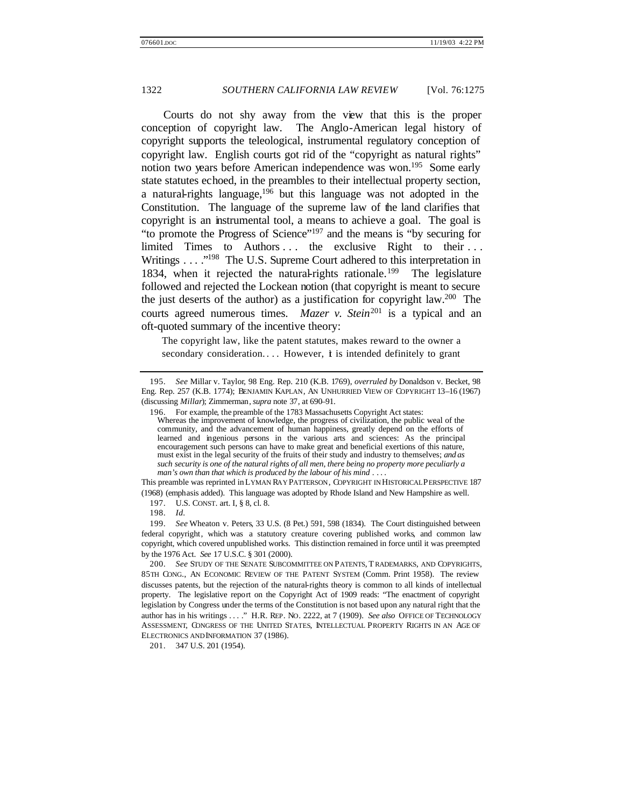Courts do not shy away from the view that this is the proper conception of copyright law. The Anglo-American legal history of copyright supports the teleological, instrumental regulatory conception of copyright law. English courts got rid of the "copyright as natural rights" notion two years before American independence was won.<sup>195</sup> Some early state statutes echoed, in the preambles to their intellectual property section, a natural-rights language,  $196$  but this language was not adopted in the Constitution. The language of the supreme law of the land clarifies that copyright is an instrumental tool, a means to achieve a goal. The goal is "to promote the Progress of Science"<sup>197</sup> and the means is "by securing for limited Times to Authors ... the exclusive Right to their ... Writings . . . ."<sup>198</sup> The U.S. Supreme Court adhered to this interpretation in 1834, when it rejected the natural-rights rationale.<sup>199</sup> The legislature followed and rejected the Lockean notion (that copyright is meant to secure the just deserts of the author) as a justification for copyright law.<sup>200</sup> The courts agreed numerous times. *Mazer v. Stein*<sup>201</sup> is a typical and an oft-quoted summary of the incentive theory:

The copyright law, like the patent statutes, makes reward to the owner a secondary consideration.... However,  $\dot{\mathbf{t}}$  is intended definitely to grant

197. U.S. CONST. art. I, § 8, cl. 8.

201. 347 U.S. 201 (1954).

<sup>195.</sup> *See* Millar v. Taylor, 98 Eng. Rep. 210 (K.B. 1769), *overruled by* Donaldson v. Becket, 98 Eng. Rep. 257 (K.B. 1774); BENJAMIN KAPLAN, AN UNHURRIED VIEW OF COPYRIGHT 13–16 (1967) (discussing *Millar*); Zimmerman, *supra* note 37, at 690–91.

<sup>196.</sup> For example, the preamble of the 1783 Massachusetts Copyright Act states: Whereas the improvement of knowledge, the progress of civilization, the public weal of the community, and the advancement of human happiness, greatly depend on the efforts of learned and ingenious persons in the various arts and sciences: As the principal encouragement such persons can have to make great and beneficial exertions of this nature, must exist in the legal security of the fruits of their study and industry to themselves; *and as such security is one of the natural rights of all men, there being no property more peculiarly a man's own than that which is produced by the labour of his mind* . . . .

This preamble was reprinted in LYMAN RAY PATTERSON, COPYRIGHT IN HISTORICAL PERSPECTIVE 187 (1968) (emphasis added). This language was adopted by Rhode Island and New Hampshire as well.

<sup>198.</sup> *Id.*

<sup>199.</sup> *See* Wheaton v. Peters, 33 U.S. (8 Pet.) 591, 598 (1834). The Court distinguished between federal copyright, which was a statutory creature covering published works, and common law copyright, which covered unpublished works. This distinction remained in force until it was preempted by the 1976 Act. *See* 17 U.S.C. § 301 (2000).

<sup>200.</sup> *See* STUDY OF THE SENATE SUBCOMMITTEE ON PATENTS, T RADEMARKS, AND COPYRIGHTS, 85TH CONG., AN ECONOMIC REVIEW OF THE PATENT SYSTEM (Comm. Print 1958). The review discusses patents, but the rejection of the natural-rights theory is common to all kinds of intellectual property. The legislative report on the Copyright Act of 1909 reads: "The enactment of copyright legislation by Congress under the terms of the Constitution is not based upon any natural right that the author has in his writings . . . ." H.R. REP. NO. 2222, at 7 (1909). *See also* OFFICE OF TECHNOLOGY ASSESSMENT, CONGRESS OF THE UNITED STATES, INTELLECTUAL PROPERTY RIGHTS IN AN AGE OF ELECTRONICS AND INFORMATION 37 (1986).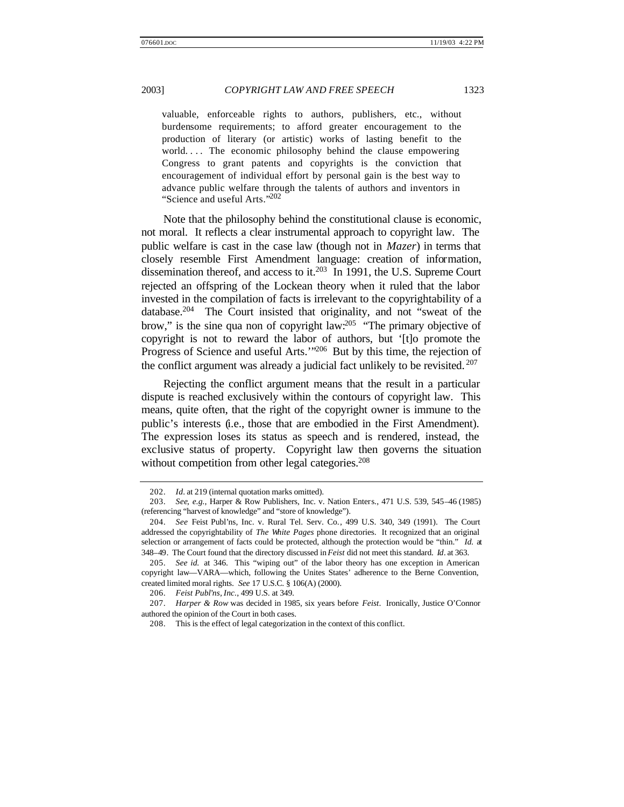valuable, enforceable rights to authors, publishers, etc., without burdensome requirements; to afford greater encouragement to the production of literary (or artistic) works of lasting benefit to the world.... The economic philosophy behind the clause empowering Congress to grant patents and copyrights is the conviction that encouragement of individual effort by personal gain is the best way to advance public welfare through the talents of authors and inventors in "Science and useful Arts."<sup>202</sup>

Note that the philosophy behind the constitutional clause is economic, not moral. It reflects a clear instrumental approach to copyright law. The public welfare is cast in the case law (though not in *Mazer*) in terms that closely resemble First Amendment language: creation of information, dissemination thereof, and access to it.<sup>203</sup> In 1991, the U.S. Supreme Court rejected an offspring of the Lockean theory when it ruled that the labor invested in the compilation of facts is irrelevant to the copyrightability of a database.<sup>204</sup> The Court insisted that originality, and not "sweat of the brow," is the sine qua non of copyright law:<sup>205</sup> "The primary objective of copyright is not to reward the labor of authors, but '[t]o promote the Progress of Science and useful Arts.'"<sup>206</sup> But by this time, the rejection of the conflict argument was already a judicial fact unlikely to be revisited. <sup>207</sup>

Rejecting the conflict argument means that the result in a particular dispute is reached exclusively within the contours of copyright law. This means, quite often, that the right of the copyright owner is immune to the public's interests (i.e., those that are embodied in the First Amendment). The expression loses its status as speech and is rendered, instead, the exclusive status of property. Copyright law then governs the situation without competition from other legal categories.<sup>208</sup>

<sup>202.</sup> *Id.* at 219 (internal quotation marks omitted).

<sup>203.</sup> *See, e.g.*, Harper & Row Publishers, Inc. v. Nation Enters., 471 U.S. 539, 545–46 (1985) (referencing "harvest of knowledge" and "store of knowledge").

<sup>204.</sup> *See* Feist Publ'ns, Inc. v. Rural Tel. Serv. Co., 499 U.S. 340, 349 (1991). The Court addressed the copyrightability of *The White Pages* phone directories. It recognized that an original selection or arrangement of facts could be protected, although the protection would be "thin." *Id.* at 348–49. The Court found that the directory discussed in *Feist* did not meet this standard. *Id.* at 363.

<sup>205.</sup> *See id.* at 346. This "wiping out" of the labor theory has one exception in American copyright law—VARA—which, following the Unites States' adherence to the Berne Convention, created limited moral rights. *See* 17 U.S.C. § 106(A) (2000).

<sup>206.</sup> *Feist Publ'ns, Inc.*, 499 U.S. at 349.

<sup>207.</sup> *Harper & Row* was decided in 1985, six years before *Feist*. Ironically, Justice O'Connor authored the opinion of the Court in both cases.

<sup>208.</sup> This is the effect of legal categorization in the context of this conflict.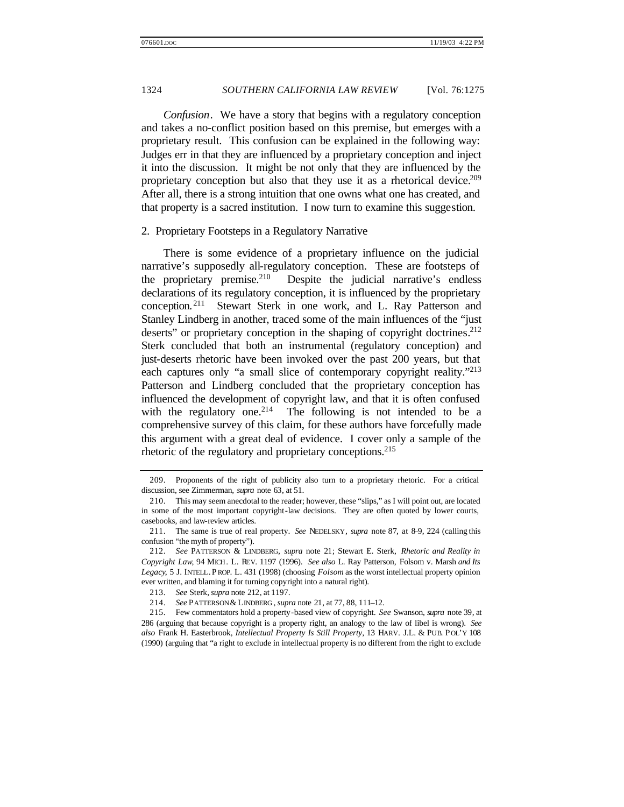*Confusion*. We have a story that begins with a regulatory conception and takes a no-conflict position based on this premise, but emerges with a proprietary result. This confusion can be explained in the following way: Judges err in that they are influenced by a proprietary conception and inject it into the discussion. It might be not only that they are influenced by the proprietary conception but also that they use it as a rhetorical device.<sup>209</sup> After all, there is a strong intuition that one owns what one has created, and that property is a sacred institution. I now turn to examine this suggestion.

#### 2. Proprietary Footsteps in a Regulatory Narrative

There is some evidence of a proprietary influence on the judicial narrative's supposedly all-regulatory conception. These are footsteps of the proprietary premise.<sup>210</sup> Despite the judicial narrative's endless declarations of its regulatory conception, it is influenced by the proprietary conception. <sup>211</sup> Stewart Sterk in one work, and L. Ray Patterson and Stanley Lindberg in another, traced some of the main influences of the "just deserts" or proprietary conception in the shaping of copyright doctrines.<sup>212</sup> Sterk concluded that both an instrumental (regulatory conception) and just-deserts rhetoric have been invoked over the past 200 years, but that each captures only "a small slice of contemporary copyright reality."<sup>213</sup> Patterson and Lindberg concluded that the proprietary conception has influenced the development of copyright law, and that it is often confused with the regulatory one.<sup>214</sup> The following is not intended to be a comprehensive survey of this claim, for these authors have forcefully made this argument with a great deal of evidence. I cover only a sample of the rhetoric of the regulatory and proprietary conceptions.<sup>215</sup>

<sup>209.</sup> Proponents of the right of publicity also turn to a proprietary rhetoric. For a critical discussion, see Zimmerman, *supra* note 63, at 51.

<sup>210.</sup> This may seem anecdotal to the reader; however, these "slips," as I will point out, are located in some of the most important copyright-law decisions. They are often quoted by lower courts, casebooks, and law-review articles.

<sup>211.</sup> The same is true of real property. *See* NEDELSKY, *supra* note 87, at 8–9, 224 (calling this confusion "the myth of property").

<sup>212.</sup> *See* PATTERSON & LINDBERG, *supra* note 21; Stewart E. Sterk, *Rhetoric and Reality in Copyright Law*, 94 MICH. L. REV. 1197 (1996). *See also* L. Ray Patterson, Folsom v. Marsh *and Its Legacy*, 5 J. INTELL. P ROP. L. 431 (1998) (choosing *Folsom* as the worst intellectual property opinion ever written, and blaming it for turning copyright into a natural right).

<sup>213.</sup> *See* Sterk,*supra* note 212, at 1197.

<sup>214.</sup> *See* PATTERSON & LINDBERG , *supra* note 21, at 77, 88, 111–12.

<sup>215.</sup> Few commentators hold a property-based view of copyright. *See* Swanson, *supra* note 39, at 286 (arguing that because copyright is a property right, an analogy to the law of libel is wrong). *See also* Frank H. Easterbrook, *Intellectual Property Is Still Property*, 13 HARV. J.L. & PUB. POL'Y 108 (1990) (arguing that "a right to exclude in intellectual property is no different from the right to exclude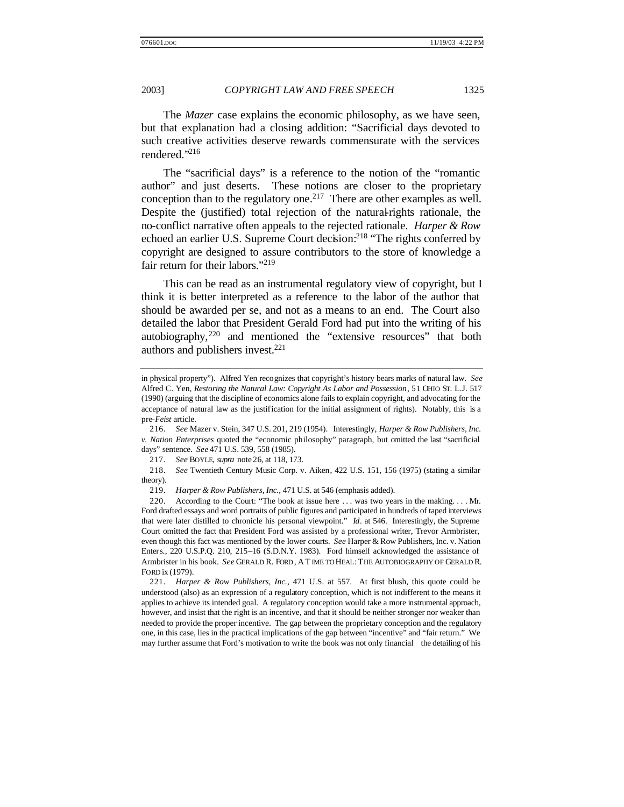The *Mazer* case explains the economic philosophy, as we have seen, but that explanation had a closing addition: "Sacrificial days devoted to such creative activities deserve rewards commensurate with the services rendered."<sup>216</sup>

The "sacrificial days" is a reference to the notion of the "romantic author" and just deserts. These notions are closer to the proprietary conception than to the regulatory one.<sup>217</sup> There are other examples as well. Despite the (justified) total rejection of the natural-rights rationale, the no-conflict narrative often appeals to the rejected rationale. *Harper & Row*  echoed an earlier U.S. Supreme Court decision:<sup>218</sup> "The rights conferred by copyright are designed to assure contributors to the store of knowledge a fair return for their labors."<sup>219</sup>

This can be read as an instrumental regulatory view of copyright, but I think it is better interpreted as a reference to the labor of the author that should be awarded per se, and not as a means to an end. The Court also detailed the labor that President Gerald Ford had put into the writing of his autobiography,<sup>220</sup> and mentioned the "extensive resources" that both authors and publishers invest.<sup>221</sup>

in physical property"). Alfred Yen recognizes that copyright's history bears marks of natural law. *See* Alfred C. Yen, *Restoring the Natural Law: Copyright As Labor and Possession*, 51 OHIO ST. L.J. 517 (1990) (arguing that the discipline of economics alone fails to explain copyright, and advocating for the acceptance of natural law as the justification for the initial assignment of rights). Notably, this is a pre-*Feist* article.

<sup>216.</sup> *See* Mazer v. Stein, 347 U.S. 201, 219 (1954). Interestingly, *Harper & Row Publishers, Inc. v. Nation Enterprises* quoted the "economic philosophy" paragraph, but omitted the last "sacrificial days" sentence. *See* 471 U.S. 539, 558 (1985).

<sup>217.</sup> *See* BOYLE, *supra* note 26, at 118, 173.

<sup>218.</sup> *See* Twentieth Century Music Corp. v. Aiken, 422 U.S. 151, 156 (1975) (stating a similar theory).

<sup>219.</sup> *Harper & Row Publishers, Inc.*, 471 U.S. at 546 (emphasis added).

<sup>220.</sup> According to the Court: "The book at issue here . . . was two years in the making. . . . Mr. Ford drafted essays and word portraits of public figures and participated in hundreds of taped interviews that were later distilled to chronicle his personal viewpoint." *Id*. at 546. Interestingly, the Supreme Court omitted the fact that President Ford was assisted by a professional writer, Trevor Armbrister, even though this fact was mentioned by the lower courts. *See* Harper & Row Publishers, Inc. v. Nation Enters., 220 U.S.P.Q. 210, 215–16 (S.D.N.Y. 1983). Ford himself acknowledged the assistance of Armbrister in his book. *See* GERALD R. FORD , A TIME TO HEAL: THE AUTOBIOGRAPHY OF GERALD R. FORD ix (1979).

<sup>221.</sup> *Harper & Row Publishers, Inc.*, 471 U.S. at 557. At first blush, this quote could be understood (also) as an expression of a regulatory conception, which is not indifferent to the means it applies to achieve its intended goal. A regulatory conception would take a more instrumental approach, however, and insist that the right is an incentive, and that it should be neither stronger nor weaker than needed to provide the proper incentive. The gap between the proprietary conception and the regulatory one, in this case, lies in the practical implications of the gap between "incentive" and "fair return." We may further assume that Ford's motivation to write the book was not only financial the detailing of his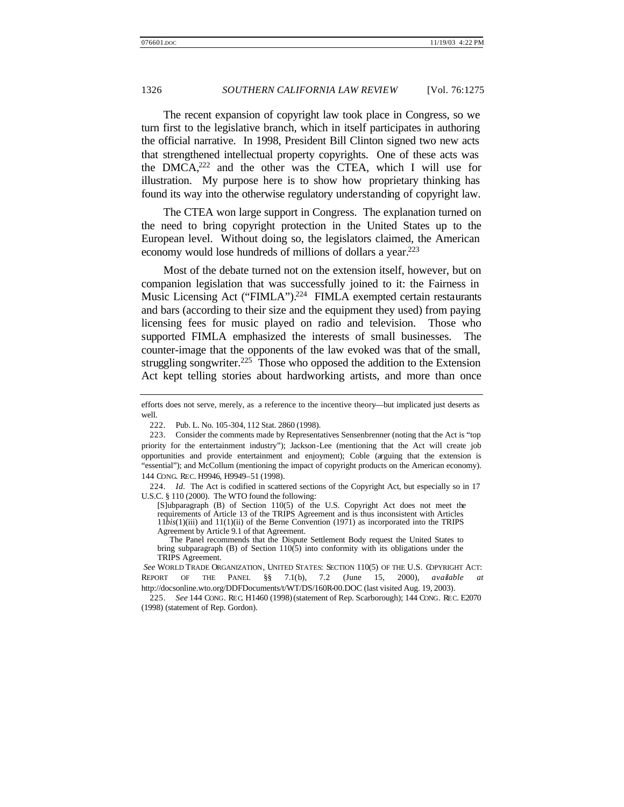The recent expansion of copyright law took place in Congress, so we turn first to the legislative branch, which in itself participates in authoring the official narrative. In 1998, President Bill Clinton signed two new acts that strengthened intellectual property copyrights. One of these acts was the  $DMCA<sub>222</sub>$  and the other was the CTEA, which I will use for illustration. My purpose here is to show how proprietary thinking has found its way into the otherwise regulatory understanding of copyright law.

The CTEA won large support in Congress. The explanation turned on the need to bring copyright protection in the United States up to the European level. Without doing so, the legislators claimed, the American economy would lose hundreds of millions of dollars a year.<sup>223</sup>

Most of the debate turned not on the extension itself, however, but on companion legislation that was successfully joined to it: the Fairness in Music Licensing Act ("FIMLA").<sup>224</sup> FIMLA exempted certain restaurants and bars (according to their size and the equipment they used) from paying licensing fees for music played on radio and television. Those who supported FIMLA emphasized the interests of small businesses. The counter-image that the opponents of the law evoked was that of the small, struggling songwriter.<sup>225</sup> Those who opposed the addition to the Extension Act kept telling stories about hardworking artists, and more than once

224. *Id.* The Act is codified in scattered sections of the Copyright Act, but especially so in 17 U.S.C. § 110 (2000). The WTO found the following:

[S]ubparagraph (B) of Section 110(5) of the U.S. Copyright Act does not meet the requirements of Article 13 of the TRIPS Agreement and is thus inconsistent with Articles 11*bis*(1)(iii) and 11(1)(ii) of the Berne Convention (1971) as incorporated into the TRIPS Agreement by Article 9.1 of that Agreement.

The Panel recommends that the Dispute Settlement Body request the United States to bring subparagraph  $(B)$  of Section 110(5) into conformity with its obligations under the TRIPS Agreement.

*See* WORLD TRADE ORGANIZATION, UNITED STATES: SECTION 110(5) OF THE U.S. COPYRIGHT ACT: REPORT OF THE PANEL §§ 7.1(b), 7.2 (June 15, 2000), *available at* http://docsonline.wto.org/DDFDocuments/t/WT/DS/160R-00.DOC (last visited Aug. 19, 2003).

225. *See* 144 CONG. REC. H1460 (1998) (statement of Rep. Scarborough); 144 CONG. REC. E2070 (1998) (statement of Rep. Gordon).

efforts does not serve, merely, as a reference to the incentive theory—but implicated just deserts as well.

<sup>222.</sup> Pub. L. No. 105-304, 112 Stat. 2860 (1998).

<sup>223.</sup> Consider the comments made by Representatives Sensenbrenner (noting that the Act is "top priority for the entertainment industry"); Jackson-Lee (mentioning that the Act will create job opportunities and provide entertainment and enjoyment); Coble (arguing that the extension is "essential"); and McCollum (mentioning the impact of copyright products on the American economy). 144 CONG. REC. H9946, H9949–51 (1998).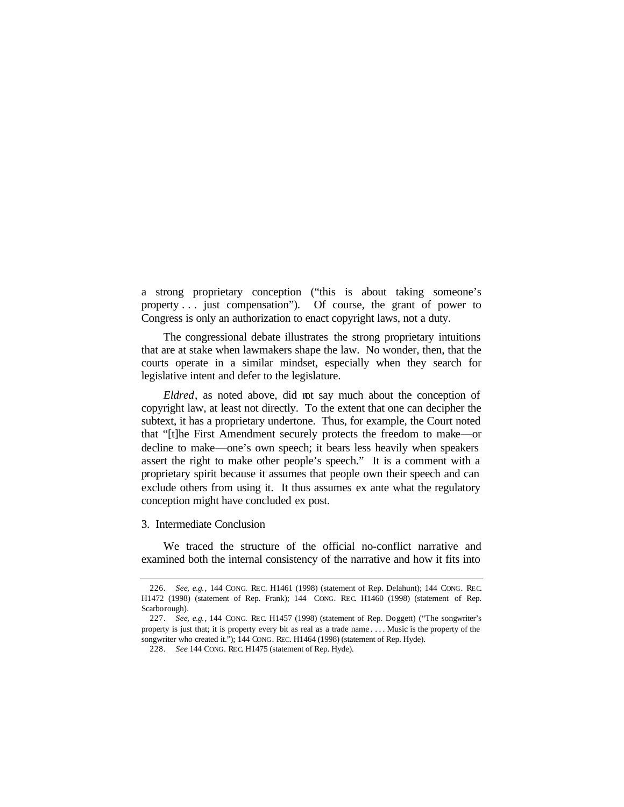a strong proprietary conception ("this is about taking someone's property . . . just compensation"). Of course, the grant of power to Congress is only an authorization to enact copyright laws, not a duty.

The congressional debate illustrates the strong proprietary intuitions that are at stake when lawmakers shape the law. No wonder, then, that the courts operate in a similar mindset, especially when they search for legislative intent and defer to the legislature.

*Eldred*, as noted above, did not say much about the conception of copyright law, at least not directly. To the extent that one can decipher the subtext, it has a proprietary undertone. Thus, for example, the Court noted that "[t]he First Amendment securely protects the freedom to make—or decline to make—one's own speech; it bears less heavily when speakers assert the right to make other people's speech." It is a comment with a proprietary spirit because it assumes that people own their speech and can exclude others from using it. It thus assumes ex ante what the regulatory conception might have concluded ex post.

3. Intermediate Conclusion

We traced the structure of the official no-conflict narrative and examined both the internal consistency of the narrative and how it fits into

<sup>226.</sup> *See, e.g.*, 144 CONG. REC. H1461 (1998) (statement of Rep. Delahunt); 144 CONG. REC. H1472 (1998) (statement of Rep. Frank); 144 CONG. REC. H1460 (1998) (statement of Rep. Scarborough).

<sup>227.</sup> *See, e.g.*, 144 CONG. REC. H1457 (1998) (statement of Rep. Doggett) ("The songwriter's property is just that; it is property every bit as real as a trade name . . . . Music is the property of the songwriter who created it."); 144 CONG. REC. H1464 (1998) (statement of Rep. Hyde).

<sup>228.</sup> *See* 144 CONG. REC. H1475 (statement of Rep. Hyde).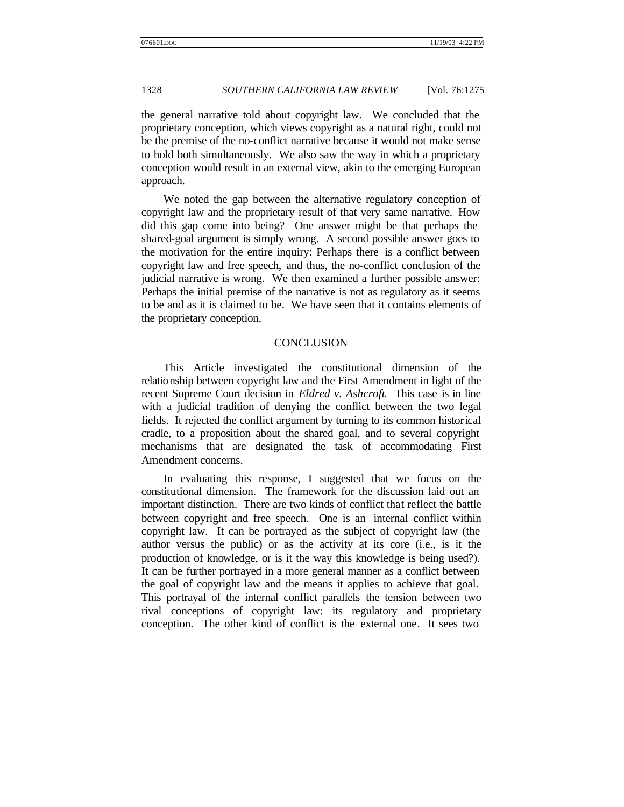the general narrative told about copyright law. We concluded that the proprietary conception, which views copyright as a natural right, could not be the premise of the no-conflict narrative because it would not make sense to hold both simultaneously. We also saw the way in which a proprietary conception would result in an external view, akin to the emerging European approach.

We noted the gap between the alternative regulatory conception of copyright law and the proprietary result of that very same narrative. How did this gap come into being? One answer might be that perhaps the shared-goal argument is simply wrong. A second possible answer goes to the motivation for the entire inquiry: Perhaps there is a conflict between copyright law and free speech, and thus, the no-conflict conclusion of the judicial narrative is wrong. We then examined a further possible answer: Perhaps the initial premise of the narrative is not as regulatory as it seems to be and as it is claimed to be. We have seen that it contains elements of the proprietary conception.

#### **CONCLUSION**

This Article investigated the constitutional dimension of the relationship between copyright law and the First Amendment in light of the recent Supreme Court decision in *Eldred v. Ashcroft*. This case is in line with a judicial tradition of denying the conflict between the two legal fields. It rejected the conflict argument by turning to its common historical cradle, to a proposition about the shared goal, and to several copyright mechanisms that are designated the task of accommodating First Amendment concerns.

In evaluating this response, I suggested that we focus on the constitutional dimension. The framework for the discussion laid out an important distinction. There are two kinds of conflict that reflect the battle between copyright and free speech. One is an internal conflict within copyright law. It can be portrayed as the subject of copyright law (the author versus the public) or as the activity at its core (i.e., is it the production of knowledge, or is it the way this knowledge is being used?). It can be further portrayed in a more general manner as a conflict between the goal of copyright law and the means it applies to achieve that goal. This portrayal of the internal conflict parallels the tension between two rival conceptions of copyright law: its regulatory and proprietary conception. The other kind of conflict is the external one. It sees two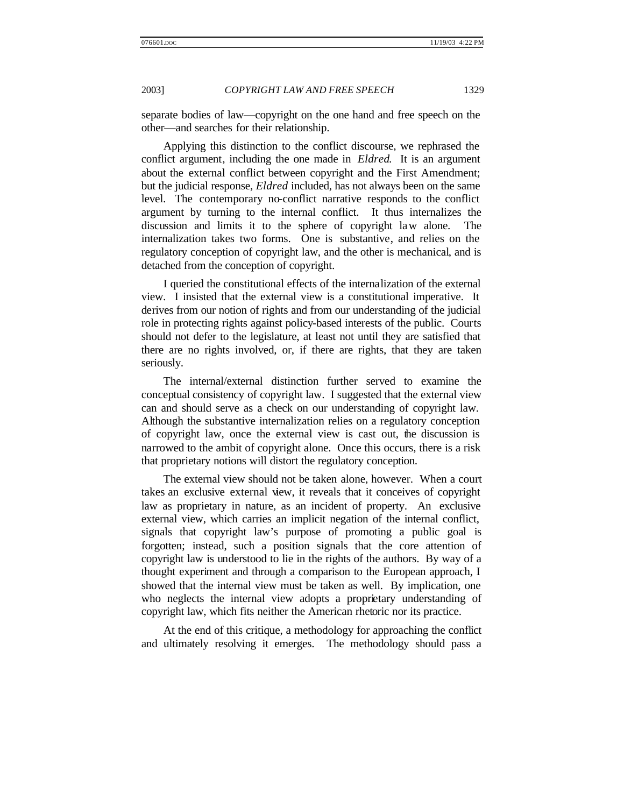separate bodies of law—copyright on the one hand and free speech on the other—and searches for their relationship.

Applying this distinction to the conflict discourse, we rephrased the conflict argument, including the one made in *Eldred*. It is an argument about the external conflict between copyright and the First Amendment; but the judicial response, *Eldred* included, has not always been on the same level. The contemporary no-conflict narrative responds to the conflict argument by turning to the internal conflict. It thus internalizes the discussion and limits it to the sphere of copyright law alone. The internalization takes two forms. One is substantive, and relies on the regulatory conception of copyright law, and the other is mechanical, and is detached from the conception of copyright.

I queried the constitutional effects of the internalization of the external view. I insisted that the external view is a constitutional imperative. It derives from our notion of rights and from our understanding of the judicial role in protecting rights against policy-based interests of the public. Courts should not defer to the legislature, at least not until they are satisfied that there are no rights involved, or, if there are rights, that they are taken seriously.

The internal/external distinction further served to examine the conceptual consistency of copyright law. I suggested that the external view can and should serve as a check on our understanding of copyright law. Although the substantive internalization relies on a regulatory conception of copyright law, once the external view is cast out, the discussion is narrowed to the ambit of copyright alone. Once this occurs, there is a risk that proprietary notions will distort the regulatory conception.

The external view should not be taken alone, however. When a court takes an exclusive external view, it reveals that it conceives of copyright law as proprietary in nature, as an incident of property. An exclusive external view, which carries an implicit negation of the internal conflict, signals that copyright law's purpose of promoting a public goal is forgotten; instead, such a position signals that the core attention of copyright law is understood to lie in the rights of the authors. By way of a thought experiment and through a comparison to the European approach, I showed that the internal view must be taken as well. By implication, one who neglects the internal view adopts a proprietary understanding of copyright law, which fits neither the American rhetoric nor its practice.

At the end of this critique, a methodology for approaching the conflict and ultimately resolving it emerges. The methodology should pass a